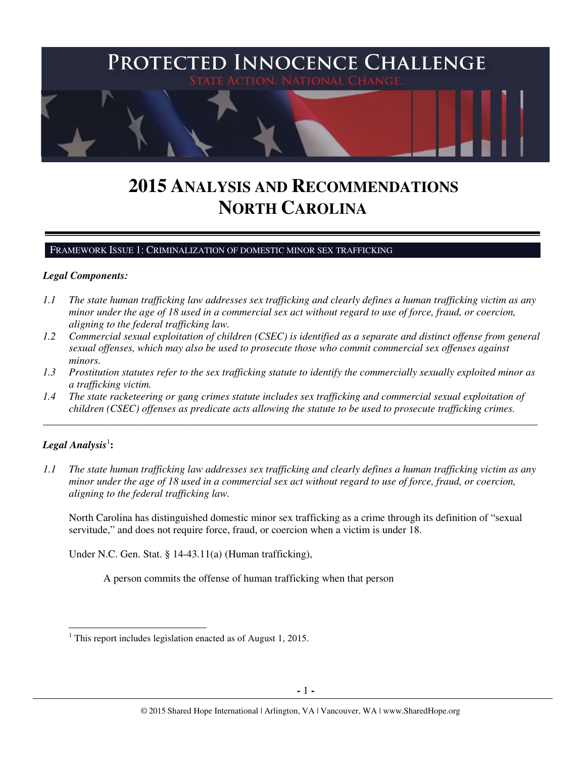

# **2015 ANALYSIS AND RECOMMENDATIONS NORTH CAROLINA**

FRAMEWORK ISSUE 1: CRIMINALIZATION OF DOMESTIC MINOR SEX TRAFFICKING

## *Legal Components:*

- *1.1 The state human trafficking law addresses sex trafficking and clearly defines a human trafficking victim as any minor under the age of 18 used in a commercial sex act without regard to use of force, fraud, or coercion, aligning to the federal trafficking law.*
- *1.2 Commercial sexual exploitation of children (CSEC) is identified as a separate and distinct offense from general sexual offenses, which may also be used to prosecute those who commit commercial sex offenses against minors.*
- *1.3 Prostitution statutes refer to the sex trafficking statute to identify the commercially sexually exploited minor as a trafficking victim.*

\_\_\_\_\_\_\_\_\_\_\_\_\_\_\_\_\_\_\_\_\_\_\_\_\_\_\_\_\_\_\_\_\_\_\_\_\_\_\_\_\_\_\_\_\_\_\_\_\_\_\_\_\_\_\_\_\_\_\_\_\_\_\_\_\_\_\_\_\_\_\_\_\_\_\_\_\_\_\_\_\_\_\_\_\_\_\_\_\_\_\_\_\_\_

*1.4 The state racketeering or gang crimes statute includes sex trafficking and commercial sexual exploitation of children (CSEC) offenses as predicate acts allowing the statute to be used to prosecute trafficking crimes.* 

# $\boldsymbol{Legal}$  Analysis $^1$ :

l

*1.1 The state human trafficking law addresses sex trafficking and clearly defines a human trafficking victim as any minor under the age of 18 used in a commercial sex act without regard to use of force, fraud, or coercion, aligning to the federal trafficking law.*

North Carolina has distinguished domestic minor sex trafficking as a crime through its definition of "sexual servitude," and does not require force, fraud, or coercion when a victim is under 18.

Under N.C. Gen. Stat. § 14-43.11(a) (Human trafficking),

A person commits the offense of human trafficking when that person

<sup>&</sup>lt;sup>1</sup> This report includes legislation enacted as of August 1, 2015.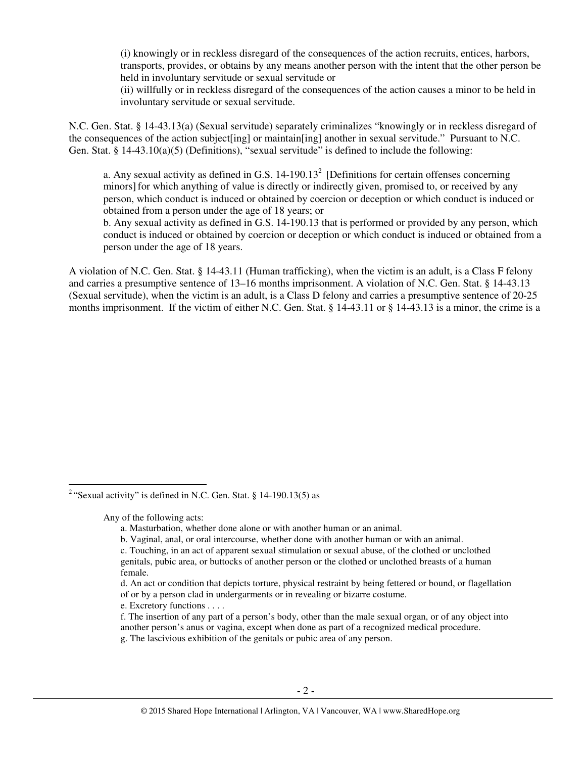(i) knowingly or in reckless disregard of the consequences of the action recruits, entices, harbors, transports, provides, or obtains by any means another person with the intent that the other person be held in involuntary servitude or sexual servitude or

(ii) willfully or in reckless disregard of the consequences of the action causes a minor to be held in involuntary servitude or sexual servitude.

N.C. Gen. Stat. § 14-43.13(a) (Sexual servitude) separately criminalizes "knowingly or in reckless disregard of the consequences of the action subject[ing] or maintain[ing] another in sexual servitude." Pursuant to N.C. Gen. Stat. §  $14-43.10(a)(5)$  (Definitions), "sexual servitude" is defined to include the following:

a. Any sexual activity as defined in G.S.  $14-190.13<sup>2</sup>$  [Definitions for certain offenses concerning minors]for which anything of value is directly or indirectly given, promised to, or received by any person, which conduct is induced or obtained by coercion or deception or which conduct is induced or obtained from a person under the age of 18 years; or

b. Any sexual activity as defined in G.S. 14-190.13 that is performed or provided by any person, which conduct is induced or obtained by coercion or deception or which conduct is induced or obtained from a person under the age of 18 years.

A violation of N.C. Gen. Stat. § 14-43.11 (Human trafficking), when the victim is an adult, is a Class F felony and carries a presumptive sentence of 13–16 months imprisonment. A violation of N.C. Gen. Stat. § 14-43.13 (Sexual servitude), when the victim is an adult, is a Class D felony and carries a presumptive sentence of 20-25 months imprisonment. If the victim of either N.C. Gen. Stat. § 14-43.11 or § 14-43.13 is a minor, the crime is a

Any of the following acts:

l

e. Excretory functions . . . .

<sup>&</sup>lt;sup>2</sup> "Sexual activity" is defined in N.C. Gen. Stat. § 14-190.13(5) as

a. Masturbation, whether done alone or with another human or an animal.

b. Vaginal, anal, or oral intercourse, whether done with another human or with an animal.

c. Touching, in an act of apparent sexual stimulation or sexual abuse, of the clothed or unclothed genitals, pubic area, or buttocks of another person or the clothed or unclothed breasts of a human female.

d. An act or condition that depicts torture, physical restraint by being fettered or bound, or flagellation of or by a person clad in undergarments or in revealing or bizarre costume.

f. The insertion of any part of a person's body, other than the male sexual organ, or of any object into another person's anus or vagina, except when done as part of a recognized medical procedure.

g. The lascivious exhibition of the genitals or pubic area of any person.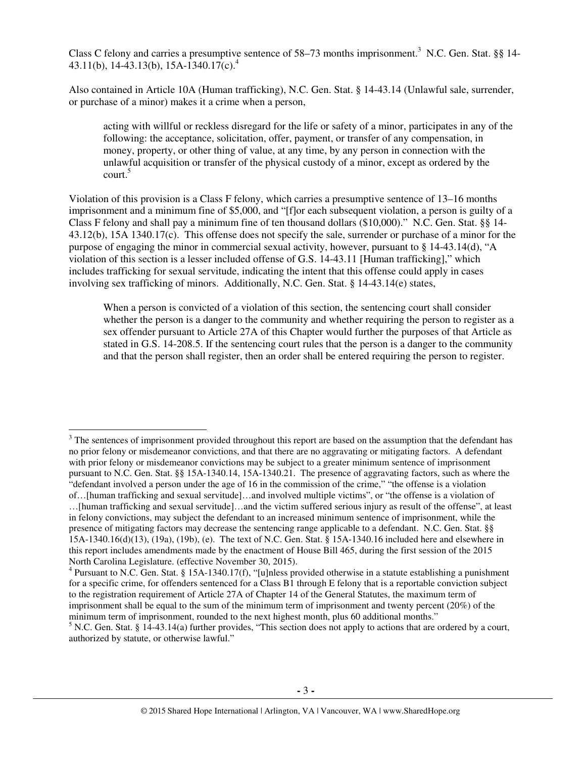Class C felony and carries a presumptive sentence of 58–73 months imprisonment.<sup>3</sup> N.C. Gen. Stat. §§ 14-43.11(b), 14-43.13(b), 15A-1340.17(c).<sup>4</sup>

Also contained in Article 10A (Human trafficking), N.C. Gen. Stat. § 14-43.14 (Unlawful sale, surrender, or purchase of a minor) makes it a crime when a person,

acting with willful or reckless disregard for the life or safety of a minor, participates in any of the following: the acceptance, solicitation, offer, payment, or transfer of any compensation, in money, property, or other thing of value, at any time, by any person in connection with the unlawful acquisition or transfer of the physical custody of a minor, except as ordered by the court.<sup>5</sup>

Violation of this provision is a Class F felony, which carries a presumptive sentence of 13–16 months imprisonment and a minimum fine of \$5,000, and "[f]or each subsequent violation, a person is guilty of a Class F felony and shall pay a minimum fine of ten thousand dollars (\$10,000)." N.C. Gen. Stat. §§ 14- 43.12(b), 15A 1340.17(c). This offense does not specify the sale, surrender or purchase of a minor for the purpose of engaging the minor in commercial sexual activity, however, pursuant to § 14-43.14(d), "A violation of this section is a lesser included offense of G.S. 14-43.11 [Human trafficking]," which includes trafficking for sexual servitude, indicating the intent that this offense could apply in cases involving sex trafficking of minors. Additionally, N.C. Gen. Stat. § 14-43.14(e) states,

When a person is convicted of a violation of this section, the sentencing court shall consider whether the person is a danger to the community and whether requiring the person to register as a sex offender pursuant to Article 27A of this Chapter would further the purposes of that Article as stated in G.S. 14-208.5. If the sentencing court rules that the person is a danger to the community and that the person shall register, then an order shall be entered requiring the person to register.

 $3$  The sentences of imprisonment provided throughout this report are based on the assumption that the defendant has no prior felony or misdemeanor convictions, and that there are no aggravating or mitigating factors. A defendant with prior felony or misdemeanor convictions may be subject to a greater minimum sentence of imprisonment pursuant to N.C. Gen. Stat. §§ 15A-1340.14, 15A-1340.21. The presence of aggravating factors, such as where the "defendant involved a person under the age of 16 in the commission of the crime," "the offense is a violation of…[human trafficking and sexual servitude]…and involved multiple victims", or "the offense is a violation of

 $\overline{a}$ 

<sup>…[</sup>human trafficking and sexual servitude]…and the victim suffered serious injury as result of the offense", at least in felony convictions, may subject the defendant to an increased minimum sentence of imprisonment, while the presence of mitigating factors may decrease the sentencing range applicable to a defendant. N.C. Gen. Stat. §§ 15A-1340.16(d)(13), (19a), (19b), (e). The text of N.C. Gen. Stat. § 15A-1340.16 included here and elsewhere in this report includes amendments made by the enactment of House Bill 465, during the first session of the 2015 North Carolina Legislature. (effective November 30, 2015).

<sup>&</sup>lt;sup>4</sup> Pursuant to N.C. Gen. Stat. § 15A-1340.17(f), "[u]nless provided otherwise in a statute establishing a punishment for a specific crime, for offenders sentenced for a Class B1 through E felony that is a reportable conviction subject to the registration requirement of Article 27A of Chapter 14 of the General Statutes, the maximum term of imprisonment shall be equal to the sum of the minimum term of imprisonment and twenty percent (20%) of the minimum term of imprisonment, rounded to the next highest month, plus 60 additional months."

 $<sup>5</sup>$  N.C. Gen. Stat. § 14-43.14(a) further provides, "This section does not apply to actions that are ordered by a court,</sup> authorized by statute, or otherwise lawful."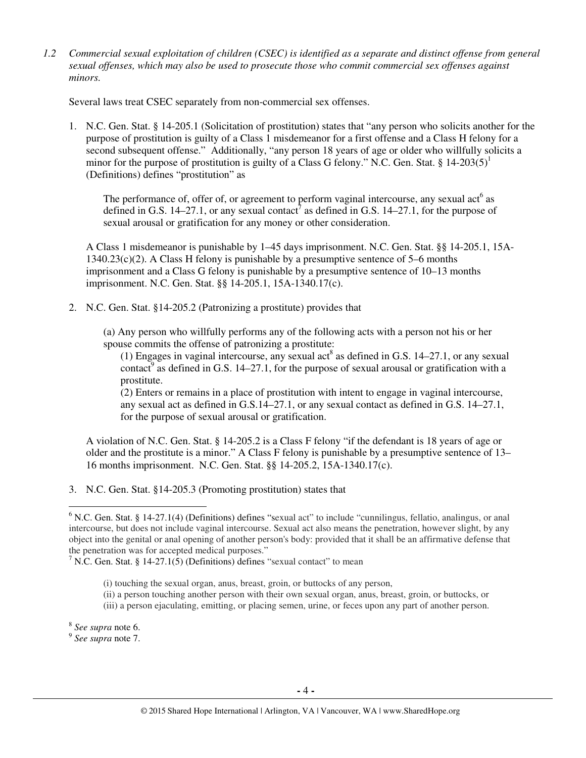*1.2 Commercial sexual exploitation of children (CSEC) is identified as a separate and distinct offense from general sexual offenses, which may also be used to prosecute those who commit commercial sex offenses against minors.*

Several laws treat CSEC separately from non-commercial sex offenses.

1. N.C. Gen. Stat. § 14-205.1 (Solicitation of prostitution) states that "any person who solicits another for the purpose of prostitution is guilty of a Class 1 misdemeanor for a first offense and a Class H felony for a second subsequent offense." Additionally, "any person 18 years of age or older who willfully solicits a minor for the purpose of prostitution is guilty of a Class G felony." N.C. Gen. Stat.  $\S 14{\text -}203(5)^1$ (Definitions) defines "prostitution" as

The performance of, offer of, or agreement to perform vaginal intercourse, any sexual  $act<sup>6</sup>$  as defined in G.S. 14–27.1, or any sexual contact<sup>7</sup> as defined in G.S. 14–27.1, for the purpose of sexual arousal or gratification for any money or other consideration.

A Class 1 misdemeanor is punishable by 1–45 days imprisonment. N.C. Gen. Stat. §§ 14-205.1, 15A- $1340.23(c)(2)$ . A Class H felony is punishable by a presumptive sentence of 5–6 months imprisonment and a Class G felony is punishable by a presumptive sentence of 10–13 months imprisonment. N.C. Gen. Stat. §§ 14-205.1, 15A-1340.17(c).

2. N.C. Gen. Stat. §14-205.2 (Patronizing a prostitute) provides that

(a) Any person who willfully performs any of the following acts with a person not his or her spouse commits the offense of patronizing a prostitute:

(1) Engages in vaginal intercourse, any sexual act<sup>8</sup> as defined in G.S. 14–27.1, or any sexual contact<sup>9</sup> as defined in G.S. 14–27.1, for the purpose of sexual arousal or gratification with a prostitute.

(2) Enters or remains in a place of prostitution with intent to engage in vaginal intercourse, any sexual act as defined in G.S.14–27.1, or any sexual contact as defined in G.S. 14–27.1, for the purpose of sexual arousal or gratification.

A violation of N.C. Gen. Stat. § 14-205.2 is a Class F felony "if the defendant is 18 years of age or older and the prostitute is a minor." A Class F felony is punishable by a presumptive sentence of 13– 16 months imprisonment. N.C. Gen. Stat. §§ 14-205.2, 15A-1340.17(c).

3. N.C. Gen. Stat. §14-205.3 (Promoting prostitution) states that

- (i) touching the sexual organ, anus, breast, groin, or buttocks of any person,
- (ii) a person touching another person with their own sexual organ, anus, breast, groin, or buttocks, or
- (iii) a person ejaculating, emitting, or placing semen, urine, or feces upon any part of another person.

 $\overline{a}$ 

<sup>&</sup>lt;sup>6</sup> N.C. Gen. Stat. § 14-27.1(4) (Definitions) defines "sexual act" to include "cunnilingus, fellatio, analingus, or anal intercourse, but does not include vaginal intercourse. Sexual act also means the penetration, however slight, by any object into the genital or anal opening of another person's body: provided that it shall be an affirmative defense that the penetration was for accepted medical purposes."

<sup>&</sup>lt;sup>7</sup> N.C. Gen. Stat. § 14-27.1(5) (Definitions) defines "sexual contact" to mean

<sup>8</sup> *See supra* note 6.

<sup>9</sup> *See supra* note 7.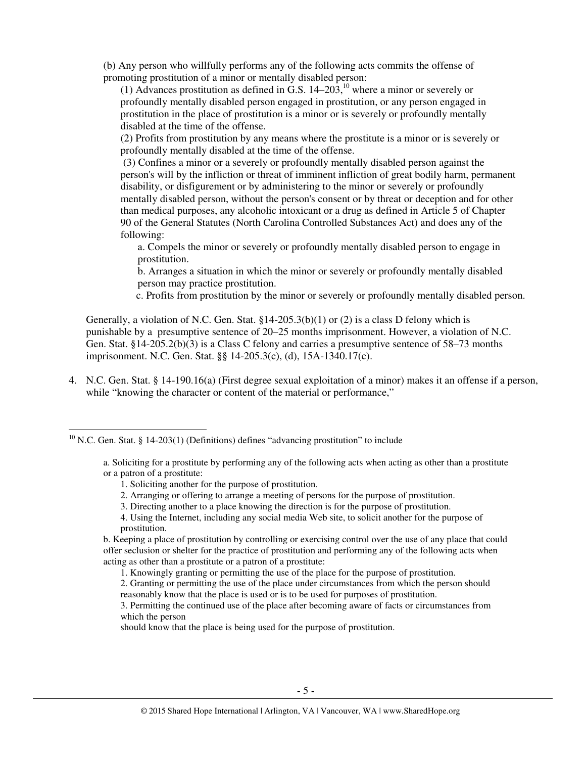(b) Any person who willfully performs any of the following acts commits the offense of promoting prostitution of a minor or mentally disabled person:

(1) Advances prostitution as defined in G.S.  $14-203$ ,<sup>10</sup> where a minor or severely or profoundly mentally disabled person engaged in prostitution, or any person engaged in prostitution in the place of prostitution is a minor or is severely or profoundly mentally disabled at the time of the offense.

(2) Profits from prostitution by any means where the prostitute is a minor or is severely or profoundly mentally disabled at the time of the offense.

 (3) Confines a minor or a severely or profoundly mentally disabled person against the person's will by the infliction or threat of imminent infliction of great bodily harm, permanent disability, or disfigurement or by administering to the minor or severely or profoundly mentally disabled person, without the person's consent or by threat or deception and for other than medical purposes, any alcoholic intoxicant or a drug as defined in Article 5 of Chapter 90 of the General Statutes (North Carolina Controlled Substances Act) and does any of the following:

a. Compels the minor or severely or profoundly mentally disabled person to engage in prostitution.

b. Arranges a situation in which the minor or severely or profoundly mentally disabled person may practice prostitution.

c. Profits from prostitution by the minor or severely or profoundly mentally disabled person.

Generally, a violation of N.C. Gen. Stat.  $\S 14-205.3(b)(1)$  or (2) is a class D felony which is punishable by a presumptive sentence of 20–25 months imprisonment. However, a violation of N.C. Gen. Stat. §14-205.2(b)(3) is a Class C felony and carries a presumptive sentence of 58–73 months imprisonment. N.C. Gen. Stat. §§ 14-205.3(c), (d), 15A-1340.17(c).

4. N.C. Gen. Stat. § 14-190.16(a) (First degree sexual exploitation of a minor) makes it an offense if a person, while "knowing the character or content of the material or performance,"

1. Soliciting another for the purpose of prostitution.

 $\overline{a}$ 

- 2. Arranging or offering to arrange a meeting of persons for the purpose of prostitution.
- 3. Directing another to a place knowing the direction is for the purpose of prostitution.
- 4. Using the Internet, including any social media Web site, to solicit another for the purpose of prostitution.

b. Keeping a place of prostitution by controlling or exercising control over the use of any place that could offer seclusion or shelter for the practice of prostitution and performing any of the following acts when acting as other than a prostitute or a patron of a prostitute:

- 1. Knowingly granting or permitting the use of the place for the purpose of prostitution.
- 2. Granting or permitting the use of the place under circumstances from which the person should reasonably know that the place is used or is to be used for purposes of prostitution.

 $10$  N.C. Gen. Stat. § 14-203(1) (Definitions) defines "advancing prostitution" to include

a. Soliciting for a prostitute by performing any of the following acts when acting as other than a prostitute or a patron of a prostitute:

<sup>3.</sup> Permitting the continued use of the place after becoming aware of facts or circumstances from which the person

should know that the place is being used for the purpose of prostitution.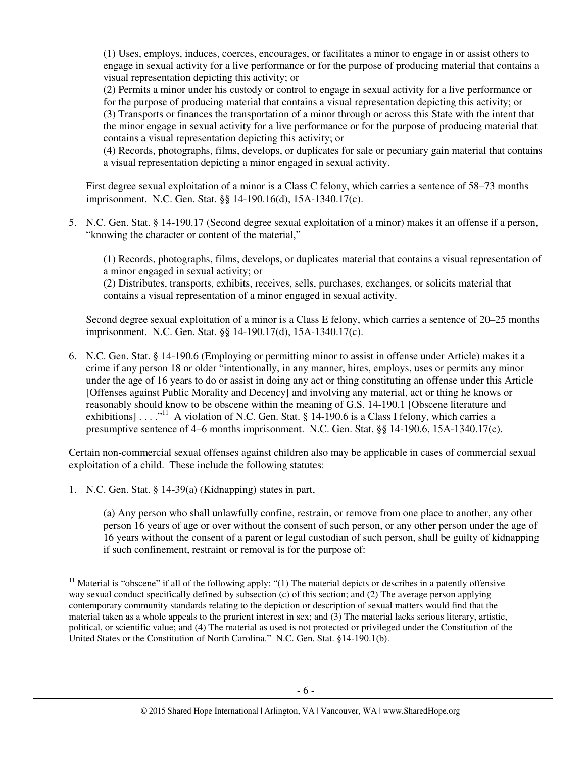(1) Uses, employs, induces, coerces, encourages, or facilitates a minor to engage in or assist others to engage in sexual activity for a live performance or for the purpose of producing material that contains a visual representation depicting this activity; or

(2) Permits a minor under his custody or control to engage in sexual activity for a live performance or for the purpose of producing material that contains a visual representation depicting this activity; or (3) Transports or finances the transportation of a minor through or across this State with the intent that the minor engage in sexual activity for a live performance or for the purpose of producing material that contains a visual representation depicting this activity; or

(4) Records, photographs, films, develops, or duplicates for sale or pecuniary gain material that contains a visual representation depicting a minor engaged in sexual activity.

First degree sexual exploitation of a minor is a Class C felony, which carries a sentence of 58–73 months imprisonment. N.C. Gen. Stat. §§ 14-190.16(d), 15A-1340.17(c).

5. N.C. Gen. Stat. § 14-190.17 (Second degree sexual exploitation of a minor) makes it an offense if a person, "knowing the character or content of the material,"

(1) Records, photographs, films, develops, or duplicates material that contains a visual representation of a minor engaged in sexual activity; or

(2) Distributes, transports, exhibits, receives, sells, purchases, exchanges, or solicits material that contains a visual representation of a minor engaged in sexual activity.

Second degree sexual exploitation of a minor is a Class E felony, which carries a sentence of 20–25 months imprisonment. N.C. Gen. Stat. §§ 14-190.17(d), 15A-1340.17(c).

6. N.C. Gen. Stat. § 14-190.6 (Employing or permitting minor to assist in offense under Article) makes it a crime if any person 18 or older "intentionally, in any manner, hires, employs, uses or permits any minor under the age of 16 years to do or assist in doing any act or thing constituting an offense under this Article [Offenses against Public Morality and Decency] and involving any material, act or thing he knows or reasonably should know to be obscene within the meaning of G.S. 14-190.1 [Obscene literature and exhibitions] . . . .  $^{11}$  A violation of N.C. Gen. Stat. § 14-190.6 is a Class I felony, which carries a presumptive sentence of 4–6 months imprisonment. N.C. Gen. Stat. §§ 14-190.6, 15A-1340.17(c).

Certain non-commercial sexual offenses against children also may be applicable in cases of commercial sexual exploitation of a child. These include the following statutes:

1. N.C. Gen. Stat. § 14-39(a) (Kidnapping) states in part,

l

(a) Any person who shall unlawfully confine, restrain, or remove from one place to another, any other person 16 years of age or over without the consent of such person, or any other person under the age of 16 years without the consent of a parent or legal custodian of such person, shall be guilty of kidnapping if such confinement, restraint or removal is for the purpose of:

 $11$  Material is "obscene" if all of the following apply: "(1) The material depicts or describes in a patently offensive way sexual conduct specifically defined by subsection (c) of this section; and (2) The average person applying contemporary community standards relating to the depiction or description of sexual matters would find that the material taken as a whole appeals to the prurient interest in sex; and (3) The material lacks serious literary, artistic, political, or scientific value; and (4) The material as used is not protected or privileged under the Constitution of the United States or the Constitution of North Carolina." N.C. Gen. Stat. §14-190.1(b).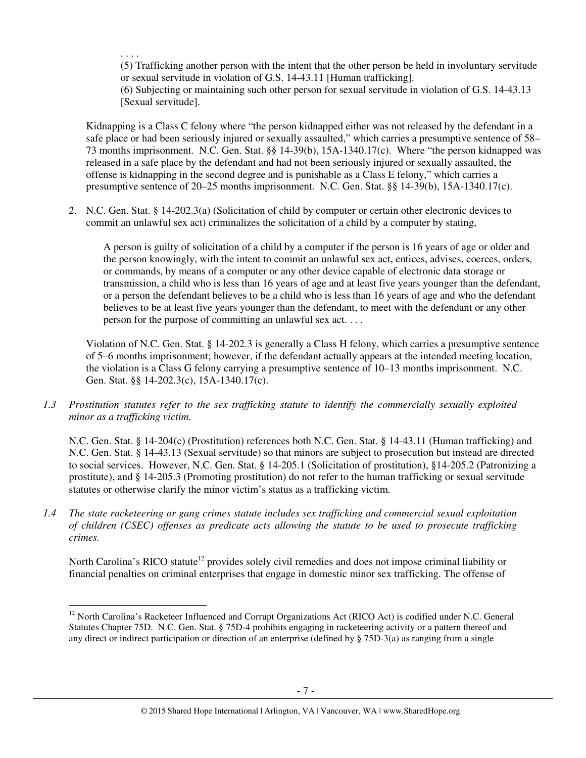. . . .

 $\overline{a}$ 

(5) Trafficking another person with the intent that the other person be held in involuntary servitude or sexual servitude in violation of G.S. 14-43.11 [Human trafficking].

(6) Subjecting or maintaining such other person for sexual servitude in violation of G.S. 14-43.13 [Sexual servitude].

Kidnapping is a Class C felony where "the person kidnapped either was not released by the defendant in a safe place or had been seriously injured or sexually assaulted," which carries a presumptive sentence of 58– 73 months imprisonment. N.C. Gen. Stat. §§ 14-39(b), 15A-1340.17(c). Where "the person kidnapped was released in a safe place by the defendant and had not been seriously injured or sexually assaulted, the offense is kidnapping in the second degree and is punishable as a Class E felony," which carries a presumptive sentence of 20–25 months imprisonment. N.C. Gen. Stat. §§ 14-39(b), 15A-1340.17(c).

2. N.C. Gen. Stat. § 14-202.3(a) (Solicitation of child by computer or certain other electronic devices to commit an unlawful sex act) criminalizes the solicitation of a child by a computer by stating,

A person is guilty of solicitation of a child by a computer if the person is 16 years of age or older and the person knowingly, with the intent to commit an unlawful sex act, entices, advises, coerces, orders, or commands, by means of a computer or any other device capable of electronic data storage or transmission, a child who is less than 16 years of age and at least five years younger than the defendant, or a person the defendant believes to be a child who is less than 16 years of age and who the defendant believes to be at least five years younger than the defendant, to meet with the defendant or any other person for the purpose of committing an unlawful sex act. . . .

Violation of N.C. Gen. Stat. § 14-202.3 is generally a Class H felony, which carries a presumptive sentence of 5–6 months imprisonment; however, if the defendant actually appears at the intended meeting location, the violation is a Class G felony carrying a presumptive sentence of 10–13 months imprisonment. N.C. Gen. Stat. §§ 14-202.3(c), 15A-1340.17(c).

*1.3 Prostitution statutes refer to the sex trafficking statute to identify the commercially sexually exploited minor as a trafficking victim.* 

N.C. Gen. Stat. § 14-204(c) (Prostitution) references both N.C. Gen. Stat. § 14-43.11 (Human trafficking) and N.C. Gen. Stat. § 14-43.13 (Sexual servitude) so that minors are subject to prosecution but instead are directed to social services. However, N.C. Gen. Stat. § 14-205.1 (Solicitation of prostitution), §14-205.2 (Patronizing a prostitute), and § 14-205.3 (Promoting prostitution) do not refer to the human trafficking or sexual servitude statutes or otherwise clarify the minor victim's status as a trafficking victim.

*1.4 The state racketeering or gang crimes statute includes sex trafficking and commercial sexual exploitation of children (CSEC) offenses as predicate acts allowing the statute to be used to prosecute trafficking crimes.* 

North Carolina's RICO statute<sup>12</sup> provides solely civil remedies and does not impose criminal liability or financial penalties on criminal enterprises that engage in domestic minor sex trafficking. The offense of

<sup>&</sup>lt;sup>12</sup> North Carolina's Racketeer Influenced and Corrupt Organizations Act (RICO Act) is codified under N.C. General Statutes Chapter 75D. N.C. Gen. Stat. § 75D-4 prohibits engaging in racketeering activity or a pattern thereof and any direct or indirect participation or direction of an enterprise (defined by  $\S$  75D-3(a) as ranging from a single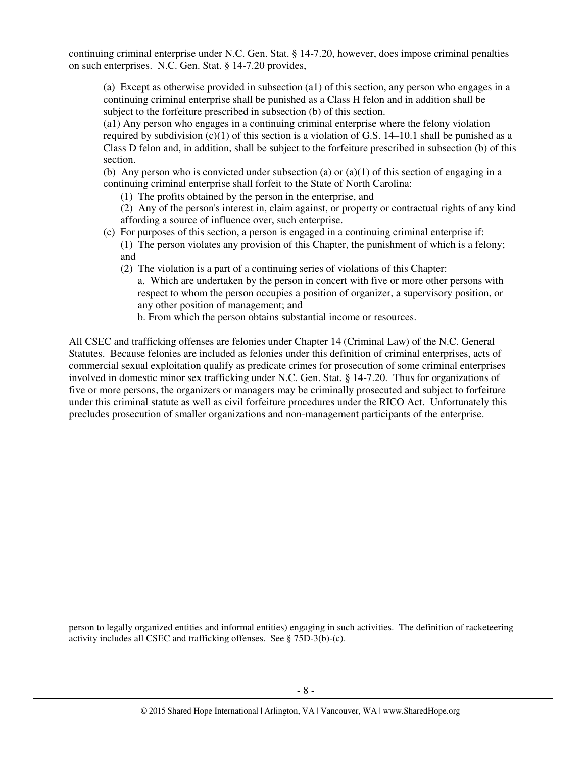continuing criminal enterprise under N.C. Gen. Stat. § 14-7.20, however, does impose criminal penalties on such enterprises. N.C. Gen. Stat. § 14-7.20 provides,

(a) Except as otherwise provided in subsection (a1) of this section, any person who engages in a continuing criminal enterprise shall be punished as a Class H felon and in addition shall be subject to the forfeiture prescribed in subsection (b) of this section.

(a1) Any person who engages in a continuing criminal enterprise where the felony violation required by subdivision  $(c)(1)$  of this section is a violation of G.S. 14–10.1 shall be punished as a Class D felon and, in addition, shall be subject to the forfeiture prescribed in subsection (b) of this section.

(b) Any person who is convicted under subsection (a) or (a)(1) of this section of engaging in a continuing criminal enterprise shall forfeit to the State of North Carolina:

(1) The profits obtained by the person in the enterprise, and

(2) Any of the person's interest in, claim against, or property or contractual rights of any kind affording a source of influence over, such enterprise.

- (c) For purposes of this section, a person is engaged in a continuing criminal enterprise if:
	- (1) The person violates any provision of this Chapter, the punishment of which is a felony; and
	- (2) The violation is a part of a continuing series of violations of this Chapter:
		- a. Which are undertaken by the person in concert with five or more other persons with respect to whom the person occupies a position of organizer, a supervisory position, or any other position of management; and
		- b. From which the person obtains substantial income or resources.

All CSEC and trafficking offenses are felonies under Chapter 14 (Criminal Law) of the N.C. General Statutes. Because felonies are included as felonies under this definition of criminal enterprises, acts of commercial sexual exploitation qualify as predicate crimes for prosecution of some criminal enterprises involved in domestic minor sex trafficking under N.C. Gen. Stat. § 14-7.20. Thus for organizations of five or more persons, the organizers or managers may be criminally prosecuted and subject to forfeiture under this criminal statute as well as civil forfeiture procedures under the RICO Act. Unfortunately this precludes prosecution of smaller organizations and non-management participants of the enterprise.

person to legally organized entities and informal entities) engaging in such activities. The definition of racketeering activity includes all CSEC and trafficking offenses. See § 75D-3(b)-(c).

 $\overline{a}$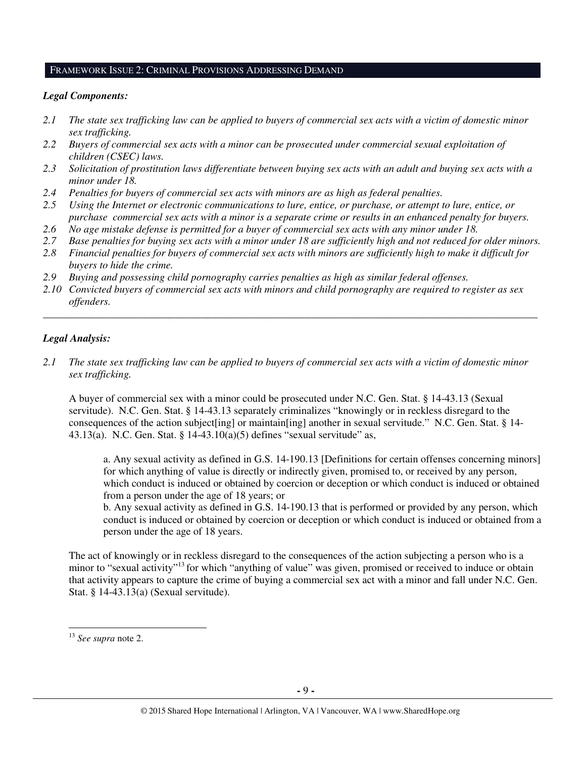#### FRAMEWORK ISSUE 2: CRIMINAL PROVISIONS ADDRESSING DEMAND

#### *Legal Components:*

- *2.1 The state sex trafficking law can be applied to buyers of commercial sex acts with a victim of domestic minor sex trafficking.*
- *2.2 Buyers of commercial sex acts with a minor can be prosecuted under commercial sexual exploitation of children (CSEC) laws.*
- *2.3 Solicitation of prostitution laws differentiate between buying sex acts with an adult and buying sex acts with a minor under 18.*
- *2.4 Penalties for buyers of commercial sex acts with minors are as high as federal penalties.*
- *2.5 Using the Internet or electronic communications to lure, entice, or purchase, or attempt to lure, entice, or purchase commercial sex acts with a minor is a separate crime or results in an enhanced penalty for buyers.*
- *2.6 No age mistake defense is permitted for a buyer of commercial sex acts with any minor under 18.*
- *2.7 Base penalties for buying sex acts with a minor under 18 are sufficiently high and not reduced for older minors.*
- *2.8 Financial penalties for buyers of commercial sex acts with minors are sufficiently high to make it difficult for buyers to hide the crime.*
- *2.9 Buying and possessing child pornography carries penalties as high as similar federal offenses.*
- *2.10 Convicted buyers of commercial sex acts with minors and child pornography are required to register as sex offenders.*

\_\_\_\_\_\_\_\_\_\_\_\_\_\_\_\_\_\_\_\_\_\_\_\_\_\_\_\_\_\_\_\_\_\_\_\_\_\_\_\_\_\_\_\_\_\_\_\_\_\_\_\_\_\_\_\_\_\_\_\_\_\_\_\_\_\_\_\_\_\_\_\_\_\_\_\_\_\_\_\_\_\_\_\_\_\_\_\_\_\_\_\_\_\_

#### *Legal Analysis:*

*2.1 The state sex trafficking law can be applied to buyers of commercial sex acts with a victim of domestic minor sex trafficking.* 

A buyer of commercial sex with a minor could be prosecuted under N.C. Gen. Stat. § 14-43.13 (Sexual servitude). N.C. Gen. Stat. § 14-43.13 separately criminalizes "knowingly or in reckless disregard to the consequences of the action subject[ing] or maintain[ing] another in sexual servitude." N.C. Gen. Stat. § 14- 43.13(a). N.C. Gen. Stat. § 14-43.10(a)(5) defines "sexual servitude" as,

a. Any sexual activity as defined in G.S. 14-190.13 [Definitions for certain offenses concerning minors] for which anything of value is directly or indirectly given, promised to, or received by any person, which conduct is induced or obtained by coercion or deception or which conduct is induced or obtained from a person under the age of 18 years; or

b. Any sexual activity as defined in G.S. 14-190.13 that is performed or provided by any person, which conduct is induced or obtained by coercion or deception or which conduct is induced or obtained from a person under the age of 18 years.

The act of knowingly or in reckless disregard to the consequences of the action subjecting a person who is a minor to "sexual activity"<sup>13</sup> for which "anything of value" was given, promised or received to induce or obtain that activity appears to capture the crime of buying a commercial sex act with a minor and fall under N.C. Gen. Stat. § 14-43.13(a) (Sexual servitude).

 $\overline{a}$ 

<sup>13</sup> *See supra* note 2.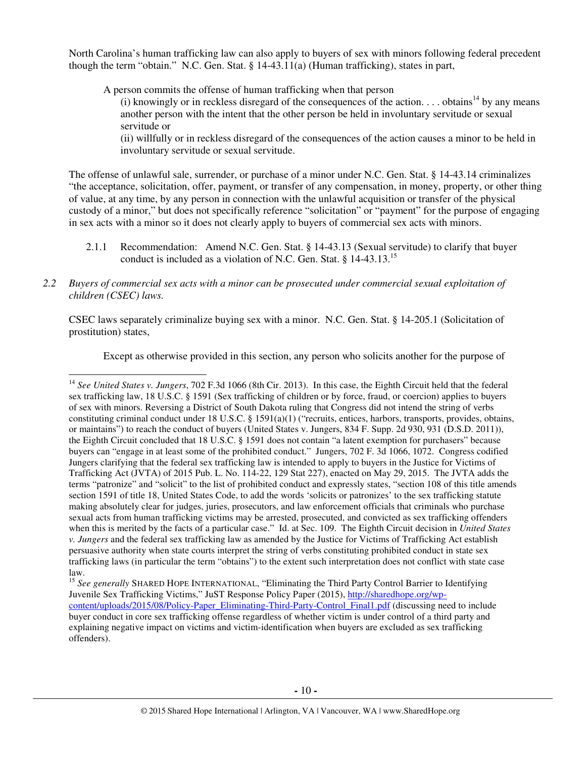North Carolina's human trafficking law can also apply to buyers of sex with minors following federal precedent though the term "obtain." N.C. Gen. Stat. § 14-43.11(a) (Human trafficking), states in part,

A person commits the offense of human trafficking when that person

(i) knowingly or in reckless disregard of the consequences of the action. . . . obtains<sup>14</sup> by any means another person with the intent that the other person be held in involuntary servitude or sexual servitude or

(ii) willfully or in reckless disregard of the consequences of the action causes a minor to be held in involuntary servitude or sexual servitude.

The offense of unlawful sale, surrender, or purchase of a minor under N.C. Gen. Stat. § 14-43.14 criminalizes "the acceptance, solicitation, offer, payment, or transfer of any compensation, in money, property, or other thing of value, at any time, by any person in connection with the unlawful acquisition or transfer of the physical custody of a minor," but does not specifically reference "solicitation" or "payment" for the purpose of engaging in sex acts with a minor so it does not clearly apply to buyers of commercial sex acts with minors.

- 2.1.1 Recommendation: Amend N.C. Gen. Stat. § 14-43.13 (Sexual servitude) to clarify that buyer conduct is included as a violation of N.C. Gen. Stat. § 14-43.13.<sup>15</sup>
- *2.2 Buyers of commercial sex acts with a minor can be prosecuted under commercial sexual exploitation of children (CSEC) laws.*

 $\overline{a}$ 

CSEC laws separately criminalize buying sex with a minor. N.C. Gen. Stat. § 14-205.1 (Solicitation of prostitution) states,

Except as otherwise provided in this section, any person who solicits another for the purpose of

<sup>14</sup> *See United States v. Jungers*, 702 F.3d 1066 (8th Cir. 2013). In this case, the Eighth Circuit held that the federal sex trafficking law, 18 U.S.C. § 1591 (Sex trafficking of children or by force, fraud, or coercion) applies to buyers of sex with minors. Reversing a District of South Dakota ruling that Congress did not intend the string of verbs constituting criminal conduct under 18 U.S.C. § 1591(a)(1) ("recruits, entices, harbors, transports, provides, obtains, or maintains") to reach the conduct of buyers (United States v. Jungers, 834 F. Supp. 2d 930, 931 (D.S.D. 2011)), the Eighth Circuit concluded that 18 U.S.C. § 1591 does not contain "a latent exemption for purchasers" because buyers can "engage in at least some of the prohibited conduct." Jungers, 702 F. 3d 1066, 1072. Congress codified Jungers clarifying that the federal sex trafficking law is intended to apply to buyers in the Justice for Victims of Trafficking Act (JVTA) of 2015 Pub. L. No. 114-22, 129 Stat 227), enacted on May 29, 2015. The JVTA adds the terms "patronize" and "solicit" to the list of prohibited conduct and expressly states, "section 108 of this title amends section 1591 of title 18, United States Code, to add the words 'solicits or patronizes' to the sex trafficking statute making absolutely clear for judges, juries, prosecutors, and law enforcement officials that criminals who purchase sexual acts from human trafficking victims may be arrested, prosecuted, and convicted as sex trafficking offenders when this is merited by the facts of a particular case." Id. at Sec. 109. The Eighth Circuit decision in *United States v. Jungers* and the federal sex trafficking law as amended by the Justice for Victims of Trafficking Act establish persuasive authority when state courts interpret the string of verbs constituting prohibited conduct in state sex trafficking laws (in particular the term "obtains") to the extent such interpretation does not conflict with state case law.

<sup>&</sup>lt;sup>15</sup> See generally SHARED HOPE INTERNATIONAL, "Eliminating the Third Party Control Barrier to Identifying Juvenile Sex Trafficking Victims," JuST Response Policy Paper (2015), http://sharedhope.org/wpcontent/uploads/2015/08/Policy-Paper\_Eliminating-Third-Party-Control\_Final1.pdf (discussing need to include buyer conduct in core sex trafficking offense regardless of whether victim is under control of a third party and explaining negative impact on victims and victim-identification when buyers are excluded as sex trafficking offenders).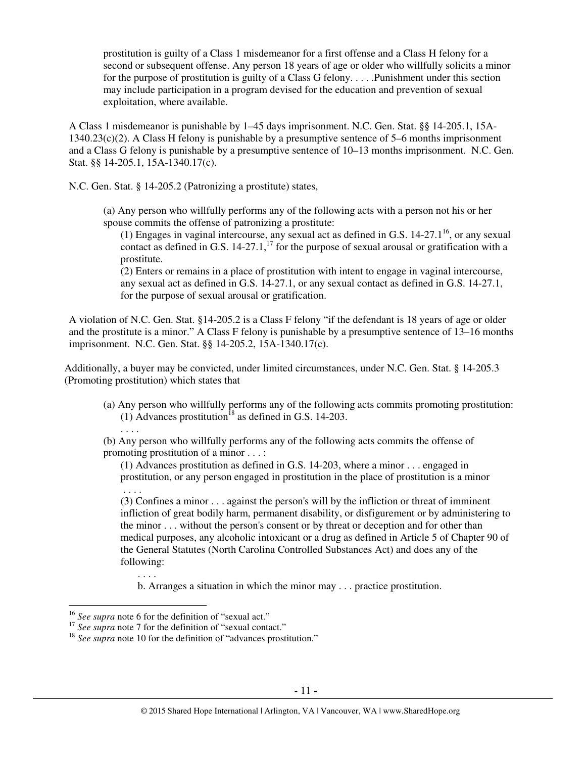prostitution is guilty of a Class 1 misdemeanor for a first offense and a Class H felony for a second or subsequent offense. Any person 18 years of age or older who willfully solicits a minor for the purpose of prostitution is guilty of a Class G felony. . . . .Punishment under this section may include participation in a program devised for the education and prevention of sexual exploitation, where available.

A Class 1 misdemeanor is punishable by 1–45 days imprisonment. N.C. Gen. Stat. §§ 14-205.1, 15A-1340.23(c)(2). A Class H felony is punishable by a presumptive sentence of 5–6 months imprisonment and a Class G felony is punishable by a presumptive sentence of 10–13 months imprisonment. N.C. Gen. Stat. §§ 14-205.1, 15A-1340.17(c).

N.C. Gen. Stat. § 14-205.2 (Patronizing a prostitute) states,

(a) Any person who willfully performs any of the following acts with a person not his or her spouse commits the offense of patronizing a prostitute:

(1) Engages in vaginal intercourse, any sexual act as defined in G.S.  $14-27.1^{16}$ , or any sexual contact as defined in G.S.  $14-27.1$ ,<sup>17</sup> for the purpose of sexual arousal or gratification with a prostitute.

(2) Enters or remains in a place of prostitution with intent to engage in vaginal intercourse, any sexual act as defined in G.S. 14-27.1, or any sexual contact as defined in G.S. 14-27.1, for the purpose of sexual arousal or gratification.

A violation of N.C. Gen. Stat. §14-205.2 is a Class F felony "if the defendant is 18 years of age or older and the prostitute is a minor." A Class F felony is punishable by a presumptive sentence of 13–16 months imprisonment. N.C. Gen. Stat. §§ 14-205.2, 15A-1340.17(c).

Additionally, a buyer may be convicted, under limited circumstances, under N.C. Gen. Stat. § 14-205.3 (Promoting prostitution) which states that

(a) Any person who willfully performs any of the following acts commits promoting prostitution: (1) Advances prostitution<sup>18</sup> as defined in G.S. 14-203.

(b) Any person who willfully performs any of the following acts commits the offense of promoting prostitution of a minor . . . :

(1) Advances prostitution as defined in G.S. 14-203, where a minor . . . engaged in prostitution, or any person engaged in prostitution in the place of prostitution is a minor . . . .

(3) Confines a minor . . . against the person's will by the infliction or threat of imminent infliction of great bodily harm, permanent disability, or disfigurement or by administering to the minor . . . without the person's consent or by threat or deception and for other than medical purposes, any alcoholic intoxicant or a drug as defined in Article 5 of Chapter 90 of the General Statutes (North Carolina Controlled Substances Act) and does any of the following:

b. Arranges a situation in which the minor may . . . practice prostitution.

. . . .

l

. . . .

<sup>16</sup> *See supra* note 6 for the definition of "sexual act."

<sup>&</sup>lt;sup>17</sup> *See supra* note 7 for the definition of "sexual contact."

<sup>&</sup>lt;sup>18</sup> See supra note 10 for the definition of "advances prostitution."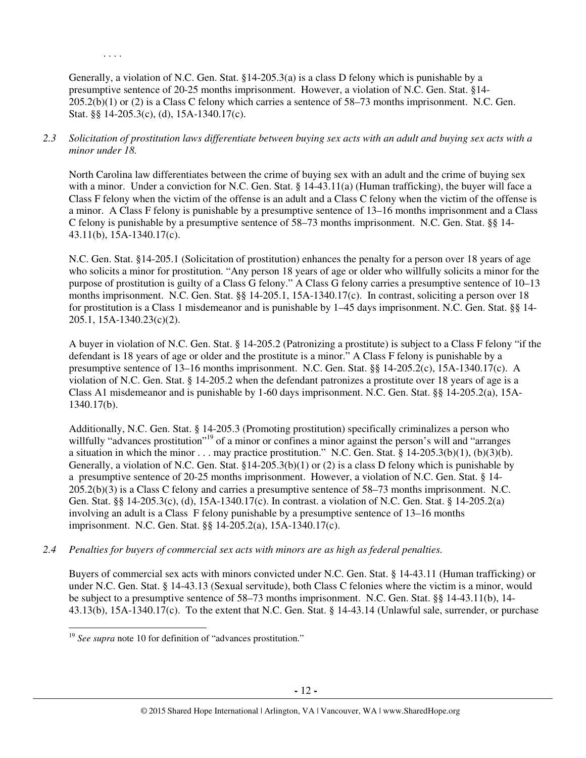Generally, a violation of N.C. Gen. Stat. §14-205.3(a) is a class D felony which is punishable by a presumptive sentence of 20-25 months imprisonment. However, a violation of N.C. Gen. Stat. §14- 205.2(b)(1) or (2) is a Class C felony which carries a sentence of 58–73 months imprisonment. N.C. Gen. Stat. §§ 14-205.3(c), (d), 15A-1340.17(c).

. . . .

*2.3 Solicitation of prostitution laws differentiate between buying sex acts with an adult and buying sex acts with a minor under 18.* 

North Carolina law differentiates between the crime of buying sex with an adult and the crime of buying sex with a minor. Under a conviction for N.C. Gen. Stat. § 14-43.11(a) (Human trafficking), the buyer will face a Class F felony when the victim of the offense is an adult and a Class C felony when the victim of the offense is a minor. A Class F felony is punishable by a presumptive sentence of 13–16 months imprisonment and a Class C felony is punishable by a presumptive sentence of 58–73 months imprisonment. N.C. Gen. Stat. §§ 14- 43.11(b), 15A-1340.17(c).

N.C. Gen. Stat. §14-205.1 (Solicitation of prostitution) enhances the penalty for a person over 18 years of age who solicits a minor for prostitution. "Any person 18 years of age or older who willfully solicits a minor for the purpose of prostitution is guilty of a Class G felony." A Class G felony carries a presumptive sentence of 10–13 months imprisonment. N.C. Gen. Stat. §§ 14-205.1, 15A-1340.17(c). In contrast, soliciting a person over 18 for prostitution is a Class 1 misdemeanor and is punishable by 1–45 days imprisonment. N.C. Gen. Stat. §§ 14- 205.1, 15A-1340.23(c)(2).

A buyer in violation of N.C. Gen. Stat. § 14-205.2 (Patronizing a prostitute) is subject to a Class F felony "if the defendant is 18 years of age or older and the prostitute is a minor." A Class F felony is punishable by a presumptive sentence of 13–16 months imprisonment. N.C. Gen. Stat. §§ 14-205.2(c), 15A-1340.17(c). A violation of N.C. Gen. Stat. § 14-205.2 when the defendant patronizes a prostitute over 18 years of age is a Class A1 misdemeanor and is punishable by 1-60 days imprisonment. N.C. Gen. Stat. §§ 14-205.2(a), 15A-1340.17(b).

Additionally, N.C. Gen. Stat. § 14-205.3 (Promoting prostitution) specifically criminalizes a person who willfully "advances prostitution"<sup>19</sup> of a minor or confines a minor against the person's will and "arranges" a situation in which the minor  $\dots$  may practice prostitution." N.C. Gen. Stat. § 14-205.3(b)(1), (b)(3)(b). Generally, a violation of N.C. Gen. Stat. §14-205.3(b)(1) or (2) is a class D felony which is punishable by a presumptive sentence of 20-25 months imprisonment. However, a violation of N.C. Gen. Stat. § 14- 205.2(b)(3) is a Class C felony and carries a presumptive sentence of 58–73 months imprisonment. N.C. Gen. Stat. §§ 14-205.3(c), (d), 15A-1340.17(c). In contrast. a violation of N.C. Gen. Stat. § 14-205.2(a) involving an adult is a Class F felony punishable by a presumptive sentence of 13–16 months imprisonment. N.C. Gen. Stat. §§ 14-205.2(a), 15A-1340.17(c).

*2.4 Penalties for buyers of commercial sex acts with minors are as high as federal penalties.* 

Buyers of commercial sex acts with minors convicted under N.C. Gen. Stat. § 14-43.11 (Human trafficking) or under N.C. Gen. Stat. § 14-43.13 (Sexual servitude), both Class C felonies where the victim is a minor, would be subject to a presumptive sentence of 58–73 months imprisonment. N.C. Gen. Stat. §§ 14-43.11(b), 14- 43.13(b), 15A-1340.17(c). To the extent that N.C. Gen. Stat. § 14-43.14 (Unlawful sale, surrender, or purchase

<sup>&</sup>lt;sup>19</sup> See supra note 10 for definition of "advances prostitution."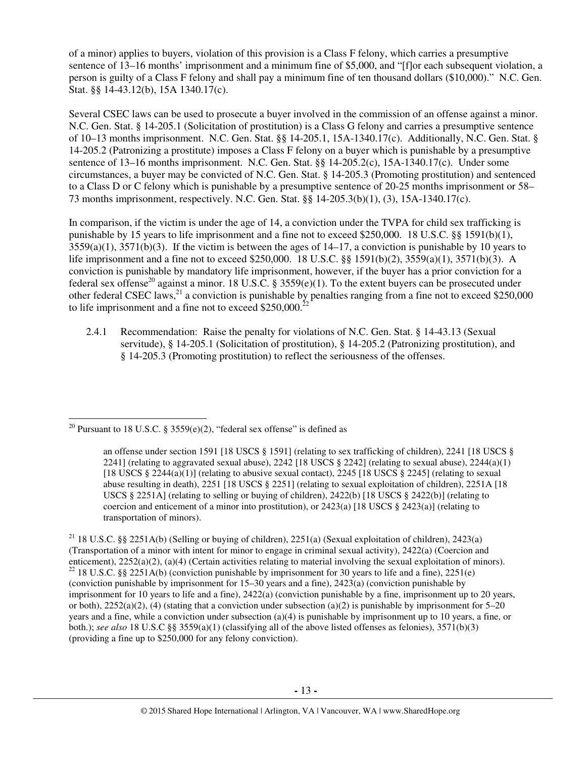of a minor) applies to buyers, violation of this provision is a Class F felony, which carries a presumptive sentence of 13–16 months' imprisonment and a minimum fine of \$5,000, and "[f]or each subsequent violation, a person is guilty of a Class F felony and shall pay a minimum fine of ten thousand dollars (\$10,000)." N.C. Gen. Stat. §§ 14-43.12(b), 15A 1340.17(c).

Several CSEC laws can be used to prosecute a buyer involved in the commission of an offense against a minor. N.C. Gen. Stat. § 14-205.1 (Solicitation of prostitution) is a Class G felony and carries a presumptive sentence of 10–13 months imprisonment. N.C. Gen. Stat. §§ 14-205.1, 15A-1340.17(c). Additionally, N.C. Gen. Stat. § 14-205.2 (Patronizing a prostitute) imposes a Class F felony on a buyer which is punishable by a presumptive sentence of 13–16 months imprisonment. N.C. Gen. Stat. §§ 14-205.2(c), 15A-1340.17(c). Under some circumstances, a buyer may be convicted of N.C. Gen. Stat. § 14-205.3 (Promoting prostitution) and sentenced to a Class D or C felony which is punishable by a presumptive sentence of 20-25 months imprisonment or 58– 73 months imprisonment, respectively. N.C. Gen. Stat. §§ 14-205.3(b)(1), (3), 15A-1340.17(c).

In comparison, if the victim is under the age of 14, a conviction under the TVPA for child sex trafficking is punishable by 15 years to life imprisonment and a fine not to exceed \$250,000. 18 U.S.C. §§ 1591(b)(1),  $3559(a)(1)$ ,  $3571(b)(3)$ . If the victim is between the ages of  $14-17$ , a conviction is punishable by 10 years to life imprisonment and a fine not to exceed \$250,000. 18 U.S.C. §§ 1591(b)(2), 3559(a)(1), 3571(b)(3). A conviction is punishable by mandatory life imprisonment, however, if the buyer has a prior conviction for a federal sex offense<sup>20</sup> against a minor. 18 U.S.C. § 3559(e)(1). To the extent buyers can be prosecuted under other federal CSEC laws,  $^{21}$  a conviction is punishable by penalties ranging from a fine not to exceed \$250,000 to life imprisonment and a fine not to exceed \$250,000. $^{22}$ 

2.4.1 Recommendation: Raise the penalty for violations of N.C. Gen. Stat. § 14-43.13 (Sexual servitude), § 14-205.1 (Solicitation of prostitution), § 14-205.2 (Patronizing prostitution), and § 14-205.3 (Promoting prostitution) to reflect the seriousness of the offenses.

<sup>&</sup>lt;sup>20</sup> Pursuant to 18 U.S.C. § 3559(e)(2), "federal sex offense" is defined as

an offense under section 1591 [18 USCS § 1591] (relating to sex trafficking of children), 2241 [18 USCS § 2241] (relating to aggravated sexual abuse), 2242 [18 USCS  $\S$  2242] (relating to sexual abuse), 2244(a)(1) [18 USCS  $\S$  2244(a)(1)] (relating to abusive sexual contact), 2245 [18 USCS  $\S$  2245] (relating to sexual abuse resulting in death), 2251 [18 USCS § 2251] (relating to sexual exploitation of children), 2251A [18 USCS § 2251A] (relating to selling or buying of children),  $2422(b)$  [18 USCS § 2422(b)] (relating to coercion and enticement of a minor into prostitution), or  $2423(a)$  [18 USCS §  $2423(a)$ ] (relating to transportation of minors).

<sup>&</sup>lt;sup>21</sup> 18 U.S.C. §§ 2251A(b) (Selling or buying of children), 2251(a) (Sexual exploitation of children), 2423(a) (Transportation of a minor with intent for minor to engage in criminal sexual activity), 2422(a) (Coercion and enticement), 2252(a)(2), (a)(4) (Certain activities relating to material involving the sexual exploitation of minors). <sup>22</sup> 18 U.S.C. §§ 2251A(b) (conviction punishable by imprisonment for 30 years to life and a fine), 2251(e) (conviction punishable by imprisonment for 15–30 years and a fine), 2423(a) (conviction punishable by imprisonment for 10 years to life and a fine), 2422(a) (conviction punishable by a fine, imprisonment up to 20 years, or both),  $2252(a)(2)$ , (4) (stating that a conviction under subsection (a)(2) is punishable by imprisonment for 5–20 years and a fine, while a conviction under subsection (a)(4) is punishable by imprisonment up to 10 years, a fine, or both.); *see also* 18 U.S.C §§ 3559(a)(1) (classifying all of the above listed offenses as felonies), 3571(b)(3) (providing a fine up to \$250,000 for any felony conviction).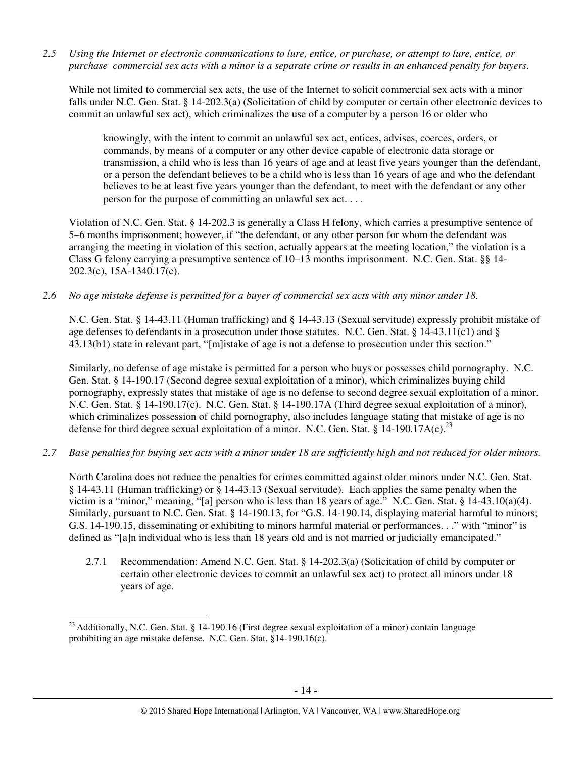*2.5 Using the Internet or electronic communications to lure, entice, or purchase, or attempt to lure, entice, or purchase commercial sex acts with a minor is a separate crime or results in an enhanced penalty for buyers.* 

While not limited to commercial sex acts, the use of the Internet to solicit commercial sex acts with a minor falls under N.C. Gen. Stat. § 14-202.3(a) (Solicitation of child by computer or certain other electronic devices to commit an unlawful sex act), which criminalizes the use of a computer by a person 16 or older who

knowingly, with the intent to commit an unlawful sex act, entices, advises, coerces, orders, or commands, by means of a computer or any other device capable of electronic data storage or transmission, a child who is less than 16 years of age and at least five years younger than the defendant, or a person the defendant believes to be a child who is less than 16 years of age and who the defendant believes to be at least five years younger than the defendant, to meet with the defendant or any other person for the purpose of committing an unlawful sex act. . . .

Violation of N.C. Gen. Stat. § 14-202.3 is generally a Class H felony, which carries a presumptive sentence of 5–6 months imprisonment; however, if "the defendant, or any other person for whom the defendant was arranging the meeting in violation of this section, actually appears at the meeting location," the violation is a Class G felony carrying a presumptive sentence of 10–13 months imprisonment. N.C. Gen. Stat. §§ 14- 202.3(c), 15A-1340.17(c).

*2.6 No age mistake defense is permitted for a buyer of commercial sex acts with any minor under 18.* 

N.C. Gen. Stat. § 14-43.11 (Human trafficking) and § 14-43.13 (Sexual servitude) expressly prohibit mistake of age defenses to defendants in a prosecution under those statutes. N.C. Gen. Stat. § 14-43.11(c1) and § 43.13(b1) state in relevant part, "[m]istake of age is not a defense to prosecution under this section."

Similarly, no defense of age mistake is permitted for a person who buys or possesses child pornography. N.C. Gen. Stat. § 14-190.17 (Second degree sexual exploitation of a minor), which criminalizes buying child pornography, expressly states that mistake of age is no defense to second degree sexual exploitation of a minor. N.C. Gen. Stat. § 14-190.17(c). N.C. Gen. Stat. § 14-190.17A (Third degree sexual exploitation of a minor), which criminalizes possession of child pornography, also includes language stating that mistake of age is no defense for third degree sexual exploitation of a minor. N.C. Gen. Stat. § 14-190.17A(c).<sup>23</sup>

*2.7 Base penalties for buying sex acts with a minor under 18 are sufficiently high and not reduced for older minors.* 

North Carolina does not reduce the penalties for crimes committed against older minors under N.C. Gen. Stat. § 14-43.11 (Human trafficking) or § 14-43.13 (Sexual servitude). Each applies the same penalty when the victim is a "minor," meaning, "[a] person who is less than 18 years of age." N.C. Gen. Stat. § 14-43.10(a)(4). Similarly, pursuant to N.C. Gen. Stat. § 14-190.13, for "G.S. 14-190.14, displaying material harmful to minors; G.S. 14-190.15, disseminating or exhibiting to minors harmful material or performances. . ." with "minor" is defined as "[a]n individual who is less than 18 years old and is not married or judicially emancipated."

2.7.1 Recommendation: Amend N.C. Gen. Stat. § 14-202.3(a) (Solicitation of child by computer or certain other electronic devices to commit an unlawful sex act) to protect all minors under 18 years of age.

<sup>&</sup>lt;sup>23</sup> Additionally, N.C. Gen. Stat. § 14-190.16 (First degree sexual exploitation of a minor) contain language prohibiting an age mistake defense. N.C. Gen. Stat. §14-190.16(c).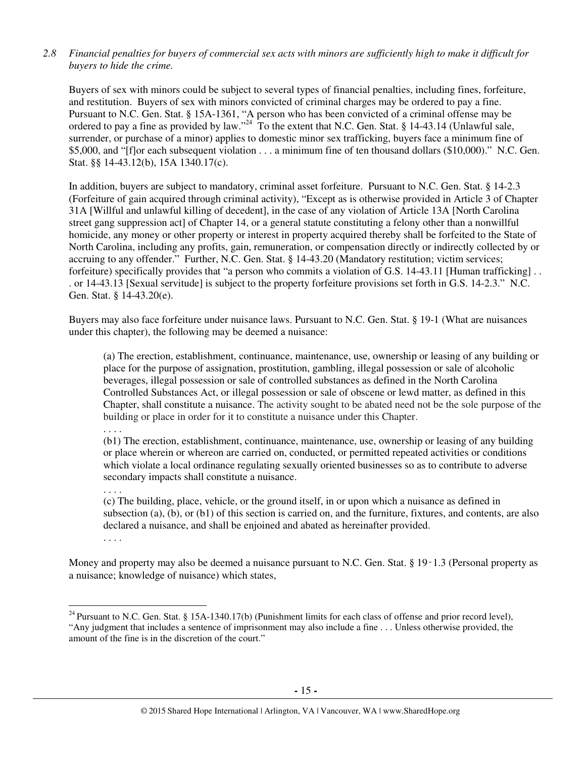## *2.8 Financial penalties for buyers of commercial sex acts with minors are sufficiently high to make it difficult for buyers to hide the crime.*

Buyers of sex with minors could be subject to several types of financial penalties, including fines, forfeiture, and restitution. Buyers of sex with minors convicted of criminal charges may be ordered to pay a fine. Pursuant to N.C. Gen. Stat. § 15A-1361, "A person who has been convicted of a criminal offense may be ordered to pay a fine as provided by law."<sup>24</sup> To the extent that N.C. Gen. Stat. § 14-43.14 (Unlawful sale, surrender, or purchase of a minor) applies to domestic minor sex trafficking, buyers face a minimum fine of \$5,000, and "[f]or each subsequent violation . . . a minimum fine of ten thousand dollars (\$10,000)." N.C. Gen. Stat. §§ 14-43.12(b), 15A 1340.17(c).

In addition, buyers are subject to mandatory, criminal asset forfeiture. Pursuant to N.C. Gen. Stat. § 14-2.3 (Forfeiture of gain acquired through criminal activity), "Except as is otherwise provided in Article 3 of Chapter 31A [Willful and unlawful killing of decedent], in the case of any violation of Article 13A [North Carolina street gang suppression act] of Chapter 14, or a general statute constituting a felony other than a nonwillful homicide, any money or other property or interest in property acquired thereby shall be forfeited to the State of North Carolina, including any profits, gain, remuneration, or compensation directly or indirectly collected by or accruing to any offender." Further, N.C. Gen. Stat. § 14-43.20 (Mandatory restitution; victim services; forfeiture) specifically provides that "a person who commits a violation of G.S. 14-43.11 [Human trafficking] . . . or 14-43.13 [Sexual servitude] is subject to the property forfeiture provisions set forth in G.S. 14-2.3." N.C. Gen. Stat. § 14-43.20(e).

Buyers may also face forfeiture under nuisance laws. Pursuant to N.C. Gen. Stat. § 19-1 (What are nuisances under this chapter), the following may be deemed a nuisance:

(a) The erection, establishment, continuance, maintenance, use, ownership or leasing of any building or place for the purpose of assignation, prostitution, gambling, illegal possession or sale of alcoholic beverages, illegal possession or sale of controlled substances as defined in the North Carolina Controlled Substances Act, or illegal possession or sale of obscene or lewd matter, as defined in this Chapter, shall constitute a nuisance. The activity sought to be abated need not be the sole purpose of the building or place in order for it to constitute a nuisance under this Chapter.

. . . .

(b1) The erection, establishment, continuance, maintenance, use, ownership or leasing of any building or place wherein or whereon are carried on, conducted, or permitted repeated activities or conditions which violate a local ordinance regulating sexually oriented businesses so as to contribute to adverse secondary impacts shall constitute a nuisance.

. . . .

(c) The building, place, vehicle, or the ground itself, in or upon which a nuisance as defined in subsection (a), (b), or (b1) of this section is carried on, and the furniture, fixtures, and contents, are also declared a nuisance, and shall be enjoined and abated as hereinafter provided.

. . . .

 $\overline{a}$ 

Money and property may also be deemed a nuisance pursuant to N.C. Gen. Stat. § 19-1.3 (Personal property as a nuisance; knowledge of nuisance) which states,

 $^{24}$  Pursuant to N.C. Gen. Stat. § 15A-1340.17(b) (Punishment limits for each class of offense and prior record level), "Any judgment that includes a sentence of imprisonment may also include a fine . . . Unless otherwise provided, the amount of the fine is in the discretion of the court."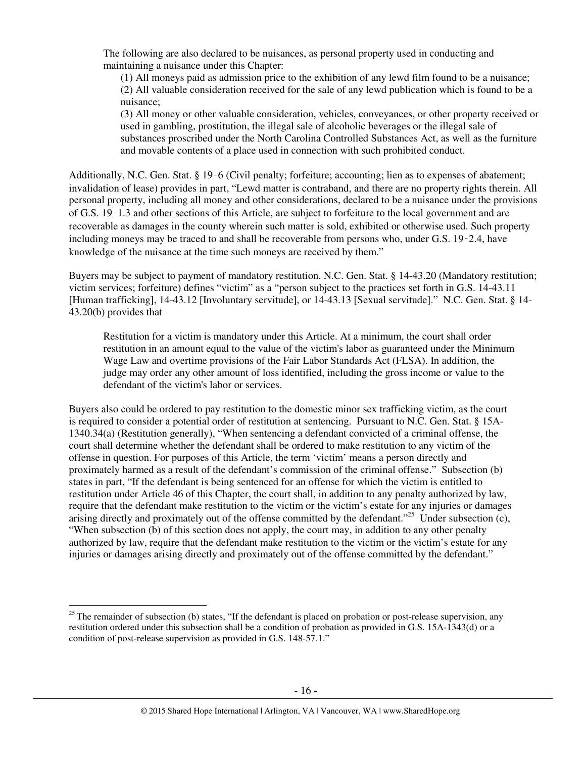The following are also declared to be nuisances, as personal property used in conducting and maintaining a nuisance under this Chapter:

(1) All moneys paid as admission price to the exhibition of any lewd film found to be a nuisance; (2) All valuable consideration received for the sale of any lewd publication which is found to be a nuisance;

(3) All money or other valuable consideration, vehicles, conveyances, or other property received or used in gambling, prostitution, the illegal sale of alcoholic beverages or the illegal sale of substances proscribed under the North Carolina Controlled Substances Act, as well as the furniture and movable contents of a place used in connection with such prohibited conduct.

Additionally, N.C. Gen. Stat. § 19‑6 (Civil penalty; forfeiture; accounting; lien as to expenses of abatement; invalidation of lease) provides in part, "Lewd matter is contraband, and there are no property rights therein. All personal property, including all money and other considerations, declared to be a nuisance under the provisions of G.S. 19‑1.3 and other sections of this Article, are subject to forfeiture to the local government and are recoverable as damages in the county wherein such matter is sold, exhibited or otherwise used. Such property including moneys may be traced to and shall be recoverable from persons who, under G.S. 19‑2.4, have knowledge of the nuisance at the time such moneys are received by them."

Buyers may be subject to payment of mandatory restitution. N.C. Gen. Stat. § 14-43.20 (Mandatory restitution; victim services; forfeiture) defines "victim" as a "person subject to the practices set forth in G.S. 14-43.11 [Human trafficking], 14-43.12 [Involuntary servitude], or 14-43.13 [Sexual servitude]." N.C. Gen. Stat. § 14- 43.20(b) provides that

Restitution for a victim is mandatory under this Article. At a minimum, the court shall order restitution in an amount equal to the value of the victim's labor as guaranteed under the Minimum Wage Law and overtime provisions of the Fair Labor Standards Act (FLSA). In addition, the judge may order any other amount of loss identified, including the gross income or value to the defendant of the victim's labor or services.

Buyers also could be ordered to pay restitution to the domestic minor sex trafficking victim, as the court is required to consider a potential order of restitution at sentencing. Pursuant to N.C. Gen. Stat. § 15A-1340.34(a) (Restitution generally), "When sentencing a defendant convicted of a criminal offense, the court shall determine whether the defendant shall be ordered to make restitution to any victim of the offense in question. For purposes of this Article, the term 'victim' means a person directly and proximately harmed as a result of the defendant's commission of the criminal offense." Subsection (b) states in part, "If the defendant is being sentenced for an offense for which the victim is entitled to restitution under Article 46 of this Chapter, the court shall, in addition to any penalty authorized by law, require that the defendant make restitution to the victim or the victim's estate for any injuries or damages arising directly and proximately out of the offense committed by the defendant."<sup>25</sup> Under subsection (c), "When subsection (b) of this section does not apply, the court may, in addition to any other penalty authorized by law, require that the defendant make restitution to the victim or the victim's estate for any injuries or damages arising directly and proximately out of the offense committed by the defendant."

 $25$ The remainder of subsection (b) states, "If the defendant is placed on probation or post-release supervision, any restitution ordered under this subsection shall be a condition of probation as provided in G.S. 15A-1343(d) or a condition of post-release supervision as provided in G.S. 148-57.1."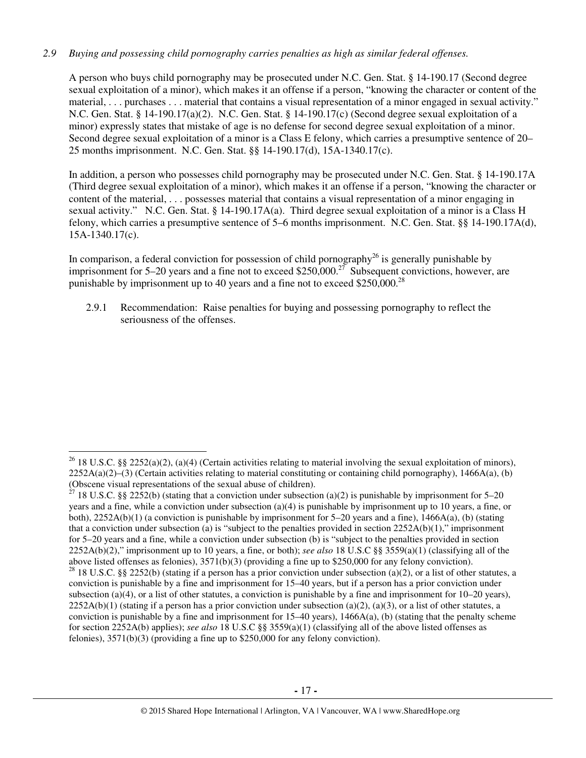## *2.9 Buying and possessing child pornography carries penalties as high as similar federal offenses.*

A person who buys child pornography may be prosecuted under N.C. Gen. Stat. § 14-190.17 (Second degree sexual exploitation of a minor), which makes it an offense if a person, "knowing the character or content of the material, . . . purchases . . . material that contains a visual representation of a minor engaged in sexual activity." N.C. Gen. Stat. § 14-190.17(a)(2). N.C. Gen. Stat. § 14-190.17(c) (Second degree sexual exploitation of a minor) expressly states that mistake of age is no defense for second degree sexual exploitation of a minor. Second degree sexual exploitation of a minor is a Class E felony, which carries a presumptive sentence of 20– 25 months imprisonment. N.C. Gen. Stat. §§ 14-190.17(d), 15A-1340.17(c).

In addition, a person who possesses child pornography may be prosecuted under N.C. Gen. Stat. § 14-190.17A (Third degree sexual exploitation of a minor), which makes it an offense if a person, "knowing the character or content of the material, . . . possesses material that contains a visual representation of a minor engaging in sexual activity." N.C. Gen. Stat. § 14-190.17A(a). Third degree sexual exploitation of a minor is a Class H felony, which carries a presumptive sentence of 5–6 months imprisonment. N.C. Gen. Stat. §§ 14-190.17A(d), 15A-1340.17(c).

In comparison, a federal conviction for possession of child pornography<sup>26</sup> is generally punishable by imprisonment for 5–20 years and a fine not to exceed \$250,000.<sup>27</sup> Subsequent convictions, however, are punishable by imprisonment up to 40 years and a fine not to exceed \$250,000.<sup>28</sup>

2.9.1 Recommendation: Raise penalties for buying and possessing pornography to reflect the seriousness of the offenses.

 $\overline{a}$ 

<sup>&</sup>lt;sup>26</sup> 18 U.S.C. §§ 2252(a)(2), (a)(4) (Certain activities relating to material involving the sexual exploitation of minors),  $2252A(a)(2)$ –(3) (Certain activities relating to material constituting or containing child pornography), 1466A(a), (b) (Obscene visual representations of the sexual abuse of children).

<sup>&</sup>lt;sup>7</sup> 18 U.S.C. §§ 2252(b) (stating that a conviction under subsection (a)(2) is punishable by imprisonment for 5–20 years and a fine, while a conviction under subsection (a)(4) is punishable by imprisonment up to 10 years, a fine, or both),  $2252A(b)(1)$  (a conviction is punishable by imprisonment for 5–20 years and a fine), 1466A(a), (b) (stating that a conviction under subsection (a) is "subject to the penalties provided in section  $2252A(b)(1)$ ," imprisonment for 5–20 years and a fine, while a conviction under subsection (b) is "subject to the penalties provided in section 2252A(b)(2)," imprisonment up to 10 years, a fine, or both); *see also* 18 U.S.C §§ 3559(a)(1) (classifying all of the above listed offenses as felonies), 3571(b)(3) (providing a fine up to \$250,000 for any felony conviction). <sup>28</sup> 18 U.S.C. §§ 2252(b) (stating if a person has a prior conviction under subsection (a)(2), or a list of other statutes, a conviction is punishable by a fine and imprisonment for 15–40 years, but if a person has a prior conviction under subsection (a)(4), or a list of other statutes, a conviction is punishable by a fine and imprisonment for  $10-20$  years),  $2252A(b)(1)$  (stating if a person has a prior conviction under subsection (a)(2), (a)(3), or a list of other statutes, a conviction is punishable by a fine and imprisonment for  $15-40$  years),  $1466A(a)$ , (b) (stating that the penalty scheme for section 2252A(b) applies); *see also* 18 U.S.C §§ 3559(a)(1) (classifying all of the above listed offenses as felonies), 3571(b)(3) (providing a fine up to \$250,000 for any felony conviction).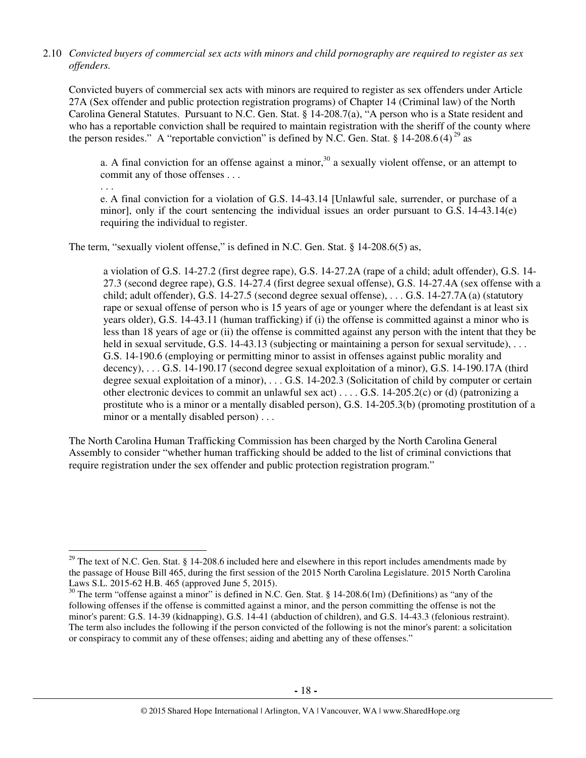## 2.10 *Convicted buyers of commercial sex acts with minors and child pornography are required to register as sex offenders.*

Convicted buyers of commercial sex acts with minors are required to register as sex offenders under Article 27A (Sex offender and public protection registration programs) of Chapter 14 (Criminal law) of the North Carolina General Statutes. Pursuant to N.C. Gen. Stat. § 14-208.7(a), "A person who is a State resident and who has a reportable conviction shall be required to maintain registration with the sheriff of the county where the person resides." A "reportable conviction" is defined by N.C. Gen. Stat. § 14-208.6(4)<sup>29</sup> as

a. A final conviction for an offense against a minor,<sup>30</sup> a sexually violent offense, or an attempt to commit any of those offenses . . .

. . .

 $\overline{a}$ 

e. A final conviction for a violation of G.S. 14-43.14 [Unlawful sale, surrender, or purchase of a minor], only if the court sentencing the individual issues an order pursuant to G.S. 14-43.14(e) requiring the individual to register.

The term, "sexually violent offense," is defined in N.C. Gen. Stat. § 14-208.6(5) as,

a violation of G.S. 14-27.2 (first degree rape), G.S. 14-27.2A (rape of a child; adult offender), G.S. 14- 27.3 (second degree rape), G.S. 14-27.4 (first degree sexual offense), G.S. 14-27.4A (sex offense with a child; adult offender), G.S. 14-27.5 (second degree sexual offense), . . . G.S. 14-27.7A (a) (statutory rape or sexual offense of person who is 15 years of age or younger where the defendant is at least six years older), G.S. 14-43.11 (human trafficking) if (i) the offense is committed against a minor who is less than 18 years of age or (ii) the offense is committed against any person with the intent that they be held in sexual servitude, G.S. 14-43.13 (subjecting or maintaining a person for sexual servitude), ... G.S. 14-190.6 (employing or permitting minor to assist in offenses against public morality and decency), . . . G.S. 14-190.17 (second degree sexual exploitation of a minor), G.S. 14-190.17A (third degree sexual exploitation of a minor), . . . G.S. 14-202.3 (Solicitation of child by computer or certain other electronic devices to commit an unlawful sex act) . . . . G.S. 14-205.2(c) or (d) (patronizing a prostitute who is a minor or a mentally disabled person), G.S. 14-205.3(b) (promoting prostitution of a minor or a mentally disabled person)...

The North Carolina Human Trafficking Commission has been charged by the North Carolina General Assembly to consider "whether human trafficking should be added to the list of criminal convictions that require registration under the sex offender and public protection registration program."

 $29$  The text of N.C. Gen. Stat. § 14-208.6 included here and elsewhere in this report includes amendments made by the passage of House Bill 465, during the first session of the 2015 North Carolina Legislature. 2015 North Carolina Laws S.L. 2015-62 H.B. 465 (approved June 5, 2015).

<sup>&</sup>lt;sup>30</sup> The term "offense against a minor" is defined in N.C. Gen. Stat. § 14-208.6(1m) (Definitions) as "any of the following offenses if the offense is committed against a minor, and the person committing the offense is not the minor's parent: G.S. 14-39 (kidnapping), G.S. 14-41 (abduction of children), and G.S. 14-43.3 (felonious restraint). The term also includes the following if the person convicted of the following is not the minor's parent: a solicitation or conspiracy to commit any of these offenses; aiding and abetting any of these offenses."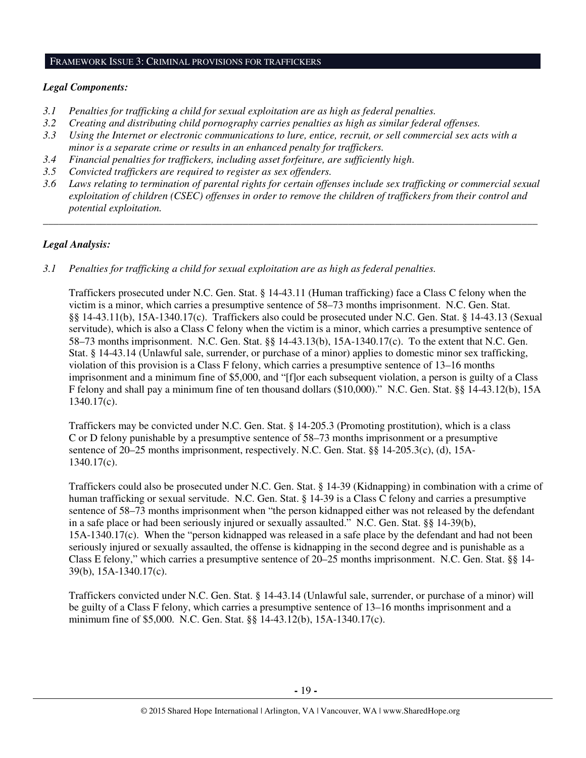#### FRAMEWORK ISSUE 3: CRIMINAL PROVISIONS FOR TRAFFICKERS

## *Legal Components:*

- *3.1 Penalties for trafficking a child for sexual exploitation are as high as federal penalties.*
- *3.2 Creating and distributing child pornography carries penalties as high as similar federal offenses.*
- *3.3 Using the Internet or electronic communications to lure, entice, recruit, or sell commercial sex acts with a minor is a separate crime or results in an enhanced penalty for traffickers.*
- *3.4 Financial penalties for traffickers, including asset forfeiture, are sufficiently high*.
- *3.5 Convicted traffickers are required to register as sex offenders.*
- *3.6 Laws relating to termination of parental rights for certain offenses include sex trafficking or commercial sexual exploitation of children (CSEC) offenses in order to remove the children of traffickers from their control and potential exploitation.*

*\_\_\_\_\_\_\_\_\_\_\_\_\_\_\_\_\_\_\_\_\_\_\_\_\_\_\_\_\_\_\_\_\_\_\_\_\_\_\_\_\_\_\_\_\_\_\_\_\_\_\_\_\_\_\_\_\_\_\_\_\_\_\_\_\_\_\_\_\_\_\_\_\_\_\_\_\_\_\_\_\_\_\_\_\_\_\_\_\_\_\_\_\_\_* 

# *Legal Analysis:*

*3.1 Penalties for trafficking a child for sexual exploitation are as high as federal penalties.* 

Traffickers prosecuted under N.C. Gen. Stat. § 14-43.11 (Human trafficking) face a Class C felony when the victim is a minor, which carries a presumptive sentence of 58–73 months imprisonment. N.C. Gen. Stat. §§ 14-43.11(b), 15A-1340.17(c). Traffickers also could be prosecuted under N.C. Gen. Stat. § 14-43.13 (Sexual servitude), which is also a Class C felony when the victim is a minor, which carries a presumptive sentence of 58–73 months imprisonment. N.C. Gen. Stat. §§ 14-43.13(b), 15A-1340.17(c). To the extent that N.C. Gen. Stat. § 14-43.14 (Unlawful sale, surrender, or purchase of a minor) applies to domestic minor sex trafficking, violation of this provision is a Class F felony, which carries a presumptive sentence of 13–16 months imprisonment and a minimum fine of \$5,000, and "[f]or each subsequent violation, a person is guilty of a Class F felony and shall pay a minimum fine of ten thousand dollars (\$10,000)." N.C. Gen. Stat. §§ 14-43.12(b), 15A 1340.17(c).

Traffickers may be convicted under N.C. Gen. Stat. § 14-205.3 (Promoting prostitution), which is a class C or D felony punishable by a presumptive sentence of 58–73 months imprisonment or a presumptive sentence of 20–25 months imprisonment, respectively. N.C. Gen. Stat. §§ 14-205.3(c), (d), 15A-1340.17(c).

Traffickers could also be prosecuted under N.C. Gen. Stat. § 14-39 (Kidnapping) in combination with a crime of human trafficking or sexual servitude. N.C. Gen. Stat. § 14-39 is a Class C felony and carries a presumptive sentence of 58–73 months imprisonment when "the person kidnapped either was not released by the defendant in a safe place or had been seriously injured or sexually assaulted." N.C. Gen. Stat. §§ 14-39(b), 15A-1340.17(c). When the "person kidnapped was released in a safe place by the defendant and had not been seriously injured or sexually assaulted, the offense is kidnapping in the second degree and is punishable as a Class E felony," which carries a presumptive sentence of 20–25 months imprisonment. N.C. Gen. Stat. §§ 14- 39(b), 15A-1340.17(c).

Traffickers convicted under N.C. Gen. Stat. § 14-43.14 (Unlawful sale, surrender, or purchase of a minor) will be guilty of a Class F felony, which carries a presumptive sentence of 13–16 months imprisonment and a minimum fine of \$5,000. N.C. Gen. Stat. §§ 14-43.12(b), 15A-1340.17(c).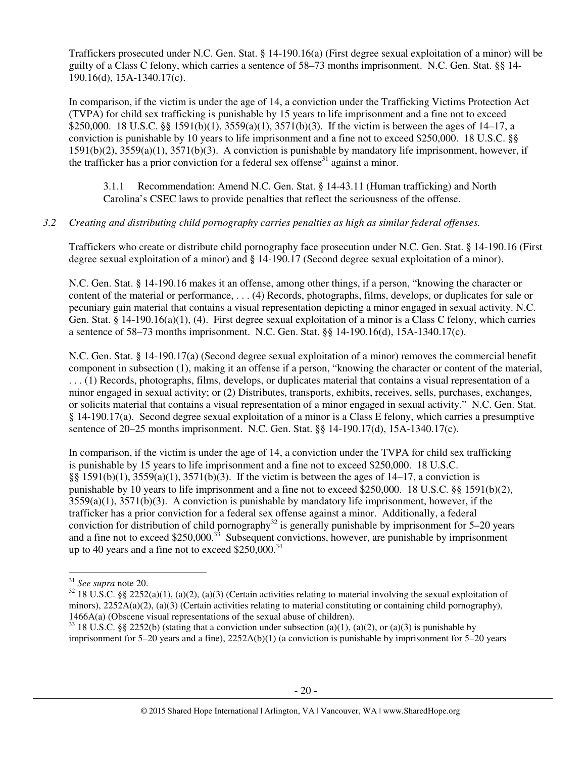Traffickers prosecuted under N.C. Gen. Stat. § 14-190.16(a) (First degree sexual exploitation of a minor) will be guilty of a Class C felony, which carries a sentence of 58–73 months imprisonment. N.C. Gen. Stat. §§ 14- 190.16(d), 15A-1340.17(c).

In comparison, if the victim is under the age of 14, a conviction under the Trafficking Victims Protection Act (TVPA) for child sex trafficking is punishable by 15 years to life imprisonment and a fine not to exceed \$250,000. 18 U.S.C. §§ 1591(b)(1), 3559(a)(1), 3571(b)(3). If the victim is between the ages of 14–17, a conviction is punishable by 10 years to life imprisonment and a fine not to exceed \$250,000. 18 U.S.C. §§ 1591(b)(2), 3559(a)(1), 3571(b)(3). A conviction is punishable by mandatory life imprisonment, however, if the trafficker has a prior conviction for a federal sex offense<sup>31</sup> against a minor.

3.1.1 Recommendation: Amend N.C. Gen. Stat. § 14-43.11 (Human trafficking) and North Carolina's CSEC laws to provide penalties that reflect the seriousness of the offense.

#### *3.2 Creating and distributing child pornography carries penalties as high as similar federal offenses.*

Traffickers who create or distribute child pornography face prosecution under N.C. Gen. Stat. § 14-190.16 (First degree sexual exploitation of a minor) and § 14-190.17 (Second degree sexual exploitation of a minor).

N.C. Gen. Stat. § 14-190.16 makes it an offense, among other things, if a person, "knowing the character or content of the material or performance, . . . (4) Records, photographs, films, develops, or duplicates for sale or pecuniary gain material that contains a visual representation depicting a minor engaged in sexual activity. N.C. Gen. Stat. § 14-190.16(a)(1), (4). First degree sexual exploitation of a minor is a Class C felony, which carries a sentence of 58–73 months imprisonment. N.C. Gen. Stat. §§ 14-190.16(d), 15A-1340.17(c).

N.C. Gen. Stat. § 14-190.17(a) (Second degree sexual exploitation of a minor) removes the commercial benefit component in subsection (1), making it an offense if a person, "knowing the character or content of the material, . . . (1) Records, photographs, films, develops, or duplicates material that contains a visual representation of a minor engaged in sexual activity; or (2) Distributes, transports, exhibits, receives, sells, purchases, exchanges, or solicits material that contains a visual representation of a minor engaged in sexual activity." N.C. Gen. Stat. § 14-190.17(a). Second degree sexual exploitation of a minor is a Class E felony, which carries a presumptive sentence of 20–25 months imprisonment. N.C. Gen. Stat. §§ 14-190.17(d), 15A-1340.17(c).

In comparison, if the victim is under the age of 14, a conviction under the TVPA for child sex trafficking is punishable by 15 years to life imprisonment and a fine not to exceed \$250,000. 18 U.S.C. §§ 1591(b)(1),  $3559(a)(1)$ ,  $3571(b)(3)$ . If the victim is between the ages of 14–17, a conviction is punishable by 10 years to life imprisonment and a fine not to exceed \$250,000. 18 U.S.C. §§ 1591(b)(2),  $3559(a)(1)$ ,  $3571(b)(3)$ . A conviction is punishable by mandatory life imprisonment, however, if the trafficker has a prior conviction for a federal sex offense against a minor. Additionally, a federal conviction for distribution of child pornography<sup>32</sup> is generally punishable by imprisonment for  $5-20$  years and a fine not to exceed \$250,000.<sup>33</sup> Subsequent convictions, however, are punishable by imprisonment up to 40 years and a fine not to exceed  $$250,000.<sup>34</sup>$ 

 $\overline{a}$ 

<sup>31</sup> *See supra* note 20.

 $32$  18 U.S.C. §§ 2252(a)(1), (a)(2), (a)(3) (Certain activities relating to material involving the sexual exploitation of minors),  $2252A(a)(2)$ ,  $(a)(3)$  (Certain activities relating to material constituting or containing child pornography), 1466A(a) (Obscene visual representations of the sexual abuse of children).

<sup>&</sup>lt;sup>33</sup> 18 U.S.C. §§ 2252(b) (stating that a conviction under subsection (a)(1), (a)(2), or (a)(3) is punishable by imprisonment for 5–20 years and a fine), 2252A(b)(1) (a conviction is punishable by imprisonment for 5–20 years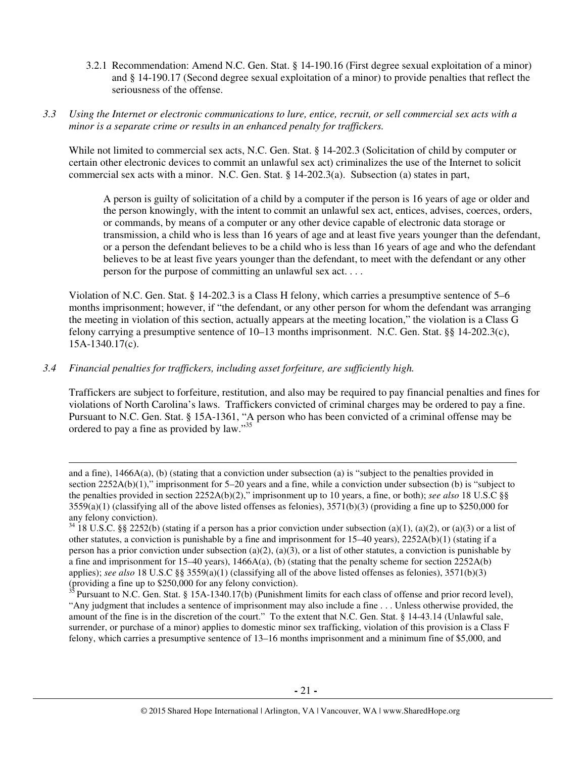- 3.2.1 Recommendation: Amend N.C. Gen. Stat. § 14-190.16 (First degree sexual exploitation of a minor) and § 14-190.17 (Second degree sexual exploitation of a minor) to provide penalties that reflect the seriousness of the offense.
- *3.3 Using the Internet or electronic communications to lure, entice, recruit, or sell commercial sex acts with a minor is a separate crime or results in an enhanced penalty for traffickers.*

While not limited to commercial sex acts, N.C. Gen. Stat. § 14-202.3 (Solicitation of child by computer or certain other electronic devices to commit an unlawful sex act) criminalizes the use of the Internet to solicit commercial sex acts with a minor. N.C. Gen. Stat. § 14-202.3(a). Subsection (a) states in part,

A person is guilty of solicitation of a child by a computer if the person is 16 years of age or older and the person knowingly, with the intent to commit an unlawful sex act, entices, advises, coerces, orders, or commands, by means of a computer or any other device capable of electronic data storage or transmission, a child who is less than 16 years of age and at least five years younger than the defendant, or a person the defendant believes to be a child who is less than 16 years of age and who the defendant believes to be at least five years younger than the defendant, to meet with the defendant or any other person for the purpose of committing an unlawful sex act. . . .

Violation of N.C. Gen. Stat. § 14-202.3 is a Class H felony, which carries a presumptive sentence of 5–6 months imprisonment; however, if "the defendant, or any other person for whom the defendant was arranging the meeting in violation of this section, actually appears at the meeting location," the violation is a Class G felony carrying a presumptive sentence of 10–13 months imprisonment. N.C. Gen. Stat. §§ 14-202.3(c), 15A-1340.17(c).

## *3.4 Financial penalties for traffickers, including asset forfeiture, are sufficiently high.*

l

Traffickers are subject to forfeiture, restitution, and also may be required to pay financial penalties and fines for violations of North Carolina's laws. Traffickers convicted of criminal charges may be ordered to pay a fine. Pursuant to N.C. Gen. Stat. § 15A-1361, "A person who has been convicted of a criminal offense may be ordered to pay a fine as provided by law."<sup>35</sup>

and a fine), 1466A(a), (b) (stating that a conviction under subsection (a) is "subject to the penalties provided in section 2252A(b)(1)," imprisonment for 5–20 years and a fine, while a conviction under subsection (b) is "subject to the penalties provided in section 2252A(b)(2)," imprisonment up to 10 years, a fine, or both); *see also* 18 U.S.C §§  $3559(a)(1)$  (classifying all of the above listed offenses as felonies),  $3571(b)(3)$  (providing a fine up to \$250,000 for any felony conviction).

 $34\overline{18}$  U.S.C. §§ 2252(b) (stating if a person has a prior conviction under subsection (a)(1), (a)(2), or (a)(3) or a list of other statutes, a conviction is punishable by a fine and imprisonment for  $15-40$  years),  $2252A(b)(1)$  (stating if a person has a prior conviction under subsection (a)(2), (a)(3), or a list of other statutes, a conviction is punishable by a fine and imprisonment for  $15-40$  years),  $1466A(a)$ , (b) (stating that the penalty scheme for section  $2252A(b)$ applies); *see also* 18 U.S.C §§ 3559(a)(1) (classifying all of the above listed offenses as felonies), 3571(b)(3) (providing a fine up to \$250,000 for any felony conviction).

 $35$  Pursuant to N.C. Gen. Stat. § 15A-1340.17(b) (Punishment limits for each class of offense and prior record level), "Any judgment that includes a sentence of imprisonment may also include a fine . . . Unless otherwise provided, the amount of the fine is in the discretion of the court." To the extent that N.C. Gen. Stat. § 14-43.14 (Unlawful sale, surrender, or purchase of a minor) applies to domestic minor sex trafficking, violation of this provision is a Class F felony, which carries a presumptive sentence of 13–16 months imprisonment and a minimum fine of \$5,000, and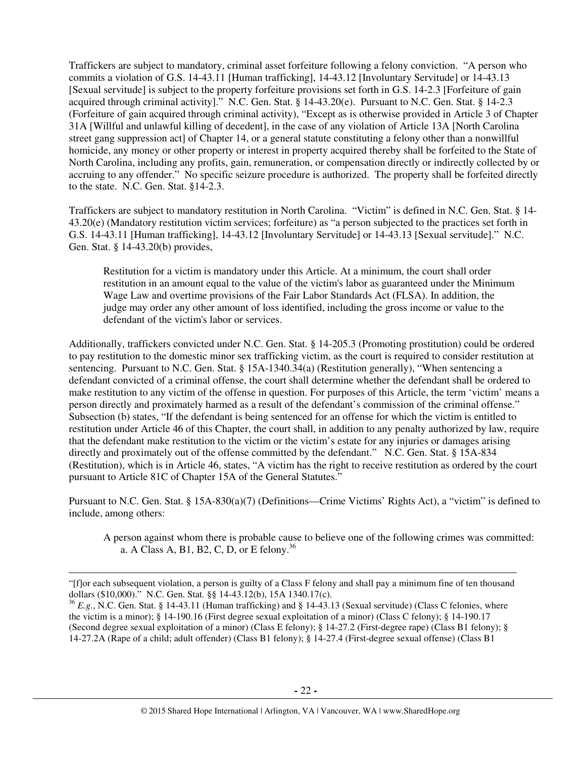Traffickers are subject to mandatory, criminal asset forfeiture following a felony conviction. "A person who commits a violation of G.S. 14-43.11 [Human trafficking], 14-43.12 [Involuntary Servitude] or 14-43.13 [Sexual servitude] is subject to the property forfeiture provisions set forth in G.S. 14-2.3 [Forfeiture of gain acquired through criminal activity]." N.C. Gen. Stat. § 14-43.20(e). Pursuant to N.C. Gen. Stat. § 14-2.3 (Forfeiture of gain acquired through criminal activity), "Except as is otherwise provided in Article 3 of Chapter 31A [Willful and unlawful killing of decedent], in the case of any violation of Article 13A [North Carolina street gang suppression act] of Chapter 14, or a general statute constituting a felony other than a nonwillful homicide, any money or other property or interest in property acquired thereby shall be forfeited to the State of North Carolina, including any profits, gain, remuneration, or compensation directly or indirectly collected by or accruing to any offender." No specific seizure procedure is authorized. The property shall be forfeited directly to the state. N.C. Gen. Stat. §14-2.3.

Traffickers are subject to mandatory restitution in North Carolina. "Victim" is defined in N.C. Gen. Stat. § 14- 43.20(e) (Mandatory restitution victim services; forfeiture) as "a person subjected to the practices set forth in G.S. 14-43.11 [Human trafficking], 14-43.12 [Involuntary Servitude] or 14-43.13 [Sexual servitude]." N.C. Gen. Stat. § 14-43.20(b) provides,

Restitution for a victim is mandatory under this Article. At a minimum, the court shall order restitution in an amount equal to the value of the victim's labor as guaranteed under the Minimum Wage Law and overtime provisions of the Fair Labor Standards Act (FLSA). In addition, the judge may order any other amount of loss identified, including the gross income or value to the defendant of the victim's labor or services.

Additionally, traffickers convicted under N.C. Gen. Stat. § 14-205.3 (Promoting prostitution) could be ordered to pay restitution to the domestic minor sex trafficking victim, as the court is required to consider restitution at sentencing. Pursuant to N.C. Gen. Stat. § 15A-1340.34(a) (Restitution generally), "When sentencing a defendant convicted of a criminal offense, the court shall determine whether the defendant shall be ordered to make restitution to any victim of the offense in question. For purposes of this Article, the term 'victim' means a person directly and proximately harmed as a result of the defendant's commission of the criminal offense." Subsection (b) states, "If the defendant is being sentenced for an offense for which the victim is entitled to restitution under Article 46 of this Chapter, the court shall, in addition to any penalty authorized by law, require that the defendant make restitution to the victim or the victim's estate for any injuries or damages arising directly and proximately out of the offense committed by the defendant." N.C. Gen. Stat. § 15A-834 (Restitution), which is in Article 46, states, "A victim has the right to receive restitution as ordered by the court pursuant to Article 81C of Chapter 15A of the General Statutes."

Pursuant to N.C. Gen. Stat. § 15A-830(a)(7) (Definitions—Crime Victims' Rights Act), a "victim" is defined to include, among others:

A person against whom there is probable cause to believe one of the following crimes was committed: a. A Class A, B1, B2, C, D, or E felony.<sup>36</sup>

 $\overline{a}$ 

<sup>&</sup>quot;[f]or each subsequent violation, a person is guilty of a Class F felony and shall pay a minimum fine of ten thousand dollars (\$10,000)." N.C. Gen. Stat. §§ 14-43.12(b), 15A 1340.17(c).

<sup>36</sup> *E.g.*, N.C. Gen. Stat. § 14-43.11 (Human trafficking) and § 14-43.13 (Sexual servitude) (Class C felonies, where the victim is a minor); § 14-190.16 (First degree sexual exploitation of a minor) (Class C felony); § 14-190.17 (Second degree sexual exploitation of a minor) (Class E felony); § 14-27.2 (First-degree rape) (Class B1 felony); § 14-27.2A (Rape of a child; adult offender) (Class B1 felony); § 14-27.4 (First-degree sexual offense) (Class B1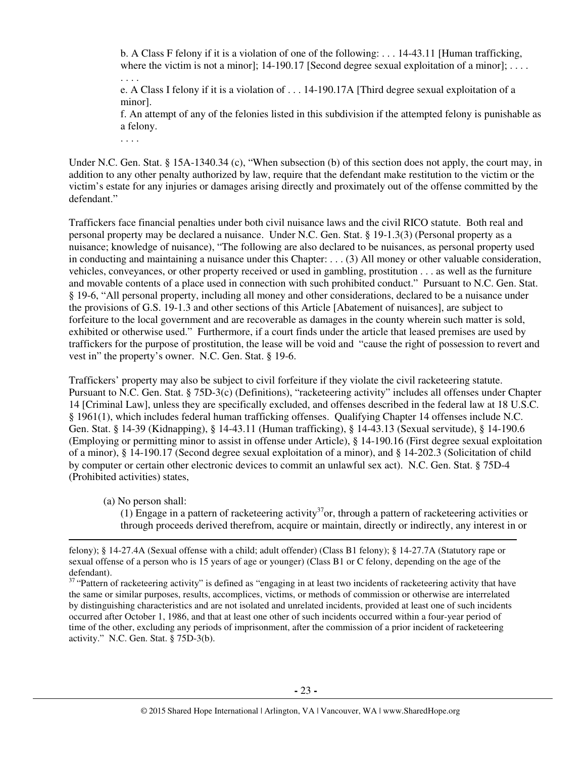b. A Class F felony if it is a violation of one of the following: . . . 14-43.11 [Human trafficking, where the victim is not a minor]; 14-190.17 [Second degree sexual exploitation of a minor];  $\dots$ 

. . . . e. A Class I felony if it is a violation of . . . 14-190.17A [Third degree sexual exploitation of a minor].

f. An attempt of any of the felonies listed in this subdivision if the attempted felony is punishable as a felony.

. . . .

Under N.C. Gen. Stat. § 15A-1340.34 (c), "When subsection (b) of this section does not apply, the court may, in addition to any other penalty authorized by law, require that the defendant make restitution to the victim or the victim's estate for any injuries or damages arising directly and proximately out of the offense committed by the defendant."

Traffickers face financial penalties under both civil nuisance laws and the civil RICO statute. Both real and personal property may be declared a nuisance. Under N.C. Gen. Stat. § 19-1.3(3) (Personal property as a nuisance; knowledge of nuisance), "The following are also declared to be nuisances, as personal property used in conducting and maintaining a nuisance under this Chapter: . . . (3) All money or other valuable consideration, vehicles, conveyances, or other property received or used in gambling, prostitution . . . as well as the furniture and movable contents of a place used in connection with such prohibited conduct." Pursuant to N.C. Gen. Stat. § 19-6, "All personal property, including all money and other considerations, declared to be a nuisance under the provisions of G.S. 19-1.3 and other sections of this Article [Abatement of nuisances], are subject to forfeiture to the local government and are recoverable as damages in the county wherein such matter is sold, exhibited or otherwise used." Furthermore, if a court finds under the article that leased premises are used by traffickers for the purpose of prostitution, the lease will be void and "cause the right of possession to revert and vest in" the property's owner. N.C. Gen. Stat. § 19-6.

Traffickers' property may also be subject to civil forfeiture if they violate the civil racketeering statute. Pursuant to N.C. Gen. Stat. § 75D-3(c) (Definitions), "racketeering activity" includes all offenses under Chapter 14 [Criminal Law], unless they are specifically excluded, and offenses described in the federal law at 18 U.S.C. § 1961(1), which includes federal human trafficking offenses. Qualifying Chapter 14 offenses include N.C. Gen. Stat. § 14-39 (Kidnapping), § 14-43.11 (Human trafficking), § 14-43.13 (Sexual servitude), § 14-190.6 (Employing or permitting minor to assist in offense under Article), § 14-190.16 (First degree sexual exploitation of a minor), § 14-190.17 (Second degree sexual exploitation of a minor), and § 14-202.3 (Solicitation of child by computer or certain other electronic devices to commit an unlawful sex act). N.C. Gen. Stat. § 75D-4 (Prohibited activities) states,

(a) No person shall:

 $\overline{a}$ 

(1) Engage in a pattern of racketeering activity<sup>37</sup>or, through a pattern of racketeering activities or through proceeds derived therefrom, acquire or maintain, directly or indirectly, any interest in or

felony); § 14-27.4A (Sexual offense with a child; adult offender) (Class B1 felony); § 14-27.7A (Statutory rape or sexual offense of a person who is 15 years of age or younger) (Class B1 or C felony, depending on the age of the defendant).

<sup>&</sup>lt;sup>37</sup> "Pattern of racketeering activity" is defined as "engaging in at least two incidents of racketeering activity that have the same or similar purposes, results, accomplices, victims, or methods of commission or otherwise are interrelated by distinguishing characteristics and are not isolated and unrelated incidents, provided at least one of such incidents occurred after October 1, 1986, and that at least one other of such incidents occurred within a four-year period of time of the other, excluding any periods of imprisonment, after the commission of a prior incident of racketeering activity." N.C. Gen. Stat. § 75D-3(b).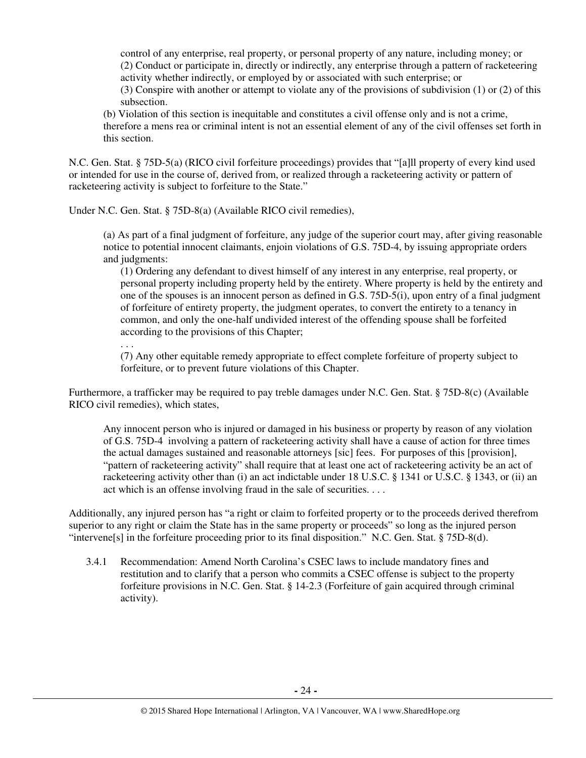control of any enterprise, real property, or personal property of any nature, including money; or (2) Conduct or participate in, directly or indirectly, any enterprise through a pattern of racketeering activity whether indirectly, or employed by or associated with such enterprise; or (3) Conspire with another or attempt to violate any of the provisions of subdivision (1) or (2) of this subsection.

(b) Violation of this section is inequitable and constitutes a civil offense only and is not a crime, therefore a mens rea or criminal intent is not an essential element of any of the civil offenses set forth in this section.

N.C. Gen. Stat. § 75D-5(a) (RICO civil forfeiture proceedings) provides that "[a]ll property of every kind used or intended for use in the course of, derived from, or realized through a racketeering activity or pattern of racketeering activity is subject to forfeiture to the State."

Under N.C. Gen. Stat. § 75D-8(a) (Available RICO civil remedies),

. . .

(a) As part of a final judgment of forfeiture, any judge of the superior court may, after giving reasonable notice to potential innocent claimants, enjoin violations of G.S. 75D-4, by issuing appropriate orders and judgments:

(1) Ordering any defendant to divest himself of any interest in any enterprise, real property, or personal property including property held by the entirety. Where property is held by the entirety and one of the spouses is an innocent person as defined in G.S. 75D-5(i), upon entry of a final judgment of forfeiture of entirety property, the judgment operates, to convert the entirety to a tenancy in common, and only the one-half undivided interest of the offending spouse shall be forfeited according to the provisions of this Chapter;

(7) Any other equitable remedy appropriate to effect complete forfeiture of property subject to forfeiture, or to prevent future violations of this Chapter.

Furthermore, a trafficker may be required to pay treble damages under N.C. Gen. Stat. § 75D-8(c) (Available RICO civil remedies), which states,

Any innocent person who is injured or damaged in his business or property by reason of any violation of G.S. 75D-4 involving a pattern of racketeering activity shall have a cause of action for three times the actual damages sustained and reasonable attorneys [sic] fees. For purposes of this [provision], "pattern of racketeering activity" shall require that at least one act of racketeering activity be an act of racketeering activity other than (i) an act indictable under 18 U.S.C. § 1341 or U.S.C. § 1343, or (ii) an act which is an offense involving fraud in the sale of securities. . . .

Additionally, any injured person has "a right or claim to forfeited property or to the proceeds derived therefrom superior to any right or claim the State has in the same property or proceeds" so long as the injured person "intervene[s] in the forfeiture proceeding prior to its final disposition." N.C. Gen. Stat. § 75D-8(d).

3.4.1 Recommendation: Amend North Carolina's CSEC laws to include mandatory fines and restitution and to clarify that a person who commits a CSEC offense is subject to the property forfeiture provisions in N.C. Gen. Stat. § 14-2.3 (Forfeiture of gain acquired through criminal activity).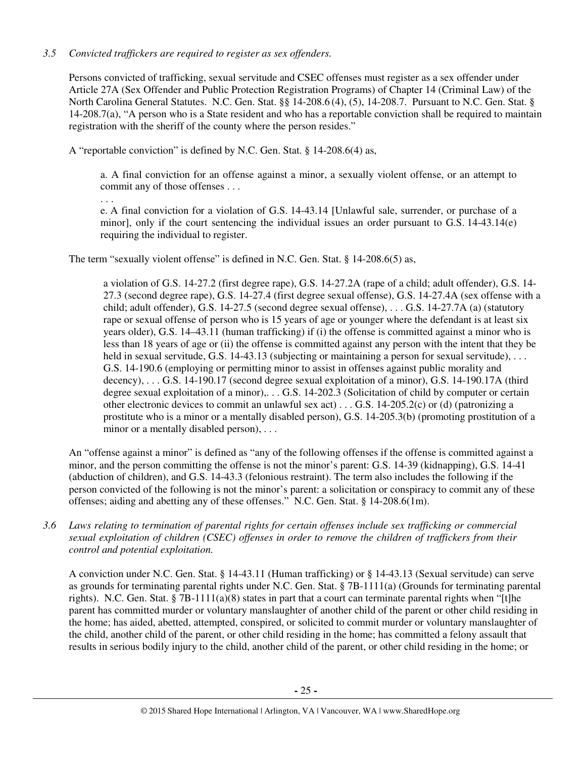# *3.5 Convicted traffickers are required to register as sex offenders.*

Persons convicted of trafficking, sexual servitude and CSEC offenses must register as a sex offender under Article 27A (Sex Offender and Public Protection Registration Programs) of Chapter 14 (Criminal Law) of the North Carolina General Statutes. N.C. Gen. Stat. §§ 14-208.6 (4), (5), 14-208.7. Pursuant to N.C. Gen. Stat. § 14-208.7(a), "A person who is a State resident and who has a reportable conviction shall be required to maintain registration with the sheriff of the county where the person resides."

A "reportable conviction" is defined by N.C. Gen. Stat. § 14-208.6(4) as,

a. A final conviction for an offense against a minor, a sexually violent offense, or an attempt to commit any of those offenses . . .

. . .

e. A final conviction for a violation of G.S. 14-43.14 [Unlawful sale, surrender, or purchase of a minor], only if the court sentencing the individual issues an order pursuant to G.S. 14-43.14(e) requiring the individual to register.

The term "sexually violent offense" is defined in N.C. Gen. Stat. § 14-208.6(5) as,

a violation of G.S. 14-27.2 (first degree rape), G.S. 14-27.2A (rape of a child; adult offender), G.S. 14- 27.3 (second degree rape), G.S. 14-27.4 (first degree sexual offense), G.S. 14-27.4A (sex offense with a child; adult offender), G.S. 14-27.5 (second degree sexual offense), . . . G.S. 14-27.7A (a) (statutory rape or sexual offense of person who is 15 years of age or younger where the defendant is at least six years older), G.S. 14–43.11 (human trafficking) if (i) the offense is committed against a minor who is less than 18 years of age or (ii) the offense is committed against any person with the intent that they be held in sexual servitude, G.S. 14-43.13 (subjecting or maintaining a person for sexual servitude), ... G.S. 14-190.6 (employing or permitting minor to assist in offenses against public morality and decency), . . . G.S. 14-190.17 (second degree sexual exploitation of a minor), G.S. 14-190.17A (third degree sexual exploitation of a minor),. . . G.S. 14-202.3 (Solicitation of child by computer or certain other electronic devices to commit an unlawful sex act)...  $G.S.$  14-205.2(c) or (d) (patronizing a prostitute who is a minor or a mentally disabled person), G.S. 14-205.3(b) (promoting prostitution of a minor or a mentally disabled person), ...

An "offense against a minor" is defined as "any of the following offenses if the offense is committed against a minor, and the person committing the offense is not the minor's parent: G.S. 14-39 (kidnapping), G.S. 14-41 (abduction of children), and G.S. 14-43.3 (felonious restraint). The term also includes the following if the person convicted of the following is not the minor's parent: a solicitation or conspiracy to commit any of these offenses; aiding and abetting any of these offenses." N.C. Gen. Stat. § 14-208.6(1m).

*3.6 Laws relating to termination of parental rights for certain offenses include sex trafficking or commercial sexual exploitation of children (CSEC) offenses in order to remove the children of traffickers from their control and potential exploitation.* 

A conviction under N.C. Gen. Stat. § 14-43.11 (Human trafficking) or § 14-43.13 (Sexual servitude) can serve as grounds for terminating parental rights under N.C. Gen. Stat. § 7B-1111(a) (Grounds for terminating parental rights). N.C. Gen. Stat. § 7B-1111(a)(8) states in part that a court can terminate parental rights when "[t]he parent has committed murder or voluntary manslaughter of another child of the parent or other child residing in the home; has aided, abetted, attempted, conspired, or solicited to commit murder or voluntary manslaughter of the child, another child of the parent, or other child residing in the home; has committed a felony assault that results in serious bodily injury to the child, another child of the parent, or other child residing in the home; or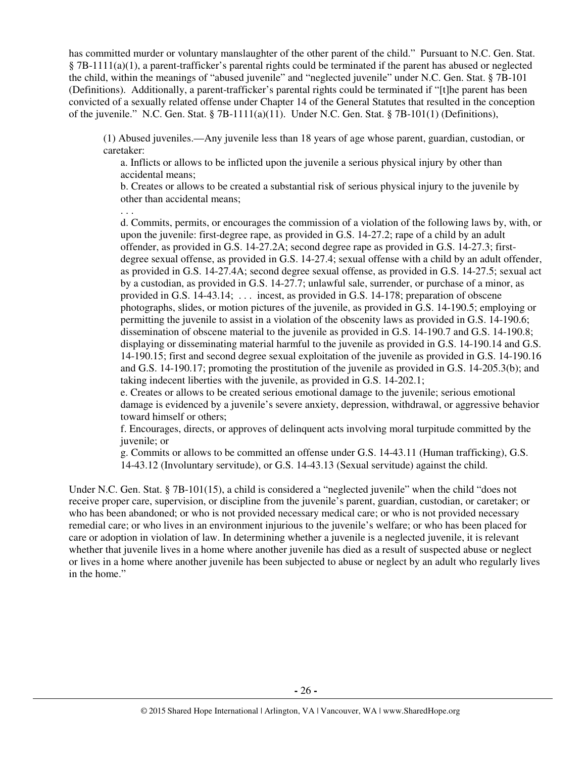has committed murder or voluntary manslaughter of the other parent of the child." Pursuant to N.C. Gen. Stat. § 7B-1111(a)(1), a parent-trafficker's parental rights could be terminated if the parent has abused or neglected the child, within the meanings of "abused juvenile" and "neglected juvenile" under N.C. Gen. Stat. § 7B-101 (Definitions). Additionally, a parent-trafficker's parental rights could be terminated if "[t]he parent has been convicted of a sexually related offense under Chapter 14 of the General Statutes that resulted in the conception of the juvenile." N.C. Gen. Stat. § 7B-1111(a)(11). Under N.C. Gen. Stat. § 7B-101(1) (Definitions),

(1) Abused juveniles.—Any juvenile less than 18 years of age whose parent, guardian, custodian, or caretaker:

a. Inflicts or allows to be inflicted upon the juvenile a serious physical injury by other than accidental means;

b. Creates or allows to be created a substantial risk of serious physical injury to the juvenile by other than accidental means;

. . .

d. Commits, permits, or encourages the commission of a violation of the following laws by, with, or upon the juvenile: first-degree rape, as provided in G.S. 14-27.2; rape of a child by an adult offender, as provided in G.S. 14-27.2A; second degree rape as provided in G.S. 14-27.3; firstdegree sexual offense, as provided in G.S. 14-27.4; sexual offense with a child by an adult offender, as provided in G.S. 14-27.4A; second degree sexual offense, as provided in G.S. 14-27.5; sexual act by a custodian, as provided in G.S. 14-27.7; unlawful sale, surrender, or purchase of a minor, as provided in G.S. 14-43.14; . . . incest, as provided in G.S. 14-178; preparation of obscene photographs, slides, or motion pictures of the juvenile, as provided in G.S. 14-190.5; employing or permitting the juvenile to assist in a violation of the obscenity laws as provided in G.S. 14-190.6; dissemination of obscene material to the juvenile as provided in G.S. 14-190.7 and G.S. 14-190.8; displaying or disseminating material harmful to the juvenile as provided in G.S. 14-190.14 and G.S. 14-190.15; first and second degree sexual exploitation of the juvenile as provided in G.S. 14-190.16 and G.S. 14-190.17; promoting the prostitution of the juvenile as provided in G.S. 14-205.3(b); and taking indecent liberties with the juvenile, as provided in G.S. 14-202.1;

e. Creates or allows to be created serious emotional damage to the juvenile; serious emotional damage is evidenced by a juvenile's severe anxiety, depression, withdrawal, or aggressive behavior toward himself or others;

f. Encourages, directs, or approves of delinquent acts involving moral turpitude committed by the juvenile; or

g. Commits or allows to be committed an offense under G.S. 14-43.11 (Human trafficking), G.S. 14-43.12 (Involuntary servitude), or G.S. 14-43.13 (Sexual servitude) against the child.

Under N.C. Gen. Stat. § 7B-101(15), a child is considered a "neglected juvenile" when the child "does not receive proper care, supervision, or discipline from the juvenile's parent, guardian, custodian, or caretaker; or who has been abandoned; or who is not provided necessary medical care; or who is not provided necessary remedial care; or who lives in an environment injurious to the juvenile's welfare; or who has been placed for care or adoption in violation of law. In determining whether a juvenile is a neglected juvenile, it is relevant whether that juvenile lives in a home where another juvenile has died as a result of suspected abuse or neglect or lives in a home where another juvenile has been subjected to abuse or neglect by an adult who regularly lives in the home."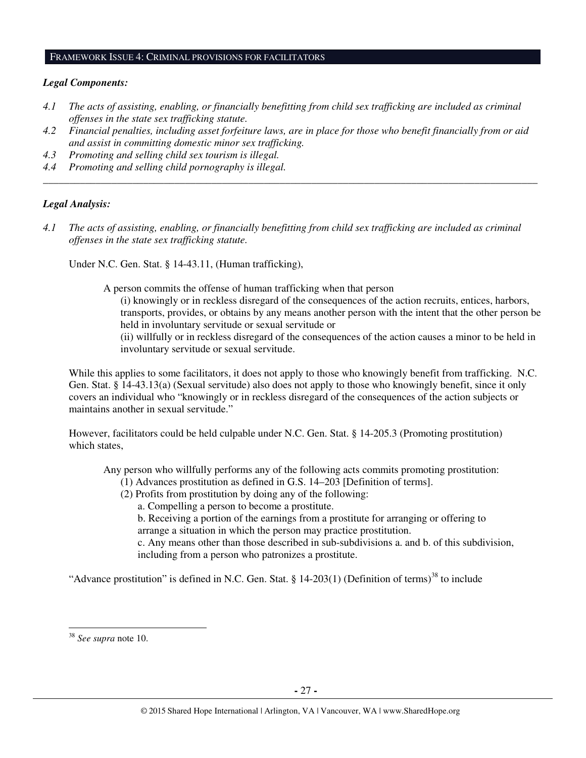#### FRAMEWORK ISSUE 4: CRIMINAL PROVISIONS FOR FACILITATORS

#### *Legal Components:*

- *4.1 The acts of assisting, enabling, or financially benefitting from child sex trafficking are included as criminal offenses in the state sex trafficking statute.*
- *4.2 Financial penalties, including asset forfeiture laws, are in place for those who benefit financially from or aid and assist in committing domestic minor sex trafficking.*

*\_\_\_\_\_\_\_\_\_\_\_\_\_\_\_\_\_\_\_\_\_\_\_\_\_\_\_\_\_\_\_\_\_\_\_\_\_\_\_\_\_\_\_\_\_\_\_\_\_\_\_\_\_\_\_\_\_\_\_\_\_\_\_\_\_\_\_\_\_\_\_\_\_\_\_\_\_\_\_\_\_\_\_\_\_\_\_\_\_\_\_\_\_\_* 

- *4.3 Promoting and selling child sex tourism is illegal.*
- *4.4 Promoting and selling child pornography is illegal.*

#### *Legal Analysis:*

*4.1 The acts of assisting, enabling, or financially benefitting from child sex trafficking are included as criminal offenses in the state sex trafficking statute.*

Under N.C. Gen. Stat. § 14-43.11, (Human trafficking),

A person commits the offense of human trafficking when that person

(i) knowingly or in reckless disregard of the consequences of the action recruits, entices, harbors, transports, provides, or obtains by any means another person with the intent that the other person be held in involuntary servitude or sexual servitude or

(ii) willfully or in reckless disregard of the consequences of the action causes a minor to be held in involuntary servitude or sexual servitude.

While this applies to some facilitators, it does not apply to those who knowingly benefit from trafficking. N.C. Gen. Stat. § 14-43.13(a) (Sexual servitude) also does not apply to those who knowingly benefit, since it only covers an individual who "knowingly or in reckless disregard of the consequences of the action subjects or maintains another in sexual servitude."

However, facilitators could be held culpable under N.C. Gen. Stat. § 14-205.3 (Promoting prostitution) which states,

Any person who willfully performs any of the following acts commits promoting prostitution:

- (1) Advances prostitution as defined in G.S. 14–203 [Definition of terms].
- (2) Profits from prostitution by doing any of the following:

a. Compelling a person to become a prostitute.

b. Receiving a portion of the earnings from a prostitute for arranging or offering to arrange a situation in which the person may practice prostitution.

c. Any means other than those described in sub-subdivisions a. and b. of this subdivision, including from a person who patronizes a prostitute.

"Advance prostitution" is defined in N.C. Gen. Stat. § 14-203(1) (Definition of terms)<sup>38</sup> to include

 $\overline{a}$ 

<sup>38</sup> *See supra* note 10.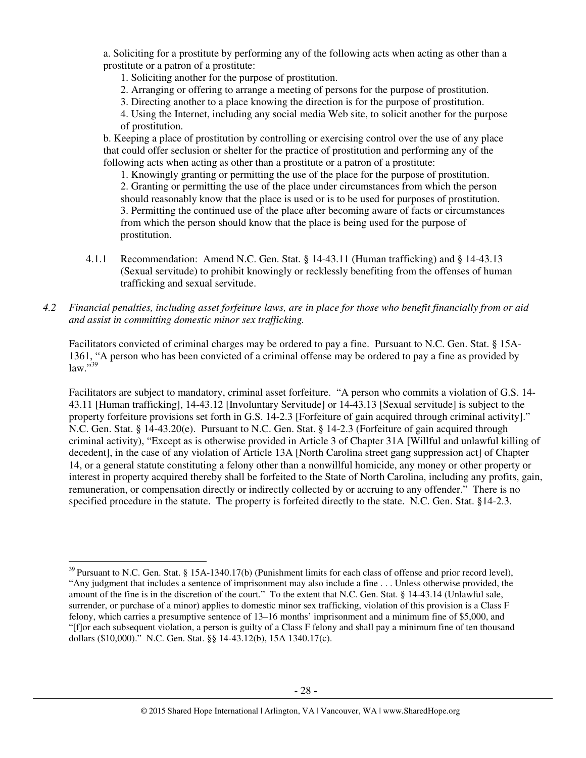a. Soliciting for a prostitute by performing any of the following acts when acting as other than a prostitute or a patron of a prostitute:

1. Soliciting another for the purpose of prostitution.

- 2. Arranging or offering to arrange a meeting of persons for the purpose of prostitution.
- 3. Directing another to a place knowing the direction is for the purpose of prostitution.

4. Using the Internet, including any social media Web site, to solicit another for the purpose of prostitution.

b. Keeping a place of prostitution by controlling or exercising control over the use of any place that could offer seclusion or shelter for the practice of prostitution and performing any of the following acts when acting as other than a prostitute or a patron of a prostitute:

1. Knowingly granting or permitting the use of the place for the purpose of prostitution. 2. Granting or permitting the use of the place under circumstances from which the person should reasonably know that the place is used or is to be used for purposes of prostitution. 3. Permitting the continued use of the place after becoming aware of facts or circumstances from which the person should know that the place is being used for the purpose of prostitution.

4.1.1 Recommendation: Amend N.C. Gen. Stat. § 14-43.11 (Human trafficking) and § 14-43.13 (Sexual servitude) to prohibit knowingly or recklessly benefiting from the offenses of human trafficking and sexual servitude.

## *4.2 Financial penalties, including asset forfeiture laws, are in place for those who benefit financially from or aid and assist in committing domestic minor sex trafficking.*

Facilitators convicted of criminal charges may be ordered to pay a fine. Pursuant to N.C. Gen. Stat. § 15A-1361, "A person who has been convicted of a criminal offense may be ordered to pay a fine as provided by law."39

Facilitators are subject to mandatory, criminal asset forfeiture. "A person who commits a violation of G.S. 14- 43.11 [Human trafficking], 14-43.12 [Involuntary Servitude] or 14-43.13 [Sexual servitude] is subject to the property forfeiture provisions set forth in G.S. 14-2.3 [Forfeiture of gain acquired through criminal activity]." N.C. Gen. Stat. § 14-43.20(e). Pursuant to N.C. Gen. Stat. § 14-2.3 (Forfeiture of gain acquired through criminal activity), "Except as is otherwise provided in Article 3 of Chapter 31A [Willful and unlawful killing of decedent], in the case of any violation of Article 13A [North Carolina street gang suppression act] of Chapter 14, or a general statute constituting a felony other than a nonwillful homicide, any money or other property or interest in property acquired thereby shall be forfeited to the State of North Carolina, including any profits, gain, remuneration, or compensation directly or indirectly collected by or accruing to any offender." There is no specified procedure in the statute. The property is forfeited directly to the state. N.C. Gen. Stat. §14-2.3.

 $\overline{a}$ 

<sup>&</sup>lt;sup>39</sup> Pursuant to N.C. Gen. Stat. § 15A-1340.17(b) (Punishment limits for each class of offense and prior record level), "Any judgment that includes a sentence of imprisonment may also include a fine . . . Unless otherwise provided, the amount of the fine is in the discretion of the court." To the extent that N.C. Gen. Stat. § 14-43.14 (Unlawful sale, surrender, or purchase of a minor) applies to domestic minor sex trafficking, violation of this provision is a Class F felony, which carries a presumptive sentence of 13–16 months' imprisonment and a minimum fine of \$5,000, and "[f]or each subsequent violation, a person is guilty of a Class F felony and shall pay a minimum fine of ten thousand dollars (\$10,000)." N.C. Gen. Stat. §§ 14-43.12(b), 15A 1340.17(c).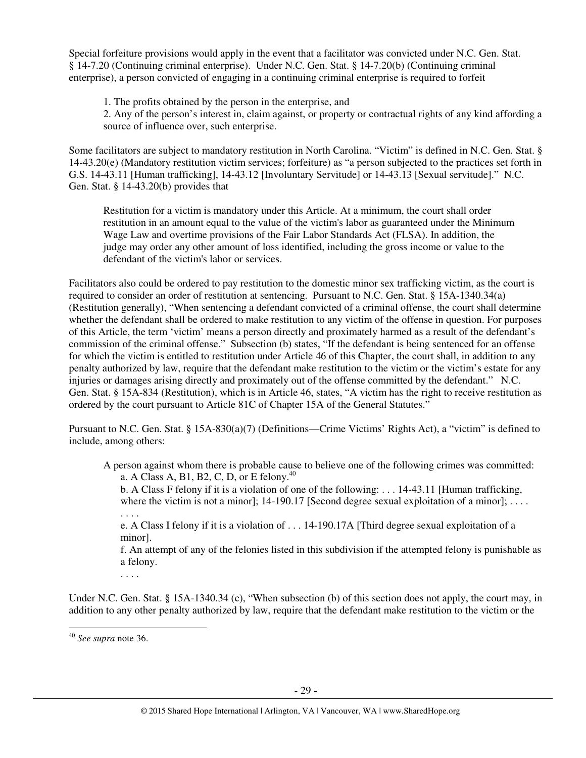Special forfeiture provisions would apply in the event that a facilitator was convicted under N.C. Gen. Stat. § 14-7.20 (Continuing criminal enterprise). Under N.C. Gen. Stat. § 14-7.20(b) (Continuing criminal enterprise), a person convicted of engaging in a continuing criminal enterprise is required to forfeit

1. The profits obtained by the person in the enterprise, and

2. Any of the person's interest in, claim against, or property or contractual rights of any kind affording a source of influence over, such enterprise.

Some facilitators are subject to mandatory restitution in North Carolina. "Victim" is defined in N.C. Gen. Stat. § 14-43.20(e) (Mandatory restitution victim services; forfeiture) as "a person subjected to the practices set forth in G.S. 14-43.11 [Human trafficking], 14-43.12 [Involuntary Servitude] or 14-43.13 [Sexual servitude]." N.C. Gen. Stat.  $§$  14-43.20(b) provides that

Restitution for a victim is mandatory under this Article. At a minimum, the court shall order restitution in an amount equal to the value of the victim's labor as guaranteed under the Minimum Wage Law and overtime provisions of the Fair Labor Standards Act (FLSA). In addition, the judge may order any other amount of loss identified, including the gross income or value to the defendant of the victim's labor or services.

Facilitators also could be ordered to pay restitution to the domestic minor sex trafficking victim, as the court is required to consider an order of restitution at sentencing. Pursuant to N.C. Gen. Stat. § 15A-1340.34(a) (Restitution generally), "When sentencing a defendant convicted of a criminal offense, the court shall determine whether the defendant shall be ordered to make restitution to any victim of the offense in question. For purposes of this Article, the term 'victim' means a person directly and proximately harmed as a result of the defendant's commission of the criminal offense." Subsection (b) states, "If the defendant is being sentenced for an offense for which the victim is entitled to restitution under Article 46 of this Chapter, the court shall, in addition to any penalty authorized by law, require that the defendant make restitution to the victim or the victim's estate for any injuries or damages arising directly and proximately out of the offense committed by the defendant." N.C. Gen. Stat. § 15A-834 (Restitution), which is in Article 46, states, "A victim has the right to receive restitution as ordered by the court pursuant to Article 81C of Chapter 15A of the General Statutes."

Pursuant to N.C. Gen. Stat. § 15A-830(a)(7) (Definitions—Crime Victims' Rights Act), a "victim" is defined to include, among others:

A person against whom there is probable cause to believe one of the following crimes was committed: a. A Class A, B1, B2, C, D, or E felony.<sup>40</sup>

b. A Class F felony if it is a violation of one of the following: . . . 14-43.11 [Human trafficking, where the victim is not a minor];  $14-190.17$  [Second degree sexual exploitation of a minor]; ...

. . . .

e. A Class I felony if it is a violation of . . . 14-190.17A [Third degree sexual exploitation of a minor].

f. An attempt of any of the felonies listed in this subdivision if the attempted felony is punishable as a felony.

. . . .

Under N.C. Gen. Stat. § 15A-1340.34 (c), "When subsection (b) of this section does not apply, the court may, in addition to any other penalty authorized by law, require that the defendant make restitution to the victim or the

<sup>40</sup> *See supra* note 36.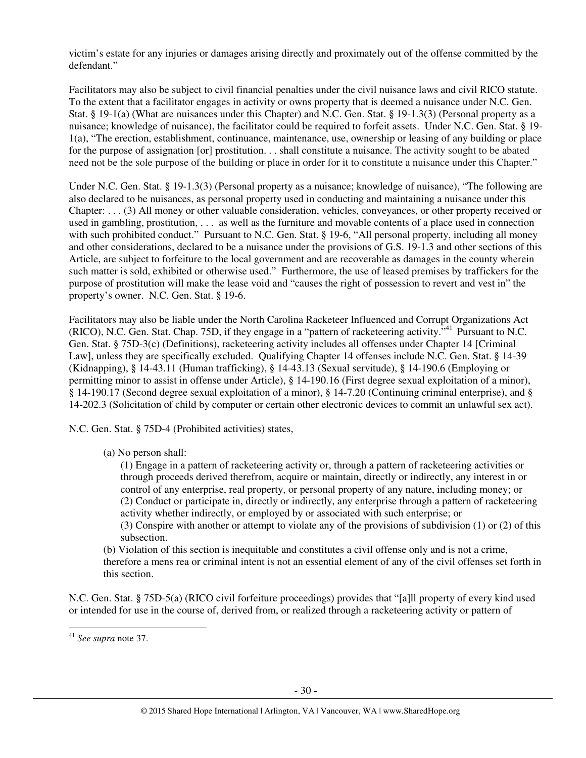victim's estate for any injuries or damages arising directly and proximately out of the offense committed by the defendant."

Facilitators may also be subject to civil financial penalties under the civil nuisance laws and civil RICO statute. To the extent that a facilitator engages in activity or owns property that is deemed a nuisance under N.C. Gen. Stat. § 19-1(a) (What are nuisances under this Chapter) and N.C. Gen. Stat. § 19-1.3(3) (Personal property as a nuisance; knowledge of nuisance), the facilitator could be required to forfeit assets. Under N.C. Gen. Stat. § 19- 1(a), "The erection, establishment, continuance, maintenance, use, ownership or leasing of any building or place for the purpose of assignation [or] prostitution. . . shall constitute a nuisance. The activity sought to be abated need not be the sole purpose of the building or place in order for it to constitute a nuisance under this Chapter."

Under N.C. Gen. Stat. § 19-1.3(3) (Personal property as a nuisance; knowledge of nuisance), "The following are also declared to be nuisances, as personal property used in conducting and maintaining a nuisance under this Chapter: . . . (3) All money or other valuable consideration, vehicles, conveyances, or other property received or used in gambling, prostitution, . . . as well as the furniture and movable contents of a place used in connection with such prohibited conduct." Pursuant to N.C. Gen. Stat. § 19-6, "All personal property, including all money and other considerations, declared to be a nuisance under the provisions of G.S. 19-1.3 and other sections of this Article, are subject to forfeiture to the local government and are recoverable as damages in the county wherein such matter is sold, exhibited or otherwise used." Furthermore, the use of leased premises by traffickers for the purpose of prostitution will make the lease void and "causes the right of possession to revert and vest in" the property's owner. N.C. Gen. Stat. § 19-6.

Facilitators may also be liable under the North Carolina Racketeer Influenced and Corrupt Organizations Act (RICO), N.C. Gen. Stat. Chap. 75D, if they engage in a "pattern of racketeering activity.<sup>541</sup> Pursuant to N.C. Gen. Stat. § 75D-3(c) (Definitions), racketeering activity includes all offenses under Chapter 14 [Criminal Law], unless they are specifically excluded. Qualifying Chapter 14 offenses include N.C. Gen. Stat. § 14-39 (Kidnapping), § 14-43.11 (Human trafficking), § 14-43.13 (Sexual servitude), § 14-190.6 (Employing or permitting minor to assist in offense under Article), § 14-190.16 (First degree sexual exploitation of a minor), § 14-190.17 (Second degree sexual exploitation of a minor), § 14-7.20 (Continuing criminal enterprise), and § 14-202.3 (Solicitation of child by computer or certain other electronic devices to commit an unlawful sex act).

N.C. Gen. Stat. § 75D-4 (Prohibited activities) states,

(a) No person shall:

(1) Engage in a pattern of racketeering activity or, through a pattern of racketeering activities or through proceeds derived therefrom, acquire or maintain, directly or indirectly, any interest in or control of any enterprise, real property, or personal property of any nature, including money; or (2) Conduct or participate in, directly or indirectly, any enterprise through a pattern of racketeering activity whether indirectly, or employed by or associated with such enterprise; or

(3) Conspire with another or attempt to violate any of the provisions of subdivision (1) or (2) of this subsection.

(b) Violation of this section is inequitable and constitutes a civil offense only and is not a crime, therefore a mens rea or criminal intent is not an essential element of any of the civil offenses set forth in this section.

N.C. Gen. Stat. § 75D-5(a) (RICO civil forfeiture proceedings) provides that "[a]ll property of every kind used or intended for use in the course of, derived from, or realized through a racketeering activity or pattern of

 $\overline{a}$ 

<sup>41</sup> *See supra* note 37.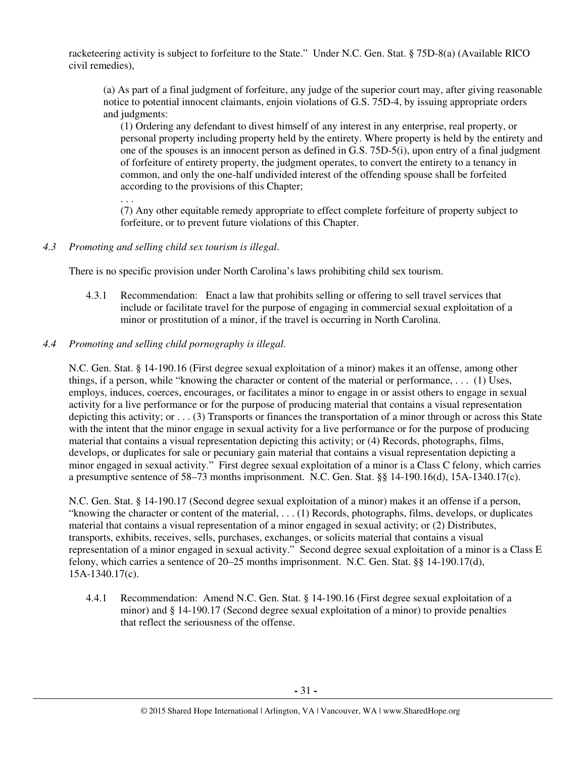racketeering activity is subject to forfeiture to the State." Under N.C. Gen. Stat. § 75D-8(a) (Available RICO civil remedies),

(a) As part of a final judgment of forfeiture, any judge of the superior court may, after giving reasonable notice to potential innocent claimants, enjoin violations of G.S. 75D-4, by issuing appropriate orders and judgments:

(1) Ordering any defendant to divest himself of any interest in any enterprise, real property, or personal property including property held by the entirety. Where property is held by the entirety and one of the spouses is an innocent person as defined in G.S. 75D-5(i), upon entry of a final judgment of forfeiture of entirety property, the judgment operates, to convert the entirety to a tenancy in common, and only the one-half undivided interest of the offending spouse shall be forfeited according to the provisions of this Chapter;

. . . (7) Any other equitable remedy appropriate to effect complete forfeiture of property subject to forfeiture, or to prevent future violations of this Chapter.

*4.3 Promoting and selling child sex tourism is illegal*.

There is no specific provision under North Carolina's laws prohibiting child sex tourism.

- 4.3.1 Recommendation: Enact a law that prohibits selling or offering to sell travel services that include or facilitate travel for the purpose of engaging in commercial sexual exploitation of a minor or prostitution of a minor, if the travel is occurring in North Carolina.
- *4.4 Promoting and selling child pornography is illegal.*

N.C. Gen. Stat. § 14-190.16 (First degree sexual exploitation of a minor) makes it an offense, among other things, if a person, while "knowing the character or content of the material or performance, . . . (1) Uses, employs, induces, coerces, encourages, or facilitates a minor to engage in or assist others to engage in sexual activity for a live performance or for the purpose of producing material that contains a visual representation depicting this activity; or . . . (3) Transports or finances the transportation of a minor through or across this State with the intent that the minor engage in sexual activity for a live performance or for the purpose of producing material that contains a visual representation depicting this activity; or (4) Records, photographs, films, develops, or duplicates for sale or pecuniary gain material that contains a visual representation depicting a minor engaged in sexual activity." First degree sexual exploitation of a minor is a Class C felony, which carries a presumptive sentence of 58–73 months imprisonment. N.C. Gen. Stat. §§ 14-190.16(d), 15A-1340.17(c).

N.C. Gen. Stat. § 14-190.17 (Second degree sexual exploitation of a minor) makes it an offense if a person, "knowing the character or content of the material,  $\dots$  (1) Records, photographs, films, develops, or duplicates material that contains a visual representation of a minor engaged in sexual activity; or (2) Distributes, transports, exhibits, receives, sells, purchases, exchanges, or solicits material that contains a visual representation of a minor engaged in sexual activity." Second degree sexual exploitation of a minor is a Class E felony, which carries a sentence of 20–25 months imprisonment. N.C. Gen. Stat. §§ 14-190.17(d), 15A-1340.17(c).

4.4.1 Recommendation: Amend N.C. Gen. Stat. § 14-190.16 (First degree sexual exploitation of a minor) and § 14-190.17 (Second degree sexual exploitation of a minor) to provide penalties that reflect the seriousness of the offense.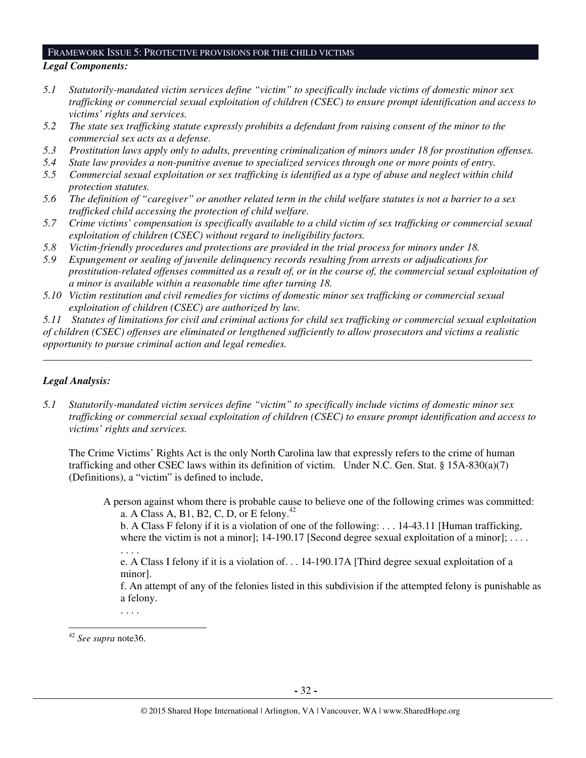#### FRAMEWORK ISSUE 5: PROTECTIVE PROVISIONS FOR THE CHILD VICTIMS

#### *Legal Components:*

- *5.1 Statutorily-mandated victim services define "victim" to specifically include victims of domestic minor sex trafficking or commercial sexual exploitation of children (CSEC) to ensure prompt identification and access to victims' rights and services.*
- *5.2 The state sex trafficking statute expressly prohibits a defendant from raising consent of the minor to the commercial sex acts as a defense.*
- *5.3 Prostitution laws apply only to adults, preventing criminalization of minors under 18 for prostitution offenses.*
- *5.4 State law provides a non-punitive avenue to specialized services through one or more points of entry.*
- *5.5 Commercial sexual exploitation or sex trafficking is identified as a type of abuse and neglect within child protection statutes.*
- *5.6 The definition of "caregiver" or another related term in the child welfare statutes is not a barrier to a sex trafficked child accessing the protection of child welfare.*
- *5.7 Crime victims' compensation is specifically available to a child victim of sex trafficking or commercial sexual exploitation of children (CSEC) without regard to ineligibility factors.*
- *5.8 Victim-friendly procedures and protections are provided in the trial process for minors under 18.*
- *5.9 Expungement or sealing of juvenile delinquency records resulting from arrests or adjudications for prostitution-related offenses committed as a result of, or in the course of, the commercial sexual exploitation of a minor is available within a reasonable time after turning 18.*
- *5.10 Victim restitution and civil remedies for victims of domestic minor sex trafficking or commercial sexual exploitation of children (CSEC) are authorized by law.*

*5.11 Statutes of limitations for civil and criminal actions for child sex trafficking or commercial sexual exploitation of children (CSEC) offenses are eliminated or lengthened sufficiently to allow prosecutors and victims a realistic opportunity to pursue criminal action and legal remedies.* 

*\_\_\_\_\_\_\_\_\_\_\_\_\_\_\_\_\_\_\_\_\_\_\_\_\_\_\_\_\_\_\_\_\_\_\_\_\_\_\_\_\_\_\_\_\_\_\_\_\_\_\_\_\_\_\_\_\_\_\_\_\_\_\_\_\_\_\_\_\_\_\_\_\_\_\_\_\_\_\_\_\_\_\_\_\_\_\_\_\_\_\_\_\_* 

## *Legal Analysis:*

*5.1 Statutorily-mandated victim services define "victim" to specifically include victims of domestic minor sex trafficking or commercial sexual exploitation of children (CSEC) to ensure prompt identification and access to victims' rights and services.* 

The Crime Victims' Rights Act is the only North Carolina law that expressly refers to the crime of human trafficking and other CSEC laws within its definition of victim. Under N.C. Gen. Stat. § 15A-830(a)(7) (Definitions), a "victim" is defined to include,

A person against whom there is probable cause to believe one of the following crimes was committed: a. A Class A, B1, B2, C, D, or E felony.<sup>42</sup>

b. A Class F felony if it is a violation of one of the following: . . . 14-43.11 [Human trafficking, where the victim is not a minor]; 14-190.17 [Second degree sexual exploitation of a minor]; .... . . . .

e. A Class I felony if it is a violation of. . . 14-190.17A [Third degree sexual exploitation of a minor].

f. An attempt of any of the felonies listed in this subdivision if the attempted felony is punishable as a felony.

. . . .

<sup>42</sup> *See supra* note36.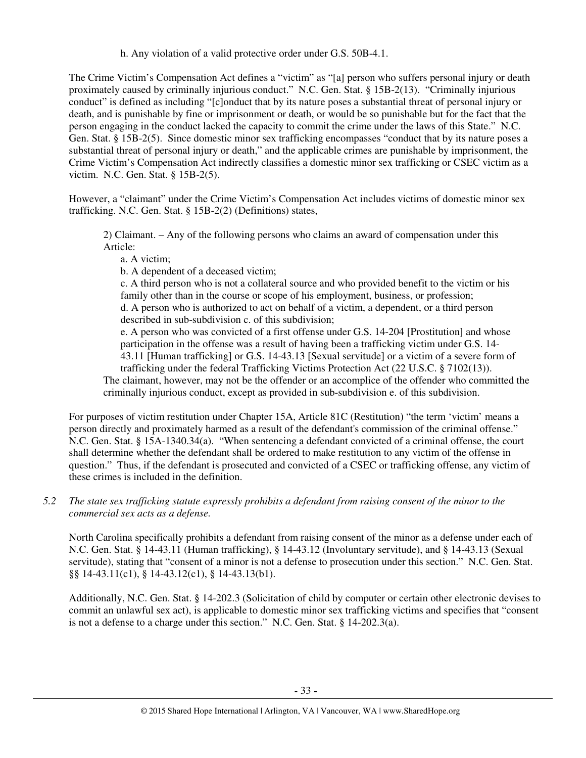h. Any violation of a valid protective order under G.S. 50B-4.1.

The Crime Victim's Compensation Act defines a "victim" as "[a] person who suffers personal injury or death proximately caused by criminally injurious conduct." N.C. Gen. Stat. § 15B-2(13). "Criminally injurious conduct" is defined as including "[c]onduct that by its nature poses a substantial threat of personal injury or death, and is punishable by fine or imprisonment or death, or would be so punishable but for the fact that the person engaging in the conduct lacked the capacity to commit the crime under the laws of this State." N.C. Gen. Stat. § 15B-2(5). Since domestic minor sex trafficking encompasses "conduct that by its nature poses a substantial threat of personal injury or death," and the applicable crimes are punishable by imprisonment, the Crime Victim's Compensation Act indirectly classifies a domestic minor sex trafficking or CSEC victim as a victim. N.C. Gen. Stat. § 15B-2(5).

However, a "claimant" under the Crime Victim's Compensation Act includes victims of domestic minor sex trafficking. N.C. Gen. Stat. § 15B-2(2) (Definitions) states,

2) Claimant. – Any of the following persons who claims an award of compensation under this Article:

a. A victim;

b. A dependent of a deceased victim;

c. A third person who is not a collateral source and who provided benefit to the victim or his family other than in the course or scope of his employment, business, or profession; d. A person who is authorized to act on behalf of a victim, a dependent, or a third person

described in sub-subdivision c. of this subdivision;

e. A person who was convicted of a first offense under G.S. 14-204 [Prostitution] and whose participation in the offense was a result of having been a trafficking victim under G.S. 14- 43.11 [Human trafficking] or G.S. 14-43.13 [Sexual servitude] or a victim of a severe form of trafficking under the federal Trafficking Victims Protection Act (22 U.S.C. § 7102(13)).

The claimant, however, may not be the offender or an accomplice of the offender who committed the criminally injurious conduct, except as provided in sub-subdivision e. of this subdivision.

For purposes of victim restitution under Chapter 15A, Article 81C (Restitution) "the term 'victim' means a person directly and proximately harmed as a result of the defendant's commission of the criminal offense." N.C. Gen. Stat. § 15A-1340.34(a). "When sentencing a defendant convicted of a criminal offense, the court shall determine whether the defendant shall be ordered to make restitution to any victim of the offense in question." Thus, if the defendant is prosecuted and convicted of a CSEC or trafficking offense, any victim of these crimes is included in the definition.

*5.2 The state sex trafficking statute expressly prohibits a defendant from raising consent of the minor to the commercial sex acts as a defense.* 

North Carolina specifically prohibits a defendant from raising consent of the minor as a defense under each of N.C. Gen. Stat. § 14-43.11 (Human trafficking), § 14-43.12 (Involuntary servitude), and § 14-43.13 (Sexual servitude), stating that "consent of a minor is not a defense to prosecution under this section." N.C. Gen. Stat. §§ 14-43.11(c1), § 14-43.12(c1), § 14-43.13(b1).

Additionally, N.C. Gen. Stat. § 14-202.3 (Solicitation of child by computer or certain other electronic devises to commit an unlawful sex act), is applicable to domestic minor sex trafficking victims and specifies that "consent is not a defense to a charge under this section." N.C. Gen. Stat. § 14-202.3(a).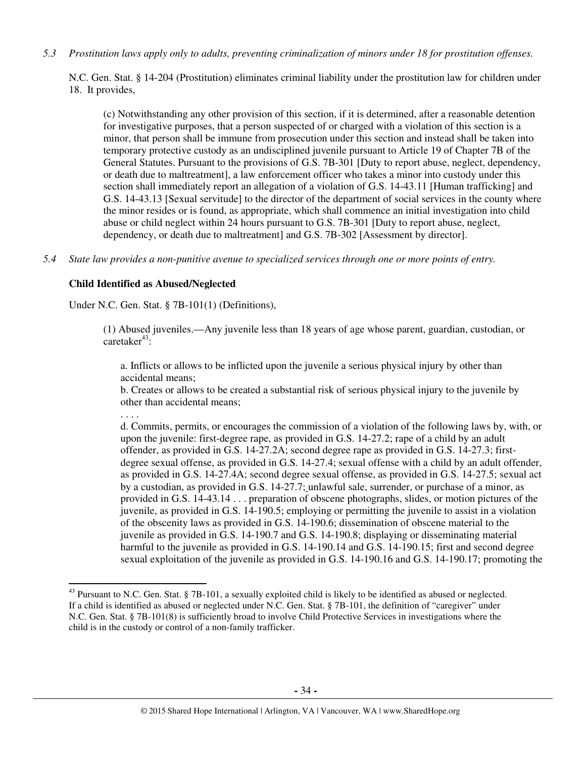*5.3 Prostitution laws apply only to adults, preventing criminalization of minors under 18 for prostitution offenses.* 

N.C. Gen. Stat. § 14-204 (Prostitution) eliminates criminal liability under the prostitution law for children under 18. It provides,

(c) Notwithstanding any other provision of this section, if it is determined, after a reasonable detention for investigative purposes, that a person suspected of or charged with a violation of this section is a minor, that person shall be immune from prosecution under this section and instead shall be taken into temporary protective custody as an undisciplined juvenile pursuant to Article 19 of Chapter 7B of the General Statutes. Pursuant to the provisions of G.S. 7B-301 [Duty to report abuse, neglect, dependency, or death due to maltreatment], a law enforcement officer who takes a minor into custody under this section shall immediately report an allegation of a violation of G.S. 14-43.11 [Human trafficking] and G.S. 14-43.13 [Sexual servitude] to the director of the department of social services in the county where the minor resides or is found, as appropriate, which shall commence an initial investigation into child abuse or child neglect within 24 hours pursuant to G.S. 7B-301 [Duty to report abuse, neglect, dependency, or death due to maltreatment] and G.S. 7B-302 [Assessment by director].

*5.4 State law provides a non-punitive avenue to specialized services through one or more points of entry.* 

#### **Child Identified as Abused/Neglected**

Under N.C. Gen. Stat. § 7B-101(1) (Definitions),

(1) Abused juveniles.—Any juvenile less than 18 years of age whose parent, guardian, custodian, or caretaker $43$ :

a. Inflicts or allows to be inflicted upon the juvenile a serious physical injury by other than accidental means;

b. Creates or allows to be created a substantial risk of serious physical injury to the juvenile by other than accidental means;

. . . .

l

d. Commits, permits, or encourages the commission of a violation of the following laws by, with, or upon the juvenile: first-degree rape, as provided in G.S. 14-27.2; rape of a child by an adult offender, as provided in G.S. 14-27.2A; second degree rape as provided in G.S. 14-27.3; firstdegree sexual offense, as provided in G.S. 14-27.4; sexual offense with a child by an adult offender, as provided in G.S. 14-27.4A; second degree sexual offense, as provided in G.S. 14-27.5; sexual act by a custodian, as provided in G.S. 14-27.7; unlawful sale, surrender, or purchase of a minor, as provided in G.S. 14-43.14 . . . preparation of obscene photographs, slides, or motion pictures of the juvenile, as provided in G.S. 14-190.5; employing or permitting the juvenile to assist in a violation of the obscenity laws as provided in G.S. 14-190.6; dissemination of obscene material to the juvenile as provided in G.S. 14-190.7 and G.S. 14-190.8; displaying or disseminating material harmful to the juvenile as provided in G.S. 14-190.14 and G.S. 14-190.15; first and second degree sexual exploitation of the juvenile as provided in G.S. 14-190.16 and G.S. 14-190.17; promoting the

<sup>&</sup>lt;sup>43</sup> Pursuant to N.C. Gen. Stat. § 7B-101, a sexually exploited child is likely to be identified as abused or neglected. If a child is identified as abused or neglected under N.C. Gen. Stat. § 7B-101, the definition of "caregiver" under N.C. Gen. Stat. § 7B-101(8) is sufficiently broad to involve Child Protective Services in investigations where the child is in the custody or control of a non-family trafficker.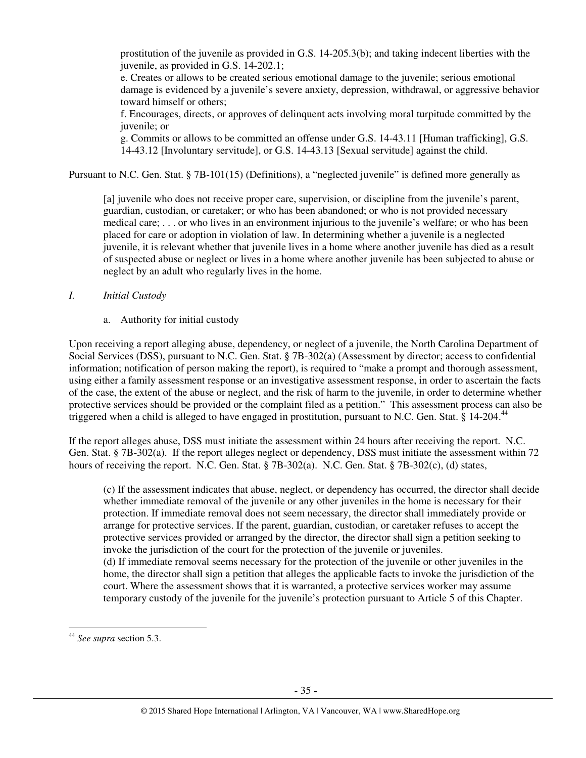prostitution of the juvenile as provided in G.S. 14-205.3(b); and taking indecent liberties with the juvenile, as provided in G.S. 14-202.1;

e. Creates or allows to be created serious emotional damage to the juvenile; serious emotional damage is evidenced by a juvenile's severe anxiety, depression, withdrawal, or aggressive behavior toward himself or others;

f. Encourages, directs, or approves of delinquent acts involving moral turpitude committed by the juvenile; or

g. Commits or allows to be committed an offense under G.S. 14-43.11 [Human trafficking], G.S. 14-43.12 [Involuntary servitude], or G.S. 14-43.13 [Sexual servitude] against the child.

Pursuant to N.C. Gen. Stat. § 7B-101(15) (Definitions), a "neglected juvenile" is defined more generally as

[a] juvenile who does not receive proper care, supervision, or discipline from the juvenile's parent, guardian, custodian, or caretaker; or who has been abandoned; or who is not provided necessary medical care; . . . or who lives in an environment injurious to the juvenile's welfare; or who has been placed for care or adoption in violation of law. In determining whether a juvenile is a neglected juvenile, it is relevant whether that juvenile lives in a home where another juvenile has died as a result of suspected abuse or neglect or lives in a home where another juvenile has been subjected to abuse or neglect by an adult who regularly lives in the home.

#### *I. Initial Custody*

a. Authority for initial custody

Upon receiving a report alleging abuse, dependency, or neglect of a juvenile, the North Carolina Department of Social Services (DSS), pursuant to N.C. Gen. Stat. § 7B-302(a) (Assessment by director; access to confidential information; notification of person making the report), is required to "make a prompt and thorough assessment, using either a family assessment response or an investigative assessment response, in order to ascertain the facts of the case, the extent of the abuse or neglect, and the risk of harm to the juvenile, in order to determine whether protective services should be provided or the complaint filed as a petition." This assessment process can also be triggered when a child is alleged to have engaged in prostitution, pursuant to N.C. Gen. Stat.  $\S$  14-204.<sup>44</sup>

If the report alleges abuse, DSS must initiate the assessment within 24 hours after receiving the report. N.C. Gen. Stat. § 7B-302(a). If the report alleges neglect or dependency, DSS must initiate the assessment within 72 hours of receiving the report. N.C. Gen. Stat. § 7B-302(a). N.C. Gen. Stat. § 7B-302(c), (d) states,

(c) If the assessment indicates that abuse, neglect, or dependency has occurred, the director shall decide whether immediate removal of the juvenile or any other juveniles in the home is necessary for their protection. If immediate removal does not seem necessary, the director shall immediately provide or arrange for protective services. If the parent, guardian, custodian, or caretaker refuses to accept the protective services provided or arranged by the director, the director shall sign a petition seeking to invoke the jurisdiction of the court for the protection of the juvenile or juveniles. (d) If immediate removal seems necessary for the protection of the juvenile or other juveniles in the home, the director shall sign a petition that alleges the applicable facts to invoke the jurisdiction of the court. Where the assessment shows that it is warranted, a protective services worker may assume temporary custody of the juvenile for the juvenile's protection pursuant to Article 5 of this Chapter.

<sup>44</sup> *See supra* section 5.3.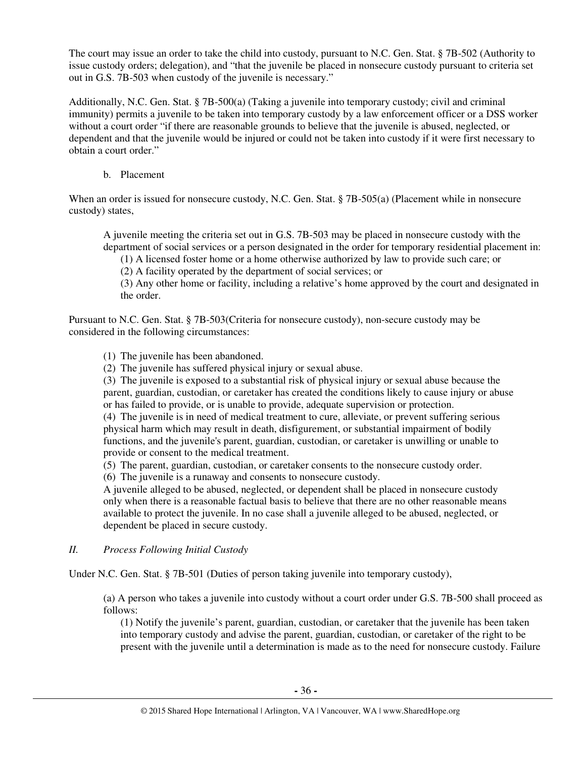The court may issue an order to take the child into custody, pursuant to N.C. Gen. Stat. § 7B-502 (Authority to issue custody orders; delegation), and "that the juvenile be placed in nonsecure custody pursuant to criteria set out in G.S. 7B-503 when custody of the juvenile is necessary."

Additionally, N.C. Gen. Stat. § 7B-500(a) (Taking a juvenile into temporary custody; civil and criminal immunity) permits a juvenile to be taken into temporary custody by a law enforcement officer or a DSS worker without a court order "if there are reasonable grounds to believe that the juvenile is abused, neglected, or dependent and that the juvenile would be injured or could not be taken into custody if it were first necessary to obtain a court order."

b. Placement

When an order is issued for nonsecure custody, N.C. Gen. Stat. § 7B-505(a) (Placement while in nonsecure custody) states,

A juvenile meeting the criteria set out in G.S. 7B-503 may be placed in nonsecure custody with the department of social services or a person designated in the order for temporary residential placement in:

(1) A licensed foster home or a home otherwise authorized by law to provide such care; or

(2) A facility operated by the department of social services; or

(3) Any other home or facility, including a relative's home approved by the court and designated in the order.

Pursuant to N.C. Gen. Stat. § 7B-503(Criteria for nonsecure custody), non-secure custody may be considered in the following circumstances:

(1) The juvenile has been abandoned.

(2) The juvenile has suffered physical injury or sexual abuse.

(3) The juvenile is exposed to a substantial risk of physical injury or sexual abuse because the parent, guardian, custodian, or caretaker has created the conditions likely to cause injury or abuse or has failed to provide, or is unable to provide, adequate supervision or protection.

(4) The juvenile is in need of medical treatment to cure, alleviate, or prevent suffering serious physical harm which may result in death, disfigurement, or substantial impairment of bodily functions, and the juvenile's parent, guardian, custodian, or caretaker is unwilling or unable to provide or consent to the medical treatment.

(5) The parent, guardian, custodian, or caretaker consents to the nonsecure custody order.

(6) The juvenile is a runaway and consents to nonsecure custody.

A juvenile alleged to be abused, neglected, or dependent shall be placed in nonsecure custody only when there is a reasonable factual basis to believe that there are no other reasonable means available to protect the juvenile. In no case shall a juvenile alleged to be abused, neglected, or dependent be placed in secure custody.

*II. Process Following Initial Custody* 

Under N.C. Gen. Stat. § 7B-501 (Duties of person taking juvenile into temporary custody),

(a) A person who takes a juvenile into custody without a court order under G.S. 7B-500 shall proceed as follows:

(1) Notify the juvenile's parent, guardian, custodian, or caretaker that the juvenile has been taken into temporary custody and advise the parent, guardian, custodian, or caretaker of the right to be present with the juvenile until a determination is made as to the need for nonsecure custody. Failure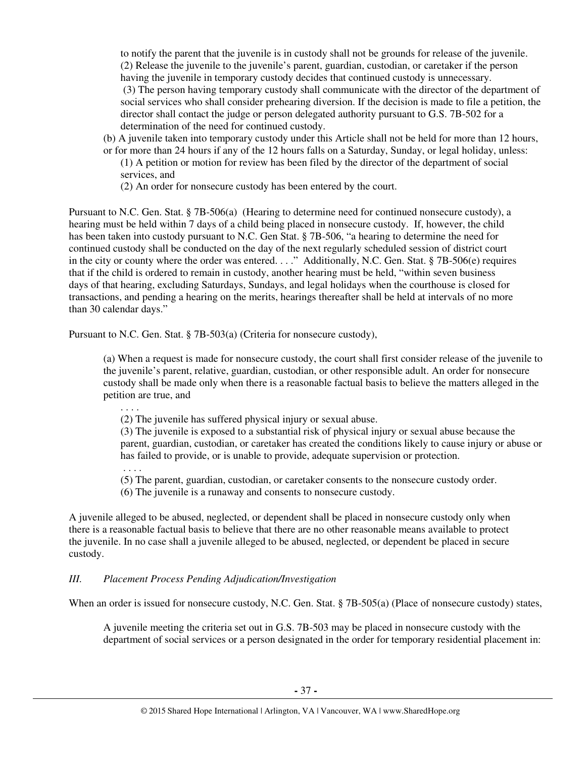to notify the parent that the juvenile is in custody shall not be grounds for release of the juvenile. (2) Release the juvenile to the juvenile's parent, guardian, custodian, or caretaker if the person having the juvenile in temporary custody decides that continued custody is unnecessary. (3) The person having temporary custody shall communicate with the director of the department of social services who shall consider prehearing diversion. If the decision is made to file a petition, the director shall contact the judge or person delegated authority pursuant to G.S. 7B-502 for a determination of the need for continued custody.

- (b) A juvenile taken into temporary custody under this Article shall not be held for more than 12 hours, or for more than 24 hours if any of the 12 hours falls on a Saturday, Sunday, or legal holiday, unless:
	- (1) A petition or motion for review has been filed by the director of the department of social services, and
	- (2) An order for nonsecure custody has been entered by the court.

Pursuant to N.C. Gen. Stat. § 7B-506(a) (Hearing to determine need for continued nonsecure custody), a hearing must be held within 7 days of a child being placed in nonsecure custody. If, however, the child has been taken into custody pursuant to N.C. Gen Stat. § 7B-506, "a hearing to determine the need for continued custody shall be conducted on the day of the next regularly scheduled session of district court in the city or county where the order was entered. . . ." Additionally, N.C. Gen. Stat. § 7B-506(e) requires that if the child is ordered to remain in custody, another hearing must be held, "within seven business days of that hearing, excluding Saturdays, Sundays, and legal holidays when the courthouse is closed for transactions, and pending a hearing on the merits, hearings thereafter shall be held at intervals of no more than 30 calendar days."

Pursuant to N.C. Gen. Stat. § 7B-503(a) (Criteria for nonsecure custody),

(a) When a request is made for nonsecure custody, the court shall first consider release of the juvenile to the juvenile's parent, relative, guardian, custodian, or other responsible adult. An order for nonsecure custody shall be made only when there is a reasonable factual basis to believe the matters alleged in the petition are true, and

(2) The juvenile has suffered physical injury or sexual abuse.

(3) The juvenile is exposed to a substantial risk of physical injury or sexual abuse because the parent, guardian, custodian, or caretaker has created the conditions likely to cause injury or abuse or has failed to provide, or is unable to provide, adequate supervision or protection.

. . . .

. . . .

- (5) The parent, guardian, custodian, or caretaker consents to the nonsecure custody order.
- (6) The juvenile is a runaway and consents to nonsecure custody.

A juvenile alleged to be abused, neglected, or dependent shall be placed in nonsecure custody only when there is a reasonable factual basis to believe that there are no other reasonable means available to protect the juvenile. In no case shall a juvenile alleged to be abused, neglected, or dependent be placed in secure custody.

# *III. Placement Process Pending Adjudication/Investigation*

When an order is issued for nonsecure custody, N.C. Gen. Stat. § 7B-505(a) (Place of nonsecure custody) states,

A juvenile meeting the criteria set out in G.S. 7B-503 may be placed in nonsecure custody with the department of social services or a person designated in the order for temporary residential placement in: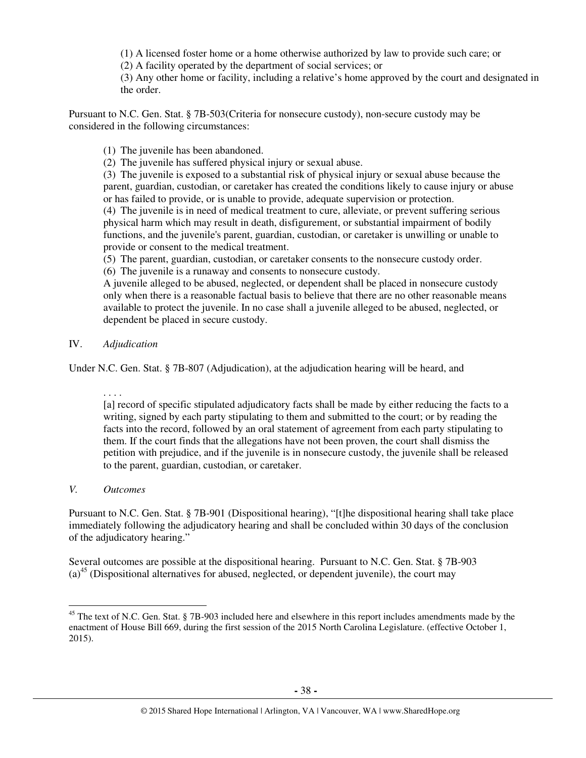(1) A licensed foster home or a home otherwise authorized by law to provide such care; or

(2) A facility operated by the department of social services; or

(3) Any other home or facility, including a relative's home approved by the court and designated in the order.

Pursuant to N.C. Gen. Stat. § 7B-503(Criteria for nonsecure custody), non-secure custody may be considered in the following circumstances:

(1) The juvenile has been abandoned.

(2) The juvenile has suffered physical injury or sexual abuse.

(3) The juvenile is exposed to a substantial risk of physical injury or sexual abuse because the parent, guardian, custodian, or caretaker has created the conditions likely to cause injury or abuse or has failed to provide, or is unable to provide, adequate supervision or protection.

(4) The juvenile is in need of medical treatment to cure, alleviate, or prevent suffering serious physical harm which may result in death, disfigurement, or substantial impairment of bodily functions, and the juvenile's parent, guardian, custodian, or caretaker is unwilling or unable to provide or consent to the medical treatment.

(5) The parent, guardian, custodian, or caretaker consents to the nonsecure custody order.

(6) The juvenile is a runaway and consents to nonsecure custody.

A juvenile alleged to be abused, neglected, or dependent shall be placed in nonsecure custody only when there is a reasonable factual basis to believe that there are no other reasonable means available to protect the juvenile. In no case shall a juvenile alleged to be abused, neglected, or dependent be placed in secure custody.

## IV. *Adjudication*

Under N.C. Gen. Stat. § 7B-807 (Adjudication), at the adjudication hearing will be heard, and

. . . .

[a] record of specific stipulated adjudicatory facts shall be made by either reducing the facts to a writing, signed by each party stipulating to them and submitted to the court; or by reading the facts into the record, followed by an oral statement of agreement from each party stipulating to them. If the court finds that the allegations have not been proven, the court shall dismiss the petition with prejudice, and if the juvenile is in nonsecure custody, the juvenile shall be released to the parent, guardian, custodian, or caretaker.

# *V. Outcomes*

 $\overline{a}$ 

Pursuant to N.C. Gen. Stat. § 7B-901 (Dispositional hearing), "[t]he dispositional hearing shall take place immediately following the adjudicatory hearing and shall be concluded within 30 days of the conclusion of the adjudicatory hearing."

Several outcomes are possible at the dispositional hearing. Pursuant to N.C. Gen. Stat. § 7B-903  $(a)$ <sup>45</sup> (Dispositional alternatives for abused, neglected, or dependent juvenile), the court may

<sup>&</sup>lt;sup>45</sup> The text of N.C. Gen. Stat. § 7B-903 included here and elsewhere in this report includes amendments made by the enactment of House Bill 669, during the first session of the 2015 North Carolina Legislature. (effective October 1, 2015).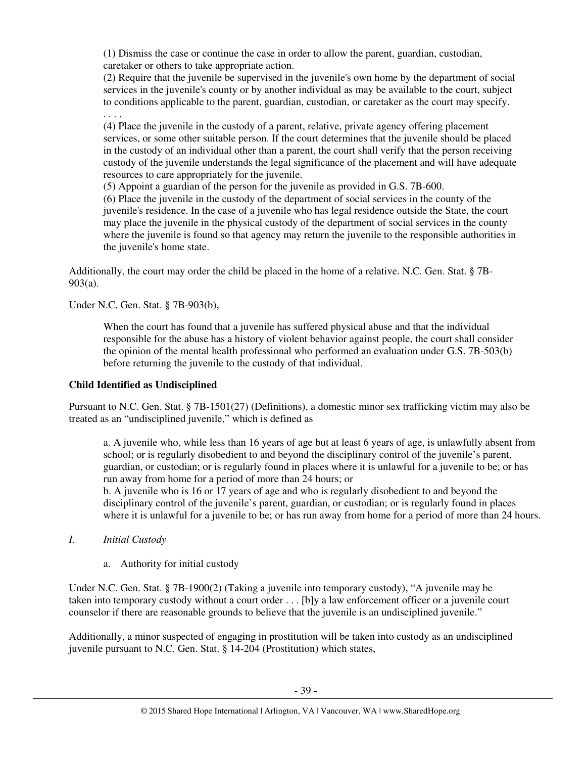(1) Dismiss the case or continue the case in order to allow the parent, guardian, custodian, caretaker or others to take appropriate action.

(2) Require that the juvenile be supervised in the juvenile's own home by the department of social services in the juvenile's county or by another individual as may be available to the court, subject to conditions applicable to the parent, guardian, custodian, or caretaker as the court may specify. . . . .

(4) Place the juvenile in the custody of a parent, relative, private agency offering placement services, or some other suitable person. If the court determines that the juvenile should be placed in the custody of an individual other than a parent, the court shall verify that the person receiving custody of the juvenile understands the legal significance of the placement and will have adequate resources to care appropriately for the juvenile.

(5) Appoint a guardian of the person for the juvenile as provided in G.S. 7B-600.

(6) Place the juvenile in the custody of the department of social services in the county of the juvenile's residence. In the case of a juvenile who has legal residence outside the State, the court may place the juvenile in the physical custody of the department of social services in the county where the juvenile is found so that agency may return the juvenile to the responsible authorities in the juvenile's home state.

Additionally, the court may order the child be placed in the home of a relative. N.C. Gen. Stat. § 7B-903(a).

Under N.C. Gen. Stat. § 7B-903(b),

When the court has found that a juvenile has suffered physical abuse and that the individual responsible for the abuse has a history of violent behavior against people, the court shall consider the opinion of the mental health professional who performed an evaluation under G.S. 7B-503(b) before returning the juvenile to the custody of that individual.

## **Child Identified as Undisciplined**

Pursuant to N.C. Gen. Stat. § 7B-1501(27) (Definitions), a domestic minor sex trafficking victim may also be treated as an "undisciplined juvenile," which is defined as

a. A juvenile who, while less than 16 years of age but at least 6 years of age, is unlawfully absent from school; or is regularly disobedient to and beyond the disciplinary control of the juvenile's parent, guardian, or custodian; or is regularly found in places where it is unlawful for a juvenile to be; or has run away from home for a period of more than 24 hours; or

b. A juvenile who is 16 or 17 years of age and who is regularly disobedient to and beyond the disciplinary control of the juvenile's parent, guardian, or custodian; or is regularly found in places where it is unlawful for a juvenile to be; or has run away from home for a period of more than 24 hours.

#### *I. Initial Custody*

a. Authority for initial custody

Under N.C. Gen. Stat. § 7B-1900(2) (Taking a juvenile into temporary custody), "A juvenile may be taken into temporary custody without a court order . . . [b]y a law enforcement officer or a juvenile court counselor if there are reasonable grounds to believe that the juvenile is an undisciplined juvenile."

Additionally, a minor suspected of engaging in prostitution will be taken into custody as an undisciplined juvenile pursuant to N.C. Gen. Stat. § 14-204 (Prostitution) which states,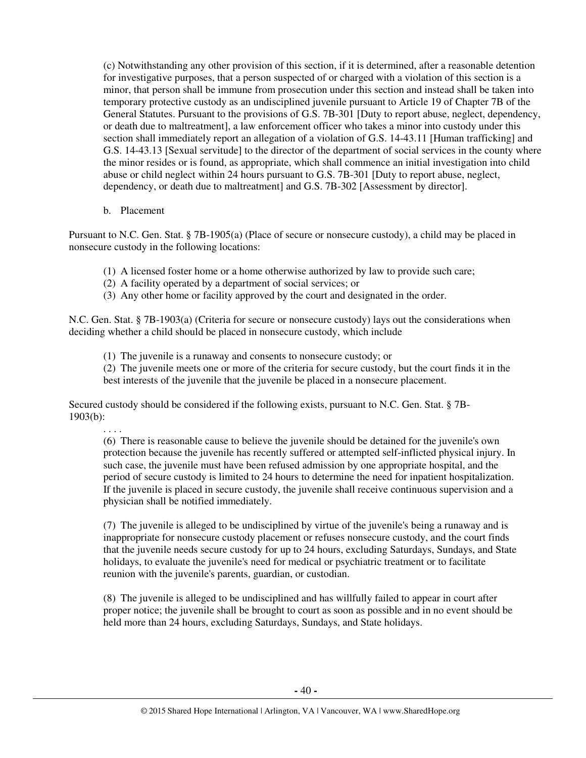(c) Notwithstanding any other provision of this section, if it is determined, after a reasonable detention for investigative purposes, that a person suspected of or charged with a violation of this section is a minor, that person shall be immune from prosecution under this section and instead shall be taken into temporary protective custody as an undisciplined juvenile pursuant to Article 19 of Chapter 7B of the General Statutes. Pursuant to the provisions of G.S. 7B-301 [Duty to report abuse, neglect, dependency, or death due to maltreatment], a law enforcement officer who takes a minor into custody under this section shall immediately report an allegation of a violation of G.S. 14-43.11 [Human trafficking] and G.S. 14-43.13 [Sexual servitude] to the director of the department of social services in the county where the minor resides or is found, as appropriate, which shall commence an initial investigation into child abuse or child neglect within 24 hours pursuant to G.S. 7B-301 [Duty to report abuse, neglect, dependency, or death due to maltreatment] and G.S. 7B-302 [Assessment by director].

b. Placement

Pursuant to N.C. Gen. Stat. § 7B-1905(a) (Place of secure or nonsecure custody), a child may be placed in nonsecure custody in the following locations:

- (1) A licensed foster home or a home otherwise authorized by law to provide such care;
- (2) A facility operated by a department of social services; or
- (3) Any other home or facility approved by the court and designated in the order.

N.C. Gen. Stat. § 7B-1903(a) (Criteria for secure or nonsecure custody) lays out the considerations when deciding whether a child should be placed in nonsecure custody, which include

(1) The juvenile is a runaway and consents to nonsecure custody; or

(2) The juvenile meets one or more of the criteria for secure custody, but the court finds it in the best interests of the juvenile that the juvenile be placed in a nonsecure placement.

Secured custody should be considered if the following exists, pursuant to N.C. Gen. Stat. § 7B-1903(b):

. . . .

(6) There is reasonable cause to believe the juvenile should be detained for the juvenile's own protection because the juvenile has recently suffered or attempted self-inflicted physical injury. In such case, the juvenile must have been refused admission by one appropriate hospital, and the period of secure custody is limited to 24 hours to determine the need for inpatient hospitalization. If the juvenile is placed in secure custody, the juvenile shall receive continuous supervision and a physician shall be notified immediately.

(7) The juvenile is alleged to be undisciplined by virtue of the juvenile's being a runaway and is inappropriate for nonsecure custody placement or refuses nonsecure custody, and the court finds that the juvenile needs secure custody for up to 24 hours, excluding Saturdays, Sundays, and State holidays, to evaluate the juvenile's need for medical or psychiatric treatment or to facilitate reunion with the juvenile's parents, guardian, or custodian.

(8) The juvenile is alleged to be undisciplined and has willfully failed to appear in court after proper notice; the juvenile shall be brought to court as soon as possible and in no event should be held more than 24 hours, excluding Saturdays, Sundays, and State holidays.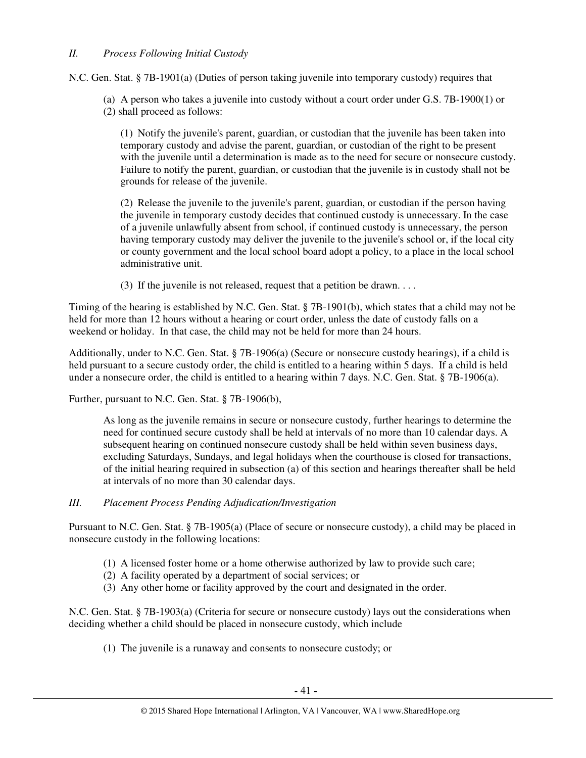# *II. Process Following Initial Custody*

N.C. Gen. Stat. § 7B-1901(a) (Duties of person taking juvenile into temporary custody) requires that

(a) A person who takes a juvenile into custody without a court order under G.S. 7B-1900(1) or (2) shall proceed as follows:

(1) Notify the juvenile's parent, guardian, or custodian that the juvenile has been taken into temporary custody and advise the parent, guardian, or custodian of the right to be present with the juvenile until a determination is made as to the need for secure or nonsecure custody. Failure to notify the parent, guardian, or custodian that the juvenile is in custody shall not be grounds for release of the juvenile.

(2) Release the juvenile to the juvenile's parent, guardian, or custodian if the person having the juvenile in temporary custody decides that continued custody is unnecessary. In the case of a juvenile unlawfully absent from school, if continued custody is unnecessary, the person having temporary custody may deliver the juvenile to the juvenile's school or, if the local city or county government and the local school board adopt a policy, to a place in the local school administrative unit.

(3) If the juvenile is not released, request that a petition be drawn. . . .

Timing of the hearing is established by N.C. Gen. Stat. § 7B-1901(b), which states that a child may not be held for more than 12 hours without a hearing or court order, unless the date of custody falls on a weekend or holiday. In that case, the child may not be held for more than 24 hours.

Additionally, under to N.C. Gen. Stat. § 7B-1906(a) (Secure or nonsecure custody hearings), if a child is held pursuant to a secure custody order, the child is entitled to a hearing within 5 days. If a child is held under a nonsecure order, the child is entitled to a hearing within 7 days. N.C. Gen. Stat. § 7B-1906(a).

Further, pursuant to N.C. Gen. Stat. § 7B-1906(b),

As long as the juvenile remains in secure or nonsecure custody, further hearings to determine the need for continued secure custody shall be held at intervals of no more than 10 calendar days. A subsequent hearing on continued nonsecure custody shall be held within seven business days, excluding Saturdays, Sundays, and legal holidays when the courthouse is closed for transactions, of the initial hearing required in subsection (a) of this section and hearings thereafter shall be held at intervals of no more than 30 calendar days.

# *III. Placement Process Pending Adjudication/Investigation*

Pursuant to N.C. Gen. Stat. § 7B-1905(a) (Place of secure or nonsecure custody), a child may be placed in nonsecure custody in the following locations:

- (1) A licensed foster home or a home otherwise authorized by law to provide such care;
- (2) A facility operated by a department of social services; or
- (3) Any other home or facility approved by the court and designated in the order.

N.C. Gen. Stat. § 7B-1903(a) (Criteria for secure or nonsecure custody) lays out the considerations when deciding whether a child should be placed in nonsecure custody, which include

(1) The juvenile is a runaway and consents to nonsecure custody; or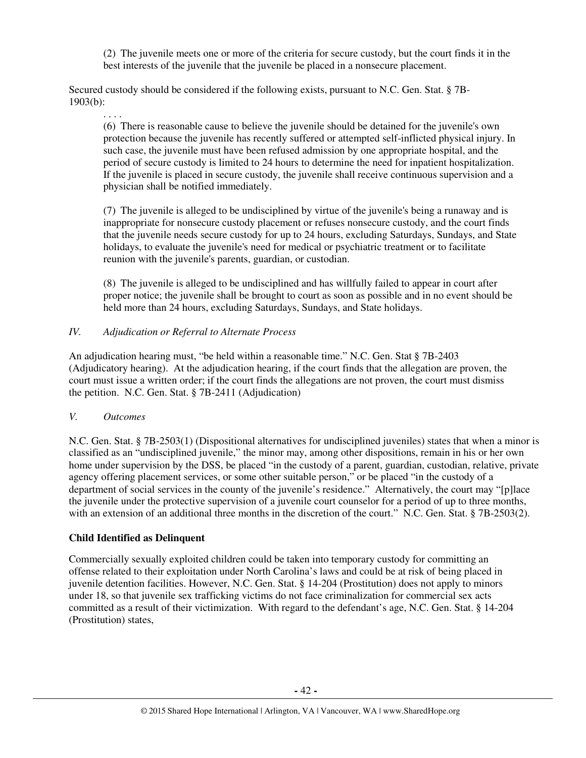(2) The juvenile meets one or more of the criteria for secure custody, but the court finds it in the best interests of the juvenile that the juvenile be placed in a nonsecure placement.

Secured custody should be considered if the following exists, pursuant to N.C. Gen. Stat. § 7B-1903(b):

. . . .

(6) There is reasonable cause to believe the juvenile should be detained for the juvenile's own protection because the juvenile has recently suffered or attempted self-inflicted physical injury. In such case, the juvenile must have been refused admission by one appropriate hospital, and the period of secure custody is limited to 24 hours to determine the need for inpatient hospitalization. If the juvenile is placed in secure custody, the juvenile shall receive continuous supervision and a physician shall be notified immediately.

(7) The juvenile is alleged to be undisciplined by virtue of the juvenile's being a runaway and is inappropriate for nonsecure custody placement or refuses nonsecure custody, and the court finds that the juvenile needs secure custody for up to 24 hours, excluding Saturdays, Sundays, and State holidays, to evaluate the juvenile's need for medical or psychiatric treatment or to facilitate reunion with the juvenile's parents, guardian, or custodian.

(8) The juvenile is alleged to be undisciplined and has willfully failed to appear in court after proper notice; the juvenile shall be brought to court as soon as possible and in no event should be held more than 24 hours, excluding Saturdays, Sundays, and State holidays.

# *IV. Adjudication or Referral to Alternate Process*

An adjudication hearing must, "be held within a reasonable time." N.C. Gen. Stat § 7B-2403 (Adjudicatory hearing). At the adjudication hearing, if the court finds that the allegation are proven, the court must issue a written order; if the court finds the allegations are not proven, the court must dismiss the petition. N.C. Gen. Stat. § 7B-2411 (Adjudication)

# *V. Outcomes*

N.C. Gen. Stat. § 7B-2503(1) (Dispositional alternatives for undisciplined juveniles) states that when a minor is classified as an "undisciplined juvenile," the minor may, among other dispositions, remain in his or her own home under supervision by the DSS, be placed "in the custody of a parent, guardian, custodian, relative, private agency offering placement services, or some other suitable person," or be placed "in the custody of a department of social services in the county of the juvenile's residence." Alternatively, the court may "[p]lace the juvenile under the protective supervision of a juvenile court counselor for a period of up to three months, with an extension of an additional three months in the discretion of the court." N.C. Gen. Stat. § 7B-2503(2).

# **Child Identified as Delinquent**

Commercially sexually exploited children could be taken into temporary custody for committing an offense related to their exploitation under North Carolina's laws and could be at risk of being placed in juvenile detention facilities. However, N.C. Gen. Stat. § 14-204 (Prostitution) does not apply to minors under 18, so that juvenile sex trafficking victims do not face criminalization for commercial sex acts committed as a result of their victimization. With regard to the defendant's age, N.C. Gen. Stat. § 14-204 (Prostitution) states,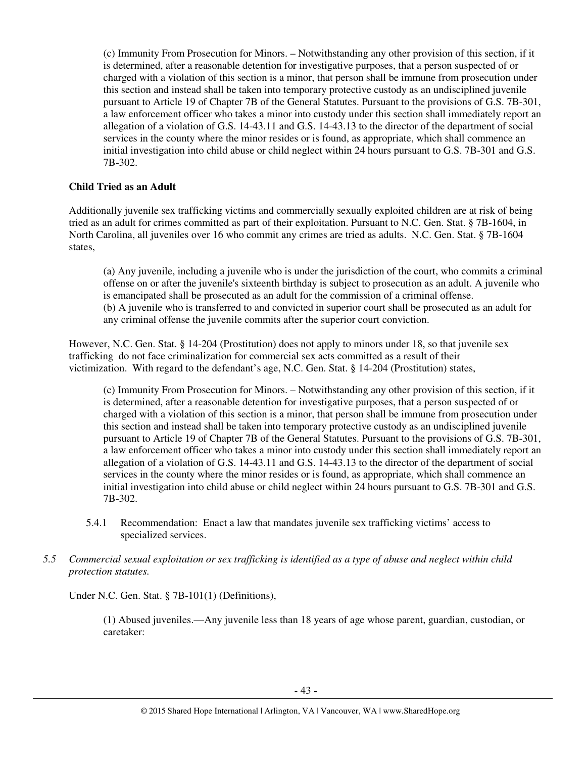(c) Immunity From Prosecution for Minors. – Notwithstanding any other provision of this section, if it is determined, after a reasonable detention for investigative purposes, that a person suspected of or charged with a violation of this section is a minor, that person shall be immune from prosecution under this section and instead shall be taken into temporary protective custody as an undisciplined juvenile pursuant to Article 19 of Chapter 7B of the General Statutes. Pursuant to the provisions of G.S. 7B-301, a law enforcement officer who takes a minor into custody under this section shall immediately report an allegation of a violation of G.S. 14-43.11 and G.S. 14-43.13 to the director of the department of social services in the county where the minor resides or is found, as appropriate, which shall commence an initial investigation into child abuse or child neglect within 24 hours pursuant to G.S. 7B-301 and G.S. 7B-302.

## **Child Tried as an Adult**

Additionally juvenile sex trafficking victims and commercially sexually exploited children are at risk of being tried as an adult for crimes committed as part of their exploitation. Pursuant to N.C. Gen. Stat. § 7B-1604, in North Carolina, all juveniles over 16 who commit any crimes are tried as adults. N.C. Gen. Stat. § 7B-1604 states,

(a) Any juvenile, including a juvenile who is under the jurisdiction of the court, who commits a criminal offense on or after the juvenile's sixteenth birthday is subject to prosecution as an adult. A juvenile who is emancipated shall be prosecuted as an adult for the commission of a criminal offense. (b) A juvenile who is transferred to and convicted in superior court shall be prosecuted as an adult for any criminal offense the juvenile commits after the superior court conviction.

However, N.C. Gen. Stat. § 14-204 (Prostitution) does not apply to minors under 18, so that juvenile sex trafficking do not face criminalization for commercial sex acts committed as a result of their victimization. With regard to the defendant's age, N.C. Gen. Stat. § 14-204 (Prostitution) states,

(c) Immunity From Prosecution for Minors. – Notwithstanding any other provision of this section, if it is determined, after a reasonable detention for investigative purposes, that a person suspected of or charged with a violation of this section is a minor, that person shall be immune from prosecution under this section and instead shall be taken into temporary protective custody as an undisciplined juvenile pursuant to Article 19 of Chapter 7B of the General Statutes. Pursuant to the provisions of G.S. 7B-301, a law enforcement officer who takes a minor into custody under this section shall immediately report an allegation of a violation of G.S. 14-43.11 and G.S. 14-43.13 to the director of the department of social services in the county where the minor resides or is found, as appropriate, which shall commence an initial investigation into child abuse or child neglect within 24 hours pursuant to G.S. 7B-301 and G.S. 7B-302.

- 5.4.1 Recommendation: Enact a law that mandates juvenile sex trafficking victims' access to specialized services.
- *5.5 Commercial sexual exploitation or sex trafficking is identified as a type of abuse and neglect within child protection statutes.*

Under N.C. Gen. Stat. § 7B-101(1) (Definitions),

(1) Abused juveniles.—Any juvenile less than 18 years of age whose parent, guardian, custodian, or caretaker: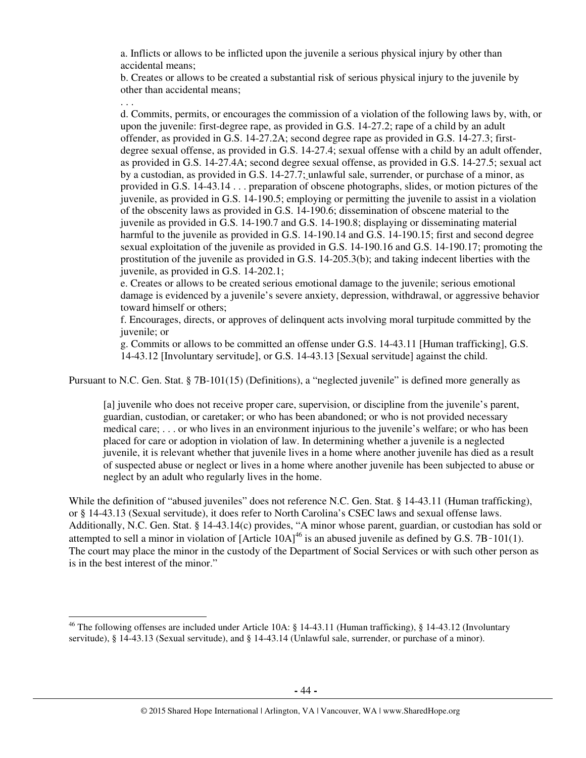a. Inflicts or allows to be inflicted upon the juvenile a serious physical injury by other than accidental means;

b. Creates or allows to be created a substantial risk of serious physical injury to the juvenile by other than accidental means;

. . .

 $\overline{a}$ 

d. Commits, permits, or encourages the commission of a violation of the following laws by, with, or upon the juvenile: first-degree rape, as provided in G.S. 14-27.2; rape of a child by an adult offender, as provided in G.S. 14-27.2A; second degree rape as provided in G.S. 14-27.3; firstdegree sexual offense, as provided in G.S. 14-27.4; sexual offense with a child by an adult offender, as provided in G.S. 14-27.4A; second degree sexual offense, as provided in G.S. 14-27.5; sexual act by a custodian, as provided in G.S. 14-27.7; unlawful sale, surrender, or purchase of a minor, as provided in G.S. 14-43.14 . . . preparation of obscene photographs, slides, or motion pictures of the juvenile, as provided in G.S. 14-190.5; employing or permitting the juvenile to assist in a violation of the obscenity laws as provided in G.S. 14-190.6; dissemination of obscene material to the juvenile as provided in G.S. 14-190.7 and G.S. 14-190.8; displaying or disseminating material harmful to the juvenile as provided in G.S. 14-190.14 and G.S. 14-190.15; first and second degree sexual exploitation of the juvenile as provided in G.S. 14-190.16 and G.S. 14-190.17; promoting the prostitution of the juvenile as provided in G.S. 14-205.3(b); and taking indecent liberties with the juvenile, as provided in G.S. 14-202.1;

e. Creates or allows to be created serious emotional damage to the juvenile; serious emotional damage is evidenced by a juvenile's severe anxiety, depression, withdrawal, or aggressive behavior toward himself or others;

f. Encourages, directs, or approves of delinquent acts involving moral turpitude committed by the juvenile; or

g. Commits or allows to be committed an offense under G.S. 14-43.11 [Human trafficking], G.S. 14-43.12 [Involuntary servitude], or G.S. 14-43.13 [Sexual servitude] against the child.

Pursuant to N.C. Gen. Stat. § 7B-101(15) (Definitions), a "neglected juvenile" is defined more generally as

[a] juvenile who does not receive proper care, supervision, or discipline from the juvenile's parent, guardian, custodian, or caretaker; or who has been abandoned; or who is not provided necessary medical care; . . . or who lives in an environment injurious to the juvenile's welfare; or who has been placed for care or adoption in violation of law. In determining whether a juvenile is a neglected juvenile, it is relevant whether that juvenile lives in a home where another juvenile has died as a result of suspected abuse or neglect or lives in a home where another juvenile has been subjected to abuse or neglect by an adult who regularly lives in the home.

While the definition of "abused juveniles" does not reference N.C. Gen. Stat. § 14-43.11 (Human trafficking), or § 14-43.13 (Sexual servitude), it does refer to North Carolina's CSEC laws and sexual offense laws. Additionally, N.C. Gen. Stat. § 14-43.14(c) provides, "A minor whose parent, guardian, or custodian has sold or attempted to sell a minor in violation of  $[Article 10A]^{46}$  is an abused juvenile as defined by G.S. 7B $-101(1)$ . The court may place the minor in the custody of the Department of Social Services or with such other person as is in the best interest of the minor."

<sup>&</sup>lt;sup>46</sup> The following offenses are included under Article 10A: § 14-43.11 (Human trafficking), § 14-43.12 (Involuntary servitude), § 14-43.13 (Sexual servitude), and § 14-43.14 (Unlawful sale, surrender, or purchase of a minor).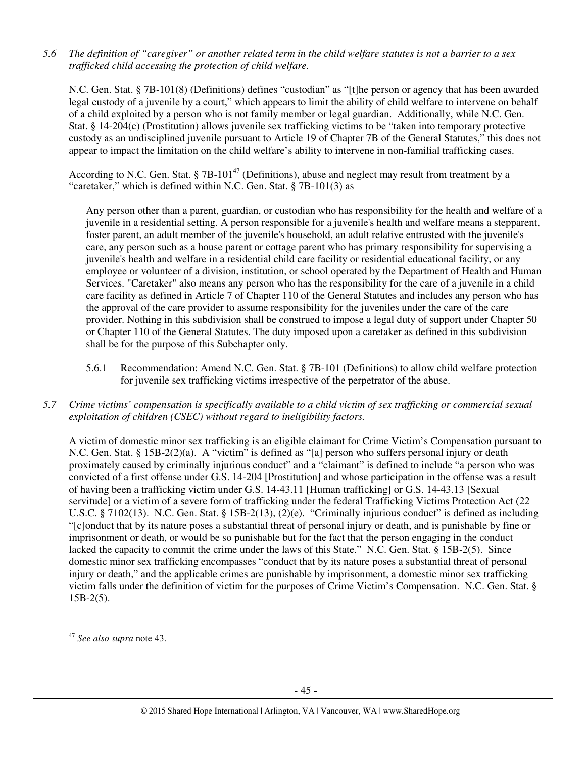*5.6 The definition of "caregiver" or another related term in the child welfare statutes is not a barrier to a sex trafficked child accessing the protection of child welfare.* 

N.C. Gen. Stat. § 7B-101(8) (Definitions) defines "custodian" as "[t]he person or agency that has been awarded legal custody of a juvenile by a court," which appears to limit the ability of child welfare to intervene on behalf of a child exploited by a person who is not family member or legal guardian. Additionally, while N.C. Gen. Stat. § 14-204(c) (Prostitution) allows juvenile sex trafficking victims to be "taken into temporary protective custody as an undisciplined juvenile pursuant to Article 19 of Chapter 7B of the General Statutes," this does not appear to impact the limitation on the child welfare's ability to intervene in non-familial trafficking cases.

According to N.C. Gen. Stat. § 7B-101<sup>47</sup> (Definitions), abuse and neglect may result from treatment by a "caretaker," which is defined within N.C. Gen. Stat. § 7B-101(3) as

Any person other than a parent, guardian, or custodian who has responsibility for the health and welfare of a juvenile in a residential setting. A person responsible for a juvenile's health and welfare means a stepparent, foster parent, an adult member of the juvenile's household, an adult relative entrusted with the juvenile's care, any person such as a house parent or cottage parent who has primary responsibility for supervising a juvenile's health and welfare in a residential child care facility or residential educational facility, or any employee or volunteer of a division, institution, or school operated by the Department of Health and Human Services. "Caretaker" also means any person who has the responsibility for the care of a juvenile in a child care facility as defined in Article 7 of Chapter 110 of the General Statutes and includes any person who has the approval of the care provider to assume responsibility for the juveniles under the care of the care provider. Nothing in this subdivision shall be construed to impose a legal duty of support under Chapter 50 or Chapter 110 of the General Statutes. The duty imposed upon a caretaker as defined in this subdivision shall be for the purpose of this Subchapter only.

- 5.6.1 Recommendation: Amend N.C. Gen. Stat. § 7B-101 (Definitions) to allow child welfare protection for juvenile sex trafficking victims irrespective of the perpetrator of the abuse.
- *5.7 Crime victims' compensation is specifically available to a child victim of sex trafficking or commercial sexual exploitation of children (CSEC) without regard to ineligibility factors.*

A victim of domestic minor sex trafficking is an eligible claimant for Crime Victim's Compensation pursuant to N.C. Gen. Stat. § 15B-2(2)(a). A "victim" is defined as "[a] person who suffers personal injury or death proximately caused by criminally injurious conduct" and a "claimant" is defined to include "a person who was convicted of a first offense under G.S. 14-204 [Prostitution] and whose participation in the offense was a result of having been a trafficking victim under G.S. 14-43.11 [Human trafficking] or G.S. 14-43.13 [Sexual servitude] or a victim of a severe form of trafficking under the federal Trafficking Victims Protection Act (22 U.S.C. § 7102(13). N.C. Gen. Stat. § 15B-2(13), (2)(e). "Criminally injurious conduct" is defined as including "[c]onduct that by its nature poses a substantial threat of personal injury or death, and is punishable by fine or imprisonment or death, or would be so punishable but for the fact that the person engaging in the conduct lacked the capacity to commit the crime under the laws of this State." N.C. Gen. Stat. § 15B-2(5). Since domestic minor sex trafficking encompasses "conduct that by its nature poses a substantial threat of personal injury or death," and the applicable crimes are punishable by imprisonment, a domestic minor sex trafficking victim falls under the definition of victim for the purposes of Crime Victim's Compensation. N.C. Gen. Stat. §  $15B-2(5)$ .

<sup>47</sup> *See also supra* note 43.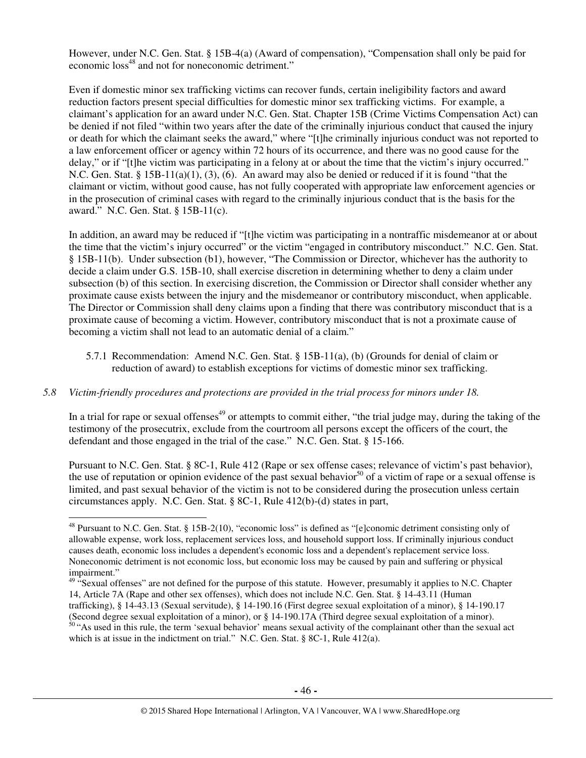However, under N.C. Gen. Stat. § 15B-4(a) (Award of compensation), "Compensation shall only be paid for economic loss<sup>48</sup> and not for noneconomic detriment."

Even if domestic minor sex trafficking victims can recover funds, certain ineligibility factors and award reduction factors present special difficulties for domestic minor sex trafficking victims. For example, a claimant's application for an award under N.C. Gen. Stat. Chapter 15B (Crime Victims Compensation Act) can be denied if not filed "within two years after the date of the criminally injurious conduct that caused the injury or death for which the claimant seeks the award," where "[t]he criminally injurious conduct was not reported to a law enforcement officer or agency within 72 hours of its occurrence, and there was no good cause for the delay," or if "[t]he victim was participating in a felony at or about the time that the victim's injury occurred." N.C. Gen. Stat. §  $15B-11(a)(1)$ ,  $(3)$ ,  $(6)$ . An award may also be denied or reduced if it is found "that the claimant or victim, without good cause, has not fully cooperated with appropriate law enforcement agencies or in the prosecution of criminal cases with regard to the criminally injurious conduct that is the basis for the award." N.C. Gen. Stat. § 15B-11(c).

In addition, an award may be reduced if "[t]he victim was participating in a nontraffic misdemeanor at or about the time that the victim's injury occurred" or the victim "engaged in contributory misconduct." N.C. Gen. Stat. § 15B-11(b). Under subsection (b1), however, "The Commission or Director, whichever has the authority to decide a claim under G.S. 15B-10, shall exercise discretion in determining whether to deny a claim under subsection (b) of this section. In exercising discretion, the Commission or Director shall consider whether any proximate cause exists between the injury and the misdemeanor or contributory misconduct, when applicable. The Director or Commission shall deny claims upon a finding that there was contributory misconduct that is a proximate cause of becoming a victim. However, contributory misconduct that is not a proximate cause of becoming a victim shall not lead to an automatic denial of a claim."

5.7.1 Recommendation: Amend N.C. Gen. Stat. § 15B-11(a), (b) (Grounds for denial of claim or reduction of award) to establish exceptions for victims of domestic minor sex trafficking.

#### *5.8 Victim-friendly procedures and protections are provided in the trial process for minors under 18.*

 $\overline{a}$ 

In a trial for rape or sexual offenses<sup>49</sup> or attempts to commit either, "the trial judge may, during the taking of the testimony of the prosecutrix, exclude from the courtroom all persons except the officers of the court, the defendant and those engaged in the trial of the case." N.C. Gen. Stat. § 15-166.

Pursuant to N.C. Gen. Stat. § 8C-1, Rule 412 (Rape or sex offense cases; relevance of victim's past behavior), the use of reputation or opinion evidence of the past sexual behavior<sup>50</sup> of a victim of rape or a sexual offense is limited, and past sexual behavior of the victim is not to be considered during the prosecution unless certain circumstances apply. N.C. Gen. Stat. § 8C-1, Rule 412(b)-(d) states in part,

<sup>48</sup> Pursuant to N.C. Gen. Stat. § 15B-2(10), "economic loss" is defined as "[e]conomic detriment consisting only of allowable expense, work loss, replacement services loss, and household support loss. If criminally injurious conduct causes death, economic loss includes a dependent's economic loss and a dependent's replacement service loss. Noneconomic detriment is not economic loss, but economic loss may be caused by pain and suffering or physical impairment."

<sup>&</sup>lt;sup>49 "</sup>Sexual offenses" are not defined for the purpose of this statute. However, presumably it applies to N.C. Chapter 14, Article 7A (Rape and other sex offenses), which does not include N.C. Gen. Stat. § 14-43.11 (Human trafficking), § 14-43.13 (Sexual servitude), § 14-190.16 (First degree sexual exploitation of a minor), § 14-190.17 (Second degree sexual exploitation of a minor), or § 14-190.17A (Third degree sexual exploitation of a minor).

<sup>&</sup>lt;sup>50</sup> "As used in this rule, the term 'sexual behavior' means sexual activity of the complainant other than the sexual act which is at issue in the indictment on trial." N.C. Gen. Stat. § 8C-1, Rule 412(a).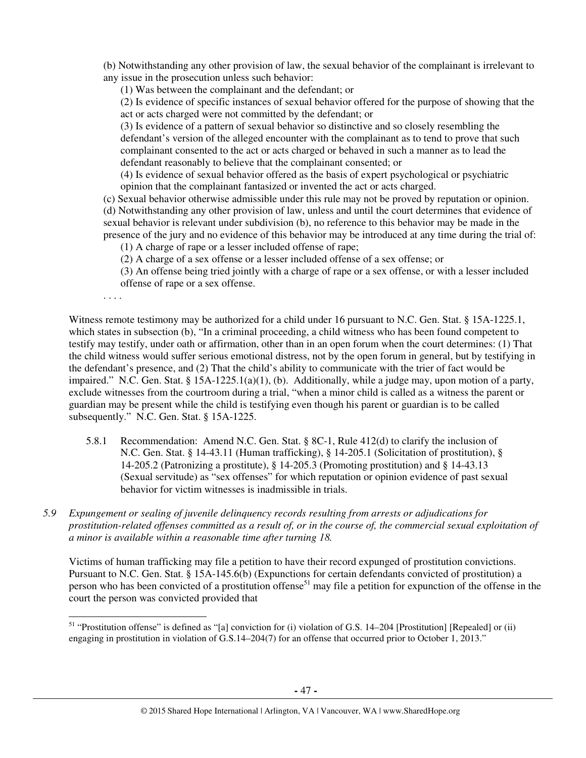(b) Notwithstanding any other provision of law, the sexual behavior of the complainant is irrelevant to any issue in the prosecution unless such behavior:

(1) Was between the complainant and the defendant; or

(2) Is evidence of specific instances of sexual behavior offered for the purpose of showing that the act or acts charged were not committed by the defendant; or

(3) Is evidence of a pattern of sexual behavior so distinctive and so closely resembling the defendant's version of the alleged encounter with the complainant as to tend to prove that such complainant consented to the act or acts charged or behaved in such a manner as to lead the defendant reasonably to believe that the complainant consented; or

(4) Is evidence of sexual behavior offered as the basis of expert psychological or psychiatric opinion that the complainant fantasized or invented the act or acts charged.

(c) Sexual behavior otherwise admissible under this rule may not be proved by reputation or opinion. (d) Notwithstanding any other provision of law, unless and until the court determines that evidence of sexual behavior is relevant under subdivision (b), no reference to this behavior may be made in the presence of the jury and no evidence of this behavior may be introduced at any time during the trial of:

(1) A charge of rape or a lesser included offense of rape;

(2) A charge of a sex offense or a lesser included offense of a sex offense; or

(3) An offense being tried jointly with a charge of rape or a sex offense, or with a lesser included offense of rape or a sex offense.

. . . .

 $\overline{a}$ 

Witness remote testimony may be authorized for a child under 16 pursuant to N.C. Gen. Stat. § 15A-1225.1, which states in subsection (b), "In a criminal proceeding, a child witness who has been found competent to testify may testify, under oath or affirmation, other than in an open forum when the court determines: (1) That the child witness would suffer serious emotional distress, not by the open forum in general, but by testifying in the defendant's presence, and (2) That the child's ability to communicate with the trier of fact would be impaired." N.C. Gen. Stat. § 15A-1225.1(a)(1), (b). Additionally, while a judge may, upon motion of a party, exclude witnesses from the courtroom during a trial, "when a minor child is called as a witness the parent or guardian may be present while the child is testifying even though his parent or guardian is to be called subsequently." N.C. Gen. Stat. § 15A-1225.

- 5.8.1 Recommendation: Amend N.C. Gen. Stat. § 8C-1, Rule 412(d) to clarify the inclusion of N.C. Gen. Stat. § 14-43.11 (Human trafficking), § 14-205.1 (Solicitation of prostitution), § 14-205.2 (Patronizing a prostitute), § 14-205.3 (Promoting prostitution) and § 14-43.13 (Sexual servitude) as "sex offenses" for which reputation or opinion evidence of past sexual behavior for victim witnesses is inadmissible in trials.
- *5.9 Expungement or sealing of juvenile delinquency records resulting from arrests or adjudications for prostitution-related offenses committed as a result of, or in the course of, the commercial sexual exploitation of a minor is available within a reasonable time after turning 18.*

Victims of human trafficking may file a petition to have their record expunged of prostitution convictions. Pursuant to N.C. Gen. Stat. § 15A-145.6(b) (Expunctions for certain defendants convicted of prostitution) a person who has been convicted of a prostitution offense<sup>51</sup> may file a petition for expunction of the offense in the court the person was convicted provided that

<sup>51</sup> "Prostitution offense" is defined as "[a] conviction for (i) violation of G.S. 14–204 [Prostitution] [Repealed] or (ii) engaging in prostitution in violation of G.S.14–204(7) for an offense that occurred prior to October 1, 2013."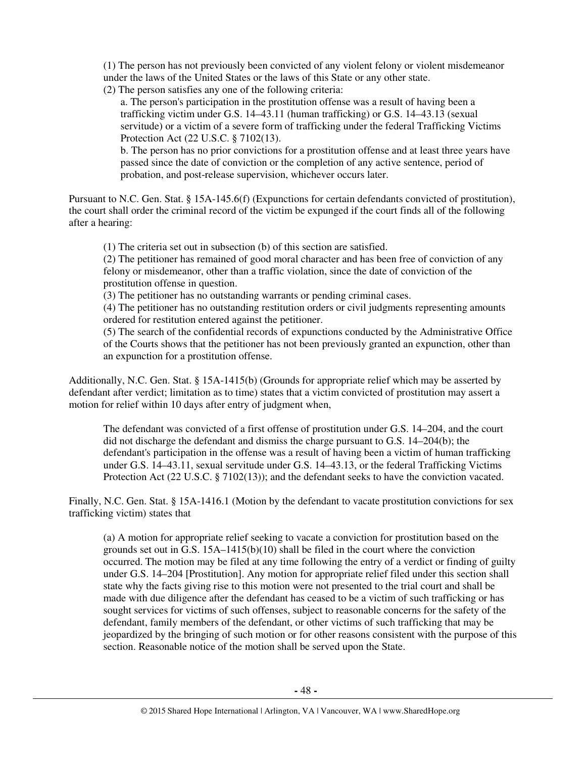(1) The person has not previously been convicted of any violent felony or violent misdemeanor under the laws of the United States or the laws of this State or any other state.

(2) The person satisfies any one of the following criteria:

a. The person's participation in the prostitution offense was a result of having been a trafficking victim under G.S. 14–43.11 (human trafficking) or G.S. 14–43.13 (sexual servitude) or a victim of a severe form of trafficking under the federal Trafficking Victims Protection Act (22 U.S.C. § 7102(13).

b. The person has no prior convictions for a prostitution offense and at least three years have passed since the date of conviction or the completion of any active sentence, period of probation, and post-release supervision, whichever occurs later.

Pursuant to N.C. Gen. Stat. § 15A-145.6(f) (Expunctions for certain defendants convicted of prostitution), the court shall order the criminal record of the victim be expunged if the court finds all of the following after a hearing:

(1) The criteria set out in subsection (b) of this section are satisfied.

(2) The petitioner has remained of good moral character and has been free of conviction of any felony or misdemeanor, other than a traffic violation, since the date of conviction of the prostitution offense in question.

(3) The petitioner has no outstanding warrants or pending criminal cases.

(4) The petitioner has no outstanding restitution orders or civil judgments representing amounts ordered for restitution entered against the petitioner.

(5) The search of the confidential records of expunctions conducted by the Administrative Office of the Courts shows that the petitioner has not been previously granted an expunction, other than an expunction for a prostitution offense.

Additionally, N.C. Gen. Stat. § 15A-1415(b) (Grounds for appropriate relief which may be asserted by defendant after verdict; limitation as to time) states that a victim convicted of prostitution may assert a motion for relief within 10 days after entry of judgment when,

The defendant was convicted of a first offense of prostitution under G.S. 14–204, and the court did not discharge the defendant and dismiss the charge pursuant to G.S. 14–204(b); the defendant's participation in the offense was a result of having been a victim of human trafficking under G.S. 14–43.11, sexual servitude under G.S. 14–43.13, or the federal Trafficking Victims Protection Act (22 U.S.C. § 7102(13)); and the defendant seeks to have the conviction vacated.

Finally, N.C. Gen. Stat. § 15A-1416.1 (Motion by the defendant to vacate prostitution convictions for sex trafficking victim) states that

(a) A motion for appropriate relief seeking to vacate a conviction for prostitution based on the grounds set out in G.S.  $15A-1415(b)(10)$  shall be filed in the court where the conviction occurred. The motion may be filed at any time following the entry of a verdict or finding of guilty under G.S. 14–204 [Prostitution]. Any motion for appropriate relief filed under this section shall state why the facts giving rise to this motion were not presented to the trial court and shall be made with due diligence after the defendant has ceased to be a victim of such trafficking or has sought services for victims of such offenses, subject to reasonable concerns for the safety of the defendant, family members of the defendant, or other victims of such trafficking that may be jeopardized by the bringing of such motion or for other reasons consistent with the purpose of this section. Reasonable notice of the motion shall be served upon the State.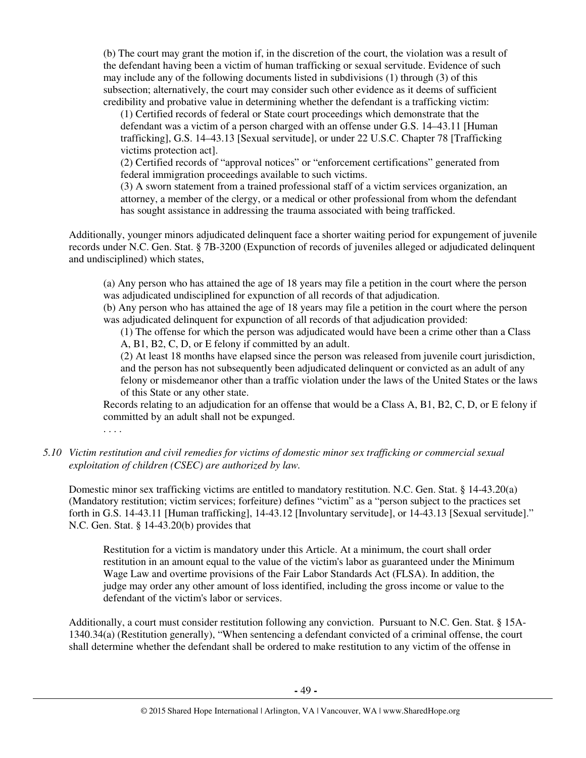(b) The court may grant the motion if, in the discretion of the court, the violation was a result of the defendant having been a victim of human trafficking or sexual servitude. Evidence of such may include any of the following documents listed in subdivisions (1) through (3) of this subsection; alternatively, the court may consider such other evidence as it deems of sufficient credibility and probative value in determining whether the defendant is a trafficking victim:

(1) Certified records of federal or State court proceedings which demonstrate that the defendant was a victim of a person charged with an offense under G.S. 14–43.11 [Human trafficking], G.S. 14–43.13 [Sexual servitude], or under 22 U.S.C. Chapter 78 [Trafficking victims protection act].

(2) Certified records of "approval notices" or "enforcement certifications" generated from federal immigration proceedings available to such victims.

(3) A sworn statement from a trained professional staff of a victim services organization, an attorney, a member of the clergy, or a medical or other professional from whom the defendant has sought assistance in addressing the trauma associated with being trafficked.

Additionally, younger minors adjudicated delinquent face a shorter waiting period for expungement of juvenile records under N.C. Gen. Stat. § 7B-3200 (Expunction of records of juveniles alleged or adjudicated delinquent and undisciplined) which states,

(a) Any person who has attained the age of 18 years may file a petition in the court where the person was adjudicated undisciplined for expunction of all records of that adjudication.

(b) Any person who has attained the age of 18 years may file a petition in the court where the person was adjudicated delinquent for expunction of all records of that adjudication provided:

(1) The offense for which the person was adjudicated would have been a crime other than a Class A, B1, B2, C, D, or E felony if committed by an adult.

(2) At least 18 months have elapsed since the person was released from juvenile court jurisdiction, and the person has not subsequently been adjudicated delinquent or convicted as an adult of any felony or misdemeanor other than a traffic violation under the laws of the United States or the laws of this State or any other state.

Records relating to an adjudication for an offense that would be a Class A, B1, B2, C, D, or E felony if committed by an adult shall not be expunged.

. . . .

## *5.10 Victim restitution and civil remedies for victims of domestic minor sex trafficking or commercial sexual exploitation of children (CSEC) are authorized by law.*

Domestic minor sex trafficking victims are entitled to mandatory restitution. N.C. Gen. Stat. § 14-43.20(a) (Mandatory restitution; victim services; forfeiture) defines "victim" as a "person subject to the practices set forth in G.S. 14-43.11 [Human trafficking], 14-43.12 [Involuntary servitude], or 14-43.13 [Sexual servitude]." N.C. Gen. Stat. § 14-43.20(b) provides that

Restitution for a victim is mandatory under this Article. At a minimum, the court shall order restitution in an amount equal to the value of the victim's labor as guaranteed under the Minimum Wage Law and overtime provisions of the Fair Labor Standards Act (FLSA). In addition, the judge may order any other amount of loss identified, including the gross income or value to the defendant of the victim's labor or services.

Additionally, a court must consider restitution following any conviction. Pursuant to N.C. Gen. Stat. § 15A-1340.34(a) (Restitution generally), "When sentencing a defendant convicted of a criminal offense, the court shall determine whether the defendant shall be ordered to make restitution to any victim of the offense in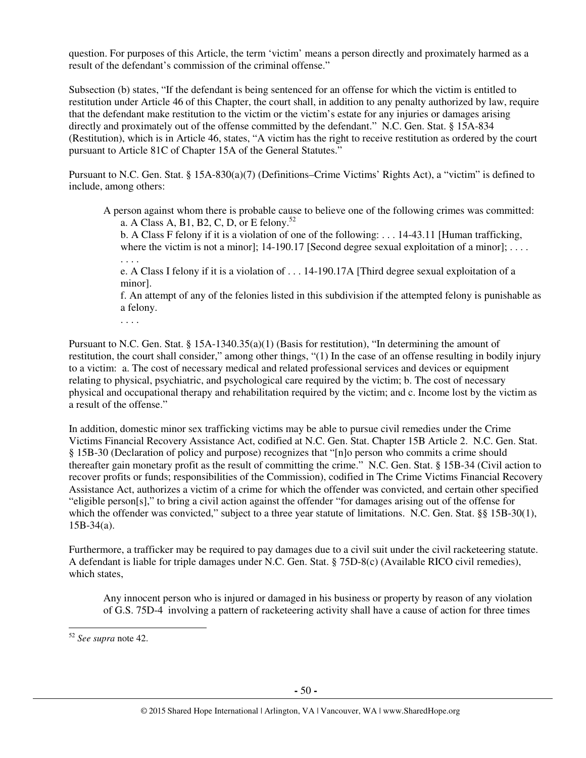question. For purposes of this Article, the term 'victim' means a person directly and proximately harmed as a result of the defendant's commission of the criminal offense."

Subsection (b) states, "If the defendant is being sentenced for an offense for which the victim is entitled to restitution under Article 46 of this Chapter, the court shall, in addition to any penalty authorized by law, require that the defendant make restitution to the victim or the victim's estate for any injuries or damages arising directly and proximately out of the offense committed by the defendant." N.C. Gen. Stat. § 15A-834 (Restitution), which is in Article 46, states, "A victim has the right to receive restitution as ordered by the court pursuant to Article 81C of Chapter 15A of the General Statutes."

Pursuant to N.C. Gen. Stat. § 15A-830(a)(7) (Definitions–Crime Victims' Rights Act), a "victim" is defined to include, among others:

A person against whom there is probable cause to believe one of the following crimes was committed: a. A Class A, B1, B2, C, D, or E felony.<sup>52</sup>

b. A Class F felony if it is a violation of one of the following: . . . 14-43.11 [Human trafficking, where the victim is not a minor];  $14-190.17$  [Second degree sexual exploitation of a minor]; ...

. . . . e. A Class I felony if it is a violation of . . . 14-190.17A [Third degree sexual exploitation of a minor].

f. An attempt of any of the felonies listed in this subdivision if the attempted felony is punishable as a felony.

. . . .

Pursuant to N.C. Gen. Stat. § 15A-1340.35(a)(1) (Basis for restitution), "In determining the amount of restitution, the court shall consider," among other things, "(1) In the case of an offense resulting in bodily injury to a victim: a. The cost of necessary medical and related professional services and devices or equipment relating to physical, psychiatric, and psychological care required by the victim; b. The cost of necessary physical and occupational therapy and rehabilitation required by the victim; and c. Income lost by the victim as a result of the offense."

In addition, domestic minor sex trafficking victims may be able to pursue civil remedies under the Crime Victims Financial Recovery Assistance Act, codified at N.C. Gen. Stat. Chapter 15B Article 2. N.C. Gen. Stat. § 15B-30 (Declaration of policy and purpose) recognizes that "[n]o person who commits a crime should thereafter gain monetary profit as the result of committing the crime." N.C. Gen. Stat. § 15B-34 (Civil action to recover profits or funds; responsibilities of the Commission), codified in The Crime Victims Financial Recovery Assistance Act, authorizes a victim of a crime for which the offender was convicted, and certain other specified "eligible person[s]," to bring a civil action against the offender "for damages arising out of the offense for which the offender was convicted," subject to a three year statute of limitations. N.C. Gen. Stat. §§ 15B-30(1),  $15B-34(a)$ .

Furthermore, a trafficker may be required to pay damages due to a civil suit under the civil racketeering statute. A defendant is liable for triple damages under N.C. Gen. Stat. § 75D-8(c) (Available RICO civil remedies), which states,

Any innocent person who is injured or damaged in his business or property by reason of any violation of G.S. 75D-4 involving a pattern of racketeering activity shall have a cause of action for three times

<sup>52</sup> *See supra* note 42.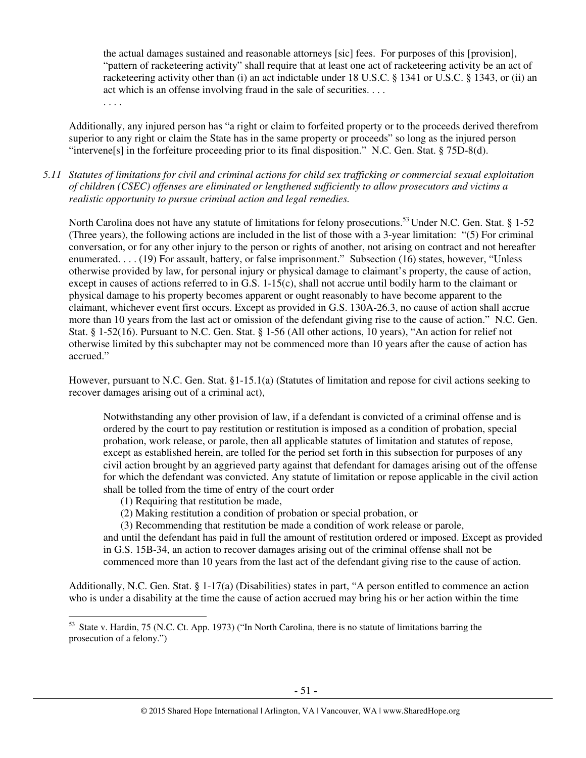the actual damages sustained and reasonable attorneys [sic] fees. For purposes of this [provision], "pattern of racketeering activity" shall require that at least one act of racketeering activity be an act of racketeering activity other than (i) an act indictable under 18 U.S.C. § 1341 or U.S.C. § 1343, or (ii) an act which is an offense involving fraud in the sale of securities. . . .

Additionally, any injured person has "a right or claim to forfeited property or to the proceeds derived therefrom superior to any right or claim the State has in the same property or proceeds" so long as the injured person "intervene[s] in the forfeiture proceeding prior to its final disposition." N.C. Gen. Stat. § 75D-8(d).

*5.11 Statutes of limitations for civil and criminal actions for child sex trafficking or commercial sexual exploitation of children (CSEC) offenses are eliminated or lengthened sufficiently to allow prosecutors and victims a realistic opportunity to pursue criminal action and legal remedies.* 

North Carolina does not have any statute of limitations for felony prosecutions.<sup>53</sup> Under N.C. Gen. Stat. § 1-52 (Three years), the following actions are included in the list of those with a 3-year limitation: "(5) For criminal conversation, or for any other injury to the person or rights of another, not arising on contract and not hereafter enumerated. . . . (19) For assault, battery, or false imprisonment." Subsection (16) states, however, "Unless otherwise provided by law, for personal injury or physical damage to claimant's property, the cause of action, except in causes of actions referred to in G.S. 1-15(c), shall not accrue until bodily harm to the claimant or physical damage to his property becomes apparent or ought reasonably to have become apparent to the claimant, whichever event first occurs. Except as provided in G.S. 130A-26.3, no cause of action shall accrue more than 10 years from the last act or omission of the defendant giving rise to the cause of action." N.C. Gen. Stat. § 1-52(16). Pursuant to N.C. Gen. Stat. § 1-56 (All other actions, 10 years), "An action for relief not otherwise limited by this subchapter may not be commenced more than 10 years after the cause of action has accrued."

However, pursuant to N.C. Gen. Stat. §1-15.1(a) (Statutes of limitation and repose for civil actions seeking to recover damages arising out of a criminal act),

Notwithstanding any other provision of law, if a defendant is convicted of a criminal offense and is ordered by the court to pay restitution or restitution is imposed as a condition of probation, special probation, work release, or parole, then all applicable statutes of limitation and statutes of repose, except as established herein, are tolled for the period set forth in this subsection for purposes of any civil action brought by an aggrieved party against that defendant for damages arising out of the offense for which the defendant was convicted. Any statute of limitation or repose applicable in the civil action shall be tolled from the time of entry of the court order

(1) Requiring that restitution be made,

. . . .

l

(2) Making restitution a condition of probation or special probation, or

(3) Recommending that restitution be made a condition of work release or parole,

and until the defendant has paid in full the amount of restitution ordered or imposed. Except as provided in G.S. 15B-34, an action to recover damages arising out of the criminal offense shall not be commenced more than 10 years from the last act of the defendant giving rise to the cause of action.

Additionally, N.C. Gen. Stat. § 1-17(a) (Disabilities) states in part, "A person entitled to commence an action who is under a disability at the time the cause of action accrued may bring his or her action within the time

<sup>&</sup>lt;sup>53</sup> State v. Hardin, 75 (N.C. Ct. App. 1973) ("In North Carolina, there is no statute of limitations barring the prosecution of a felony.")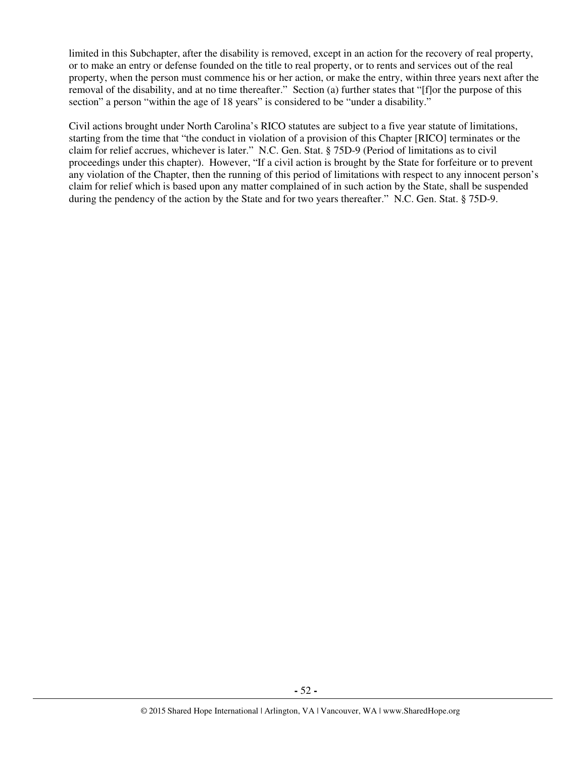limited in this Subchapter, after the disability is removed, except in an action for the recovery of real property, or to make an entry or defense founded on the title to real property, or to rents and services out of the real property, when the person must commence his or her action, or make the entry, within three years next after the removal of the disability, and at no time thereafter." Section (a) further states that "[f]or the purpose of this section" a person "within the age of 18 years" is considered to be "under a disability."

Civil actions brought under North Carolina's RICO statutes are subject to a five year statute of limitations, starting from the time that "the conduct in violation of a provision of this Chapter [RICO] terminates or the claim for relief accrues, whichever is later." N.C. Gen. Stat. § 75D-9 (Period of limitations as to civil proceedings under this chapter). However, "If a civil action is brought by the State for forfeiture or to prevent any violation of the Chapter, then the running of this period of limitations with respect to any innocent person's claim for relief which is based upon any matter complained of in such action by the State, shall be suspended during the pendency of the action by the State and for two years thereafter." N.C. Gen. Stat. § 75D-9.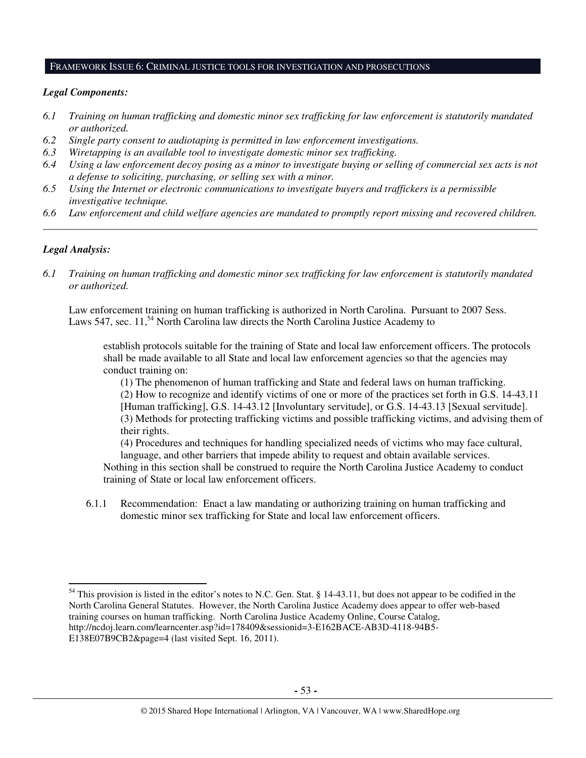#### FRAMEWORK ISSUE 6: CRIMINAL JUSTICE TOOLS FOR INVESTIGATION AND PROSECUTIONS

#### *Legal Components:*

- *6.1 Training on human trafficking and domestic minor sex trafficking for law enforcement is statutorily mandated or authorized.*
- *6.2 Single party consent to audiotaping is permitted in law enforcement investigations.*
- *6.3 Wiretapping is an available tool to investigate domestic minor sex trafficking.*
- *6.4 Using a law enforcement decoy posing as a minor to investigate buying or selling of commercial sex acts is not a defense to soliciting, purchasing, or selling sex with a minor.*
- *6.5 Using the Internet or electronic communications to investigate buyers and traffickers is a permissible investigative technique.*
- *6.6 Law enforcement and child welfare agencies are mandated to promptly report missing and recovered children. \_\_\_\_\_\_\_\_\_\_\_\_\_\_\_\_\_\_\_\_\_\_\_\_\_\_\_\_\_\_\_\_\_\_\_\_\_\_\_\_\_\_\_\_\_\_\_\_\_\_\_\_\_\_\_\_\_\_\_\_\_\_\_\_\_\_\_\_\_\_\_\_\_\_\_\_\_\_\_\_\_\_\_\_\_\_\_\_\_\_\_\_\_\_*

#### *Legal Analysis:*

 $\overline{a}$ 

*6.1 Training on human trafficking and domestic minor sex trafficking for law enforcement is statutorily mandated or authorized.*

Law enforcement training on human trafficking is authorized in North Carolina. Pursuant to 2007 Sess. Laws 547, sec.  $11<sup>54</sup>$  North Carolina law directs the North Carolina Justice Academy to

establish protocols suitable for the training of State and local law enforcement officers. The protocols shall be made available to all State and local law enforcement agencies so that the agencies may conduct training on:

(1) The phenomenon of human trafficking and State and federal laws on human trafficking. (2) How to recognize and identify victims of one or more of the practices set forth in G.S. 14-43.11 [Human trafficking], G.S. 14-43.12 [Involuntary servitude], or G.S. 14-43.13 [Sexual servitude]. (3) Methods for protecting trafficking victims and possible trafficking victims, and advising them of their rights.

(4) Procedures and techniques for handling specialized needs of victims who may face cultural, language, and other barriers that impede ability to request and obtain available services.

Nothing in this section shall be construed to require the North Carolina Justice Academy to conduct training of State or local law enforcement officers.

6.1.1 Recommendation: Enact a law mandating or authorizing training on human trafficking and domestic minor sex trafficking for State and local law enforcement officers.

<sup>&</sup>lt;sup>54</sup> This provision is listed in the editor's notes to N.C. Gen. Stat. § 14-43.11, but does not appear to be codified in the North Carolina General Statutes. However, the North Carolina Justice Academy does appear to offer web-based training courses on human trafficking. North Carolina Justice Academy Online, Course Catalog, http://ncdoj.learn.com/learncenter.asp?id=178409&sessionid=3-E162BACE-AB3D-4118-94B5- E138E07B9CB2&page=4 (last visited Sept. 16, 2011).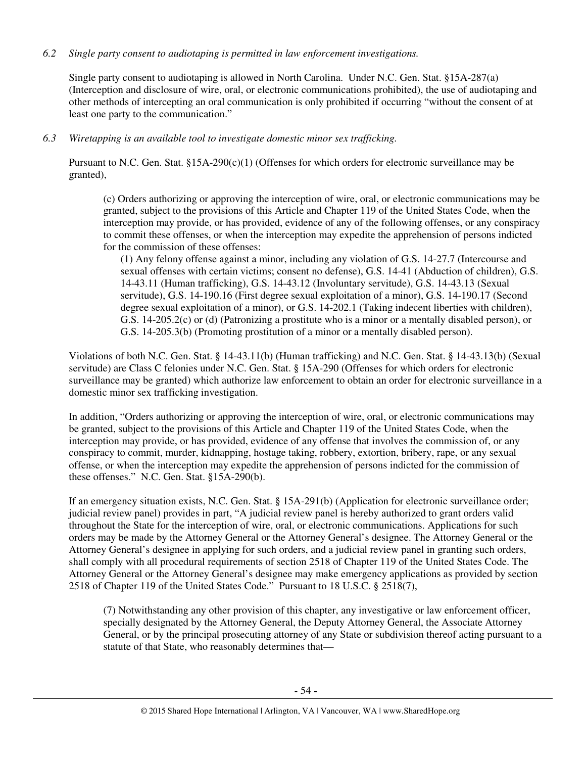# *6.2 Single party consent to audiotaping is permitted in law enforcement investigations.*

Single party consent to audiotaping is allowed in North Carolina. Under N.C. Gen. Stat. §15A-287(a) (Interception and disclosure of wire, oral, or electronic communications prohibited), the use of audiotaping and other methods of intercepting an oral communication is only prohibited if occurring "without the consent of at least one party to the communication."

## *6.3 Wiretapping is an available tool to investigate domestic minor sex trafficking.*

Pursuant to N.C. Gen. Stat.  $§15A-290(c)(1)$  (Offenses for which orders for electronic surveillance may be granted),

(c) Orders authorizing or approving the interception of wire, oral, or electronic communications may be granted, subject to the provisions of this Article and Chapter 119 of the United States Code, when the interception may provide, or has provided, evidence of any of the following offenses, or any conspiracy to commit these offenses, or when the interception may expedite the apprehension of persons indicted for the commission of these offenses:

(1) Any felony offense against a minor, including any violation of G.S. 14-27.7 (Intercourse and sexual offenses with certain victims; consent no defense), G.S. 14-41 (Abduction of children), G.S. 14-43.11 (Human trafficking), G.S. 14-43.12 (Involuntary servitude), G.S. 14-43.13 (Sexual servitude), G.S. 14-190.16 (First degree sexual exploitation of a minor), G.S. 14-190.17 (Second degree sexual exploitation of a minor), or G.S. 14-202.1 (Taking indecent liberties with children), G.S. 14-205.2(c) or (d) (Patronizing a prostitute who is a minor or a mentally disabled person), or G.S. 14-205.3(b) (Promoting prostitution of a minor or a mentally disabled person).

Violations of both N.C. Gen. Stat. § 14-43.11(b) (Human trafficking) and N.C. Gen. Stat. § 14-43.13(b) (Sexual servitude) are Class C felonies under N.C. Gen. Stat. § 15A-290 (Offenses for which orders for electronic surveillance may be granted) which authorize law enforcement to obtain an order for electronic surveillance in a domestic minor sex trafficking investigation.

In addition, "Orders authorizing or approving the interception of wire, oral, or electronic communications may be granted, subject to the provisions of this Article and Chapter 119 of the United States Code, when the interception may provide, or has provided, evidence of any offense that involves the commission of, or any conspiracy to commit, murder, kidnapping, hostage taking, robbery, extortion, bribery, rape, or any sexual offense, or when the interception may expedite the apprehension of persons indicted for the commission of these offenses." N.C. Gen. Stat. §15A-290(b).

If an emergency situation exists, N.C. Gen. Stat. § 15A-291(b) (Application for electronic surveillance order; judicial review panel) provides in part, "A judicial review panel is hereby authorized to grant orders valid throughout the State for the interception of wire, oral, or electronic communications. Applications for such orders may be made by the Attorney General or the Attorney General's designee. The Attorney General or the Attorney General's designee in applying for such orders, and a judicial review panel in granting such orders, shall comply with all procedural requirements of section 2518 of Chapter 119 of the United States Code. The Attorney General or the Attorney General's designee may make emergency applications as provided by section 2518 of Chapter 119 of the United States Code." Pursuant to 18 U.S.C. § 2518(7),

(7) Notwithstanding any other provision of this chapter, any investigative or law enforcement officer, specially designated by the Attorney General, the Deputy Attorney General, the Associate Attorney General, or by the principal prosecuting attorney of any State or subdivision thereof acting pursuant to a statute of that State, who reasonably determines that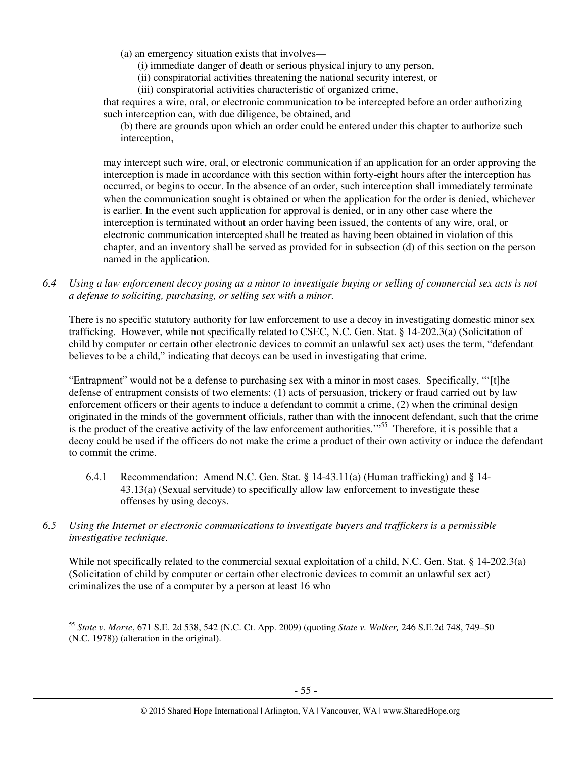(a) an emergency situation exists that involves—

(i) immediate danger of death or serious physical injury to any person,

(ii) conspiratorial activities threatening the national security interest, or

(iii) conspiratorial activities characteristic of organized crime,

that requires a wire, oral, or electronic communication to be intercepted before an order authorizing such interception can, with due diligence, be obtained, and

(b) there are grounds upon which an order could be entered under this chapter to authorize such interception,

may intercept such wire, oral, or electronic communication if an application for an order approving the interception is made in accordance with this section within forty-eight hours after the interception has occurred, or begins to occur. In the absence of an order, such interception shall immediately terminate when the communication sought is obtained or when the application for the order is denied, whichever is earlier. In the event such application for approval is denied, or in any other case where the interception is terminated without an order having been issued, the contents of any wire, oral, or electronic communication intercepted shall be treated as having been obtained in violation of this chapter, and an inventory shall be served as provided for in subsection (d) of this section on the person named in the application.

*6.4 Using a law enforcement decoy posing as a minor to investigate buying or selling of commercial sex acts is not a defense to soliciting, purchasing, or selling sex with a minor.* 

There is no specific statutory authority for law enforcement to use a decoy in investigating domestic minor sex trafficking. However, while not specifically related to CSEC, N.C. Gen. Stat. § 14-202.3(a) (Solicitation of child by computer or certain other electronic devices to commit an unlawful sex act) uses the term, "defendant believes to be a child," indicating that decoys can be used in investigating that crime.

"Entrapment" would not be a defense to purchasing sex with a minor in most cases. Specifically, "'[t]he defense of entrapment consists of two elements: (1) acts of persuasion, trickery or fraud carried out by law enforcement officers or their agents to induce a defendant to commit a crime, (2) when the criminal design originated in the minds of the government officials, rather than with the innocent defendant, such that the crime is the product of the creative activity of the law enforcement authorities."<sup>55</sup> Therefore, it is possible that a decoy could be used if the officers do not make the crime a product of their own activity or induce the defendant to commit the crime.

- 6.4.1 Recommendation: Amend N.C. Gen. Stat. § 14-43.11(a) (Human trafficking) and § 14- 43.13(a) (Sexual servitude) to specifically allow law enforcement to investigate these offenses by using decoys.
- *6.5 Using the Internet or electronic communications to investigate buyers and traffickers is a permissible investigative technique.*

 $\overline{a}$ 

While not specifically related to the commercial sexual exploitation of a child, N.C. Gen. Stat. § 14-202.3(a) (Solicitation of child by computer or certain other electronic devices to commit an unlawful sex act) criminalizes the use of a computer by a person at least 16 who

<sup>55</sup> *State v. Morse*, 671 S.E. 2d 538, 542 (N.C. Ct. App. 2009) (quoting *State v. Walker,* 246 S.E.2d 748, 749–50 (N.C. 1978)) (alteration in the original).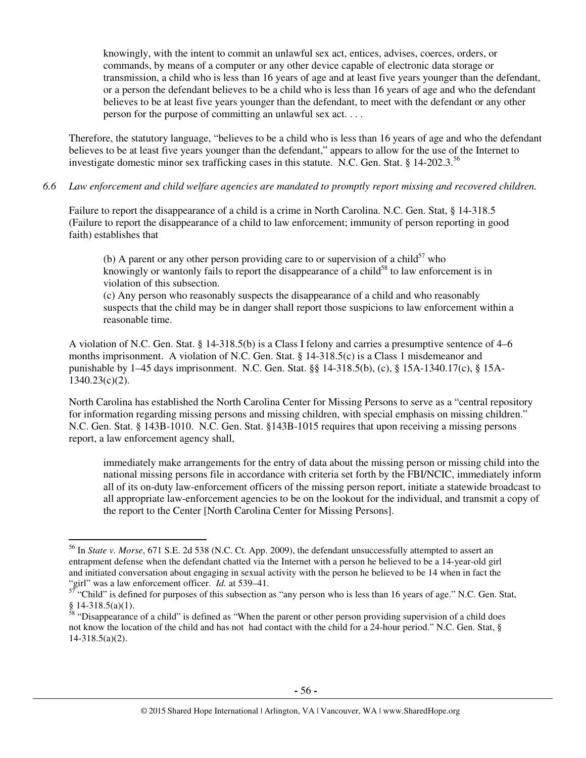knowingly, with the intent to commit an unlawful sex act, entices, advises, coerces, orders, or commands, by means of a computer or any other device capable of electronic data storage or transmission, a child who is less than 16 years of age and at least five years younger than the defendant, or a person the defendant believes to be a child who is less than 16 years of age and who the defendant believes to be at least five years younger than the defendant, to meet with the defendant or any other person for the purpose of committing an unlawful sex act. . . .

Therefore, the statutory language, "believes to be a child who is less than 16 years of age and who the defendant believes to be at least five years younger than the defendant," appears to allow for the use of the Internet to investigate domestic minor sex trafficking cases in this statute. N.C. Gen. Stat. § 14-202.3.<sup>56</sup>

*6.6 Law enforcement and child welfare agencies are mandated to promptly report missing and recovered children.* 

Failure to report the disappearance of a child is a crime in North Carolina. N.C. Gen. Stat, § 14-318.5 (Failure to report the disappearance of a child to law enforcement; immunity of person reporting in good faith) establishes that

(b) A parent or any other person providing care to or supervision of a child<sup>57</sup> who knowingly or wantonly fails to report the disappearance of a child<sup>58</sup> to law enforcement is in violation of this subsection.

(c) Any person who reasonably suspects the disappearance of a child and who reasonably suspects that the child may be in danger shall report those suspicions to law enforcement within a reasonable time.

A violation of N.C. Gen. Stat. § 14-318.5(b) is a Class I felony and carries a presumptive sentence of 4–6 months imprisonment. A violation of N.C. Gen. Stat. § 14-318.5(c) is a Class 1 misdemeanor and punishable by 1–45 days imprisonment. N.C. Gen. Stat. §§ 14-318.5(b), (c), § 15A-1340.17(c), § 15A-1340.23(c)(2).

North Carolina has established the North Carolina Center for Missing Persons to serve as a "central repository for information regarding missing persons and missing children, with special emphasis on missing children." N.C. Gen. Stat. § 143B-1010. N.C. Gen. Stat. §143B-1015 requires that upon receiving a missing persons report, a law enforcement agency shall,

immediately make arrangements for the entry of data about the missing person or missing child into the national missing persons file in accordance with criteria set forth by the FBI/NCIC, immediately inform all of its on-duty law-enforcement officers of the missing person report, initiate a statewide broadcast to all appropriate law-enforcement agencies to be on the lookout for the individual, and transmit a copy of the report to the Center [North Carolina Center for Missing Persons].

<sup>56</sup> In *State v. Morse*, 671 S.E. 2d 538 (N.C. Ct. App. 2009), the defendant unsuccessfully attempted to assert an entrapment defense when the defendant chatted via the Internet with a person he believed to be a 14-year-old girl and initiated conversation about engaging in sexual activity with the person he believed to be 14 when in fact the "girl" was a law enforcement officer. *Id.* at 539–41.

 $57$  "Child" is defined for purposes of this subsection as "any person who is less than 16 years of age." N.C. Gen. Stat,  $§ 14-318.5(a)(1).$ 

 $\frac{58}{10}$  "Disappearance of a child" is defined as "When the parent or other person providing supervision of a child does not know the location of the child and has not had contact with the child for a 24-hour period." N.C. Gen. Stat, § 14-318.5(a)(2).